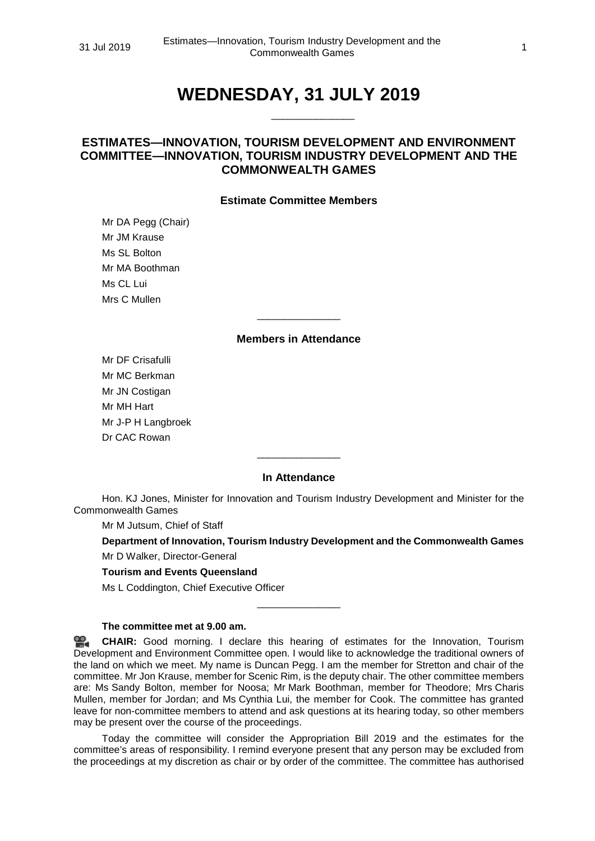# **WEDNESDAY, 31 JULY 2019**

\_\_\_\_\_\_\_\_\_\_\_\_\_\_\_

# **ESTIMATES—INNOVATION, TOURISM DEVELOPMENT AND ENVIRONMENT COMMITTEE—INNOVATION, TOURISM INDUSTRY DEVELOPMENT AND THE COMMONWEALTH GAMES**

# **Estimate Committee Members**

Mr DA Pegg (Chair) Mr JM Krause Ms SL Bolton Mr MA Boothman Ms CL Lui Mrs C Mullen

#### **Members in Attendance**

\_\_\_\_\_\_\_\_\_\_\_\_\_\_\_

Mr DF Crisafulli Mr MC Berkman Mr JN Costigan Mr MH Hart Mr J-P H Langbroek Dr CAC Rowan

# **In Attendance**

\_\_\_\_\_\_\_\_\_\_\_\_\_\_\_

Hon. KJ Jones, Minister for Innovation and Tourism Industry Development and Minister for the Commonwealth Games

Mr M Jutsum, Chief of Staff

**Department of Innovation, Tourism Industry Development and the Commonwealth Games**

Mr D Walker, Director-General

#### **Tourism and Events Queensland**

Ms L Coddington, Chief Executive Officer

#### **The committee met at 9.00 am.**

옆. **[CHAIR:](http://www.parliament.qld.gov.au/docs/find.aspx?id=0Mba20190731_090017)** Good morning. I declare this hearing of estimates for the Innovation, Tourism Development and Environment Committee open. I would like to acknowledge the traditional owners of the land on which we meet. My name is Duncan Pegg. I am the member for Stretton and chair of the committee. Mr Jon Krause, member for Scenic Rim, is the deputy chair. The other committee members are: Ms Sandy Bolton, member for Noosa; Mr Mark Boothman, member for Theodore; Mrs Charis Mullen, member for Jordan; and Ms Cynthia Lui, the member for Cook. The committee has granted leave for non-committee members to attend and ask questions at its hearing today, so other members may be present over the course of the proceedings.

\_\_\_\_\_\_\_\_\_\_\_\_\_\_\_

Today the committee will consider the Appropriation Bill 2019 and the estimates for the committee's areas of responsibility. I remind everyone present that any person may be excluded from the proceedings at my discretion as chair or by order of the committee. The committee has authorised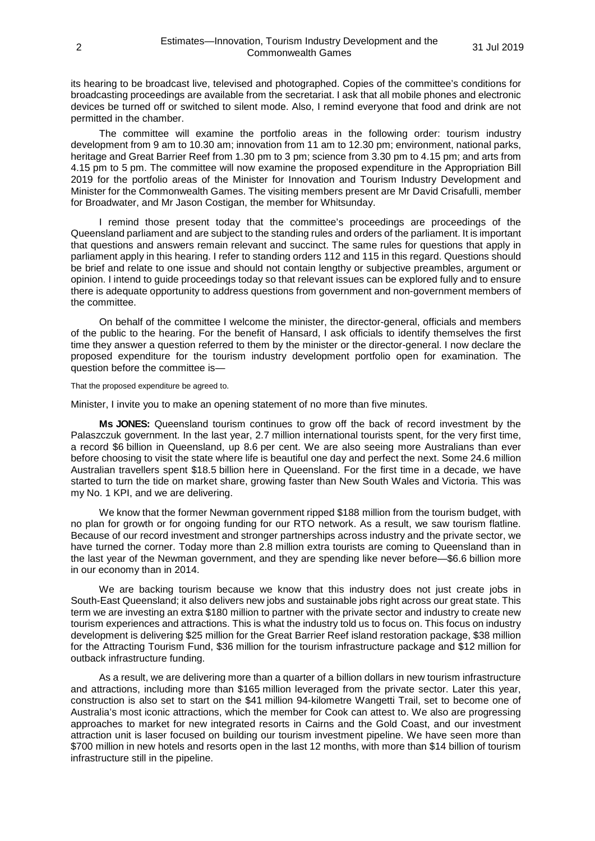its hearing to be broadcast live, televised and photographed. Copies of the committee's conditions for broadcasting proceedings are available from the secretariat. I ask that all mobile phones and electronic devices be turned off or switched to silent mode. Also, I remind everyone that food and drink are not permitted in the chamber.

The committee will examine the portfolio areas in the following order: tourism industry development from 9 am to 10.30 am; innovation from 11 am to 12.30 pm; environment, national parks, heritage and Great Barrier Reef from 1.30 pm to 3 pm; science from 3.30 pm to 4.15 pm; and arts from 4.15 pm to 5 pm. The committee will now examine the proposed expenditure in the Appropriation Bill 2019 for the portfolio areas of the Minister for Innovation and Tourism Industry Development and Minister for the Commonwealth Games. The visiting members present are Mr David Crisafulli, member for Broadwater, and Mr Jason Costigan, the member for Whitsunday.

I remind those present today that the committee's proceedings are proceedings of the Queensland parliament and are subject to the standing rules and orders of the parliament. It is important that questions and answers remain relevant and succinct. The same rules for questions that apply in parliament apply in this hearing. I refer to standing orders 112 and 115 in this regard. Questions should be brief and relate to one issue and should not contain lengthy or subjective preambles, argument or opinion. I intend to guide proceedings today so that relevant issues can be explored fully and to ensure there is adequate opportunity to address questions from government and non-government members of the committee.

On behalf of the committee I welcome the minister, the director-general, officials and members of the public to the hearing. For the benefit of Hansard, I ask officials to identify themselves the first time they answer a question referred to them by the minister or the director-general. I now declare the proposed expenditure for the tourism industry development portfolio open for examination. The question before the committee is—

That the proposed expenditure be agreed to.

Minister, I invite you to make an opening statement of no more than five minutes.

**Ms JONES:** Queensland tourism continues to grow off the back of record investment by the Palaszczuk government. In the last year, 2.7 million international tourists spent, for the very first time, a record \$6 billion in Queensland, up 8.6 per cent. We are also seeing more Australians than ever before choosing to visit the state where life is beautiful one day and perfect the next. Some 24.6 million Australian travellers spent \$18.5 billion here in Queensland. For the first time in a decade, we have started to turn the tide on market share, growing faster than New South Wales and Victoria. This was my No. 1 KPI, and we are delivering.

We know that the former Newman government ripped \$188 million from the tourism budget, with no plan for growth or for ongoing funding for our RTO network. As a result, we saw tourism flatline. Because of our record investment and stronger partnerships across industry and the private sector, we have turned the corner. Today more than 2.8 million extra tourists are coming to Queensland than in the last year of the Newman government, and they are spending like never before—\$6.6 billion more in our economy than in 2014.

We are backing tourism because we know that this industry does not just create jobs in South-East Queensland; it also delivers new jobs and sustainable jobs right across our great state. This term we are investing an extra \$180 million to partner with the private sector and industry to create new tourism experiences and attractions. This is what the industry told us to focus on. This focus on industry development is delivering \$25 million for the Great Barrier Reef island restoration package, \$38 million for the Attracting Tourism Fund, \$36 million for the tourism infrastructure package and \$12 million for outback infrastructure funding.

As a result, we are delivering more than a quarter of a billion dollars in new tourism infrastructure and attractions, including more than \$165 million leveraged from the private sector. Later this year, construction is also set to start on the \$41 million 94-kilometre Wangetti Trail, set to become one of Australia's most iconic attractions, which the member for Cook can attest to. We also are progressing approaches to market for new integrated resorts in Cairns and the Gold Coast, and our investment attraction unit is laser focused on building our tourism investment pipeline. We have seen more than \$700 million in new hotels and resorts open in the last 12 months, with more than \$14 billion of tourism infrastructure still in the pipeline.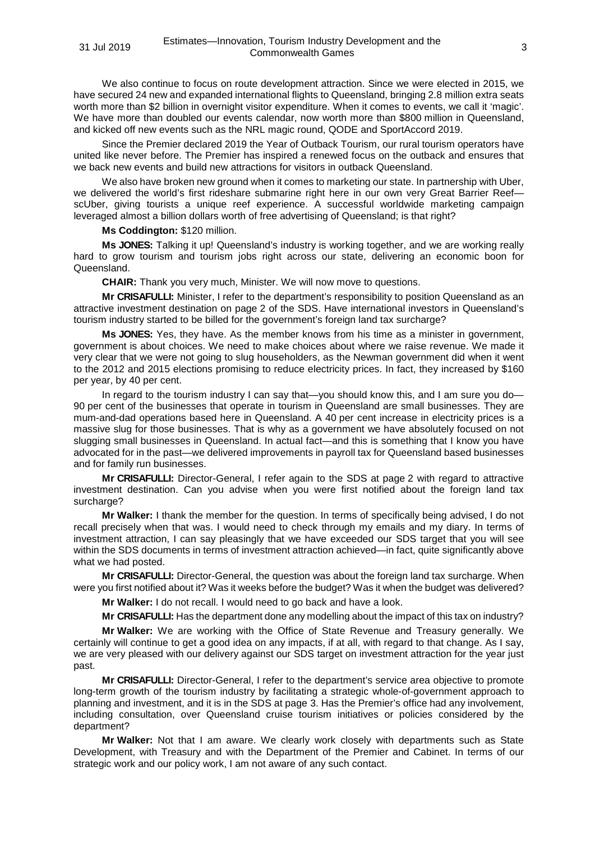We also continue to focus on route development attraction. Since we were elected in 2015, we have secured 24 new and expanded international flights to Queensland, bringing 2.8 million extra seats worth more than \$2 billion in overnight visitor expenditure. When it comes to events, we call it 'magic'. We have more than doubled our events calendar, now worth more than \$800 million in Queensland, and kicked off new events such as the NRL magic round, QODE and SportAccord 2019.

Since the Premier declared 2019 the Year of Outback Tourism, our rural tourism operators have united like never before. The Premier has inspired a renewed focus on the outback and ensures that we back new events and build new attractions for visitors in outback Queensland.

We also have broken new ground when it comes to marketing our state. In partnership with Uber, we delivered the world's first rideshare submarine right here in our own very Great Barrier ReefscUber, giving tourists a unique reef experience. A successful worldwide marketing campaign leveraged almost a billion dollars worth of free advertising of Queensland; is that right?

**Ms Coddington:** \$120 million.

**Ms JONES:** Talking it up! Queensland's industry is working together, and we are working really hard to grow tourism and tourism jobs right across our state, delivering an economic boon for Queensland.

**CHAIR:** Thank you very much, Minister. We will now move to questions.

**Mr CRISAFULLI:** Minister, I refer to the department's responsibility to position Queensland as an attractive investment destination on page 2 of the SDS. Have international investors in Queensland's tourism industry started to be billed for the government's foreign land tax surcharge?

**Ms JONES:** Yes, they have. As the member knows from his time as a minister in government, government is about choices. We need to make choices about where we raise revenue. We made it very clear that we were not going to slug householders, as the Newman government did when it went to the 2012 and 2015 elections promising to reduce electricity prices. In fact, they increased by \$160 per year, by 40 per cent.

In regard to the tourism industry I can say that—you should know this, and I am sure you do— 90 per cent of the businesses that operate in tourism in Queensland are small businesses. They are mum-and-dad operations based here in Queensland. A 40 per cent increase in electricity prices is a massive slug for those businesses. That is why as a government we have absolutely focused on not slugging small businesses in Queensland. In actual fact—and this is something that I know you have advocated for in the past—we delivered improvements in payroll tax for Queensland based businesses and for family run businesses.

**Mr CRISAFULLI:** Director-General, I refer again to the SDS at page 2 with regard to attractive investment destination. Can you advise when you were first notified about the foreign land tax surcharge?

**Mr Walker:** I thank the member for the question. In terms of specifically being advised, I do not recall precisely when that was. I would need to check through my emails and my diary. In terms of investment attraction, I can say pleasingly that we have exceeded our SDS target that you will see within the SDS documents in terms of investment attraction achieved—in fact, quite significantly above what we had posted.

**Mr CRISAFULLI:** Director-General, the question was about the foreign land tax surcharge. When were you first notified about it? Was it weeks before the budget? Was it when the budget was delivered?

**Mr Walker:** I do not recall. I would need to go back and have a look.

**Mr CRISAFULLI:** Has the department done any modelling about the impact of this tax on industry?

**Mr Walker:** We are working with the Office of State Revenue and Treasury generally. We certainly will continue to get a good idea on any impacts, if at all, with regard to that change. As I say, we are very pleased with our delivery against our SDS target on investment attraction for the year just past.

**Mr CRISAFULLI:** Director-General, I refer to the department's service area objective to promote long-term growth of the tourism industry by facilitating a strategic whole-of-government approach to planning and investment, and it is in the SDS at page 3. Has the Premier's office had any involvement, including consultation, over Queensland cruise tourism initiatives or policies considered by the department?

**Mr Walker:** Not that I am aware. We clearly work closely with departments such as State Development, with Treasury and with the Department of the Premier and Cabinet. In terms of our strategic work and our policy work, I am not aware of any such contact.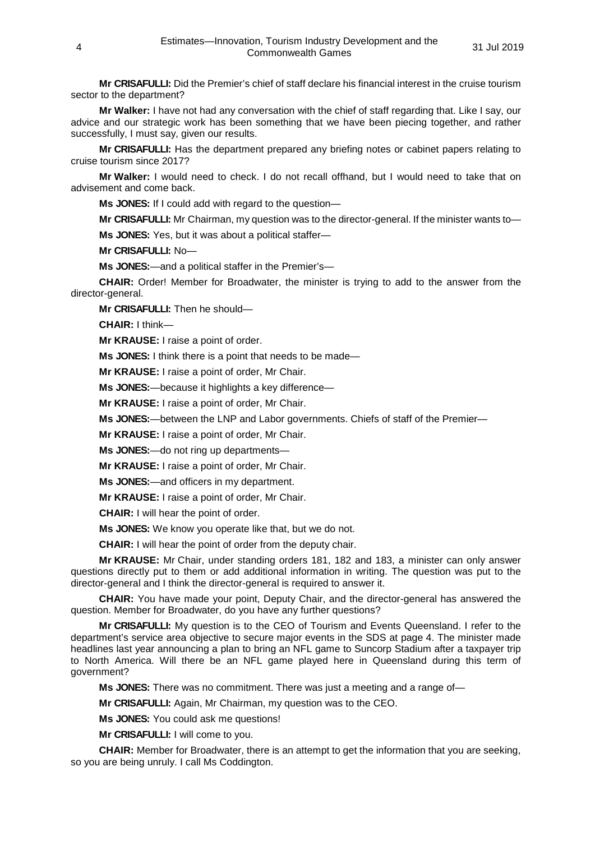**Mr CRISAFULLI:** Did the Premier's chief of staff declare his financial interest in the cruise tourism sector to the department?

**Mr Walker:** I have not had any conversation with the chief of staff regarding that. Like I say, our advice and our strategic work has been something that we have been piecing together, and rather successfully, I must say, given our results.

**Mr CRISAFULLI:** Has the department prepared any briefing notes or cabinet papers relating to cruise tourism since 2017?

**Mr Walker:** I would need to check. I do not recall offhand, but I would need to take that on advisement and come back.

**Ms JONES:** If I could add with regard to the question—

**Mr CRISAFULLI:** Mr Chairman, my question was to the director-general. If the minister wants to—

**Ms JONES:** Yes, but it was about a political staffer—

**Mr CRISAFULLI:** No—

**Ms JONES:**—and a political staffer in the Premier's—

**CHAIR:** Order! Member for Broadwater, the minister is trying to add to the answer from the director-general.

**Mr CRISAFULLI:** Then he should—

**CHAIR:** I think—

**Mr KRAUSE:** I raise a point of order.

**Ms JONES:** I think there is a point that needs to be made—

**Mr KRAUSE:** I raise a point of order, Mr Chair.

**Ms JONES:**—because it highlights a key difference—

**Mr KRAUSE:** I raise a point of order, Mr Chair.

**Ms JONES:**—between the LNP and Labor governments. Chiefs of staff of the Premier—

**Mr KRAUSE:** I raise a point of order, Mr Chair.

**Ms JONES:**—do not ring up departments—

**Mr KRAUSE:** I raise a point of order, Mr Chair.

**Ms JONES:**—and officers in my department.

**Mr KRAUSE:** I raise a point of order, Mr Chair.

**CHAIR:** I will hear the point of order.

**Ms JONES:** We know you operate like that, but we do not.

**CHAIR:** I will hear the point of order from the deputy chair.

**Mr KRAUSE:** Mr Chair, under standing orders 181, 182 and 183, a minister can only answer questions directly put to them or add additional information in writing. The question was put to the director-general and I think the director-general is required to answer it.

**CHAIR:** You have made your point, Deputy Chair, and the director-general has answered the question. Member for Broadwater, do you have any further questions?

**Mr CRISAFULLI:** My question is to the CEO of Tourism and Events Queensland. I refer to the department's service area objective to secure major events in the SDS at page 4. The minister made headlines last year announcing a plan to bring an NFL game to Suncorp Stadium after a taxpayer trip to North America. Will there be an NFL game played here in Queensland during this term of government?

**Ms JONES:** There was no commitment. There was just a meeting and a range of—

**Mr CRISAFULLI:** Again, Mr Chairman, my question was to the CEO.

**Ms JONES:** You could ask me questions!

**Mr CRISAFULLI:** I will come to you.

**CHAIR:** Member for Broadwater, there is an attempt to get the information that you are seeking, so you are being unruly. I call Ms Coddington.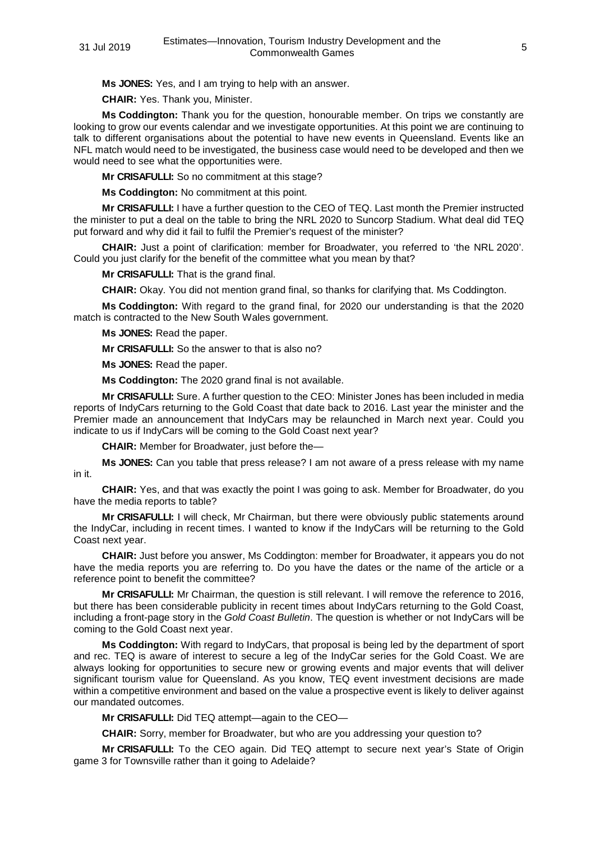**Ms JONES:** Yes, and I am trying to help with an answer.

**CHAIR:** Yes. Thank you, Minister.

**Ms Coddington:** Thank you for the question, honourable member. On trips we constantly are looking to grow our events calendar and we investigate opportunities. At this point we are continuing to talk to different organisations about the potential to have new events in Queensland. Events like an NFL match would need to be investigated, the business case would need to be developed and then we would need to see what the opportunities were.

**Mr CRISAFULLI:** So no commitment at this stage?

**Ms Coddington:** No commitment at this point.

**Mr CRISAFULLI:** I have a further question to the CEO of TEQ. Last month the Premier instructed the minister to put a deal on the table to bring the NRL 2020 to Suncorp Stadium. What deal did TEQ put forward and why did it fail to fulfil the Premier's request of the minister?

**CHAIR:** Just a point of clarification: member for Broadwater, you referred to 'the NRL 2020'. Could you just clarify for the benefit of the committee what you mean by that?

**Mr CRISAFULLI:** That is the grand final.

**CHAIR:** Okay. You did not mention grand final, so thanks for clarifying that. Ms Coddington.

**Ms Coddington:** With regard to the grand final, for 2020 our understanding is that the 2020 match is contracted to the New South Wales government.

**Ms JONES:** Read the paper.

**Mr CRISAFULLI:** So the answer to that is also no?

**Ms JONES:** Read the paper.

**Ms Coddington:** The 2020 grand final is not available.

**Mr CRISAFULLI:** Sure. A further question to the CEO: Minister Jones has been included in media reports of IndyCars returning to the Gold Coast that date back to 2016. Last year the minister and the Premier made an announcement that IndyCars may be relaunched in March next year. Could you indicate to us if IndyCars will be coming to the Gold Coast next year?

**CHAIR:** Member for Broadwater, just before the—

**Ms JONES:** Can you table that press release? I am not aware of a press release with my name in it.

**CHAIR:** Yes, and that was exactly the point I was going to ask. Member for Broadwater, do you have the media reports to table?

**Mr CRISAFULLI:** I will check, Mr Chairman, but there were obviously public statements around the IndyCar, including in recent times. I wanted to know if the IndyCars will be returning to the Gold Coast next year.

**CHAIR:** Just before you answer, Ms Coddington: member for Broadwater, it appears you do not have the media reports you are referring to. Do you have the dates or the name of the article or a reference point to benefit the committee?

**Mr CRISAFULLI:** Mr Chairman, the question is still relevant. I will remove the reference to 2016, but there has been considerable publicity in recent times about IndyCars returning to the Gold Coast, including a front-page story in the *Gold Coast Bulletin*. The question is whether or not IndyCars will be coming to the Gold Coast next year.

**Ms Coddington:** With regard to IndyCars, that proposal is being led by the department of sport and rec. TEQ is aware of interest to secure a leg of the IndyCar series for the Gold Coast. We are always looking for opportunities to secure new or growing events and major events that will deliver significant tourism value for Queensland. As you know, TEQ event investment decisions are made within a competitive environment and based on the value a prospective event is likely to deliver against our mandated outcomes.

**Mr CRISAFULLI:** Did TEQ attempt—again to the CEO—

**CHAIR:** Sorry, member for Broadwater, but who are you addressing your question to?

**Mr CRISAFULLI:** To the CEO again. Did TEQ attempt to secure next year's State of Origin game 3 for Townsville rather than it going to Adelaide?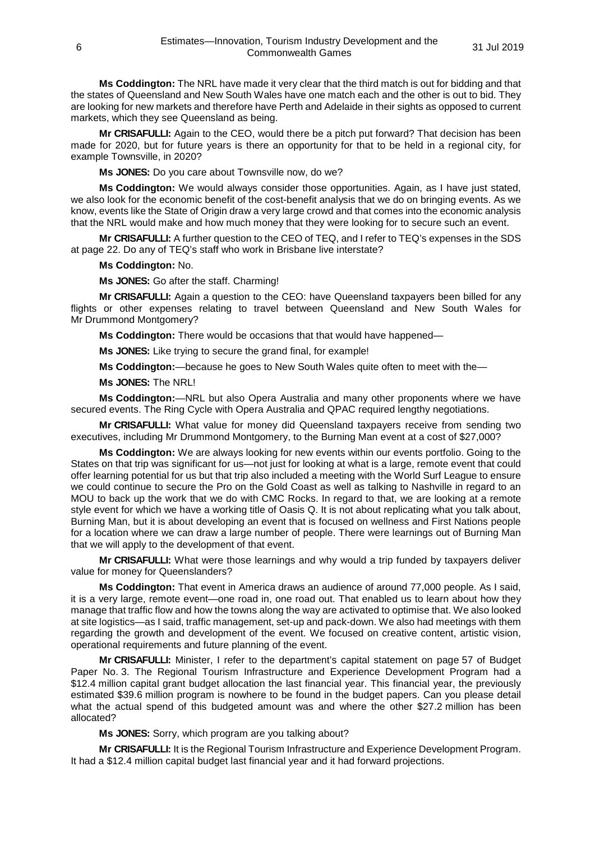**Ms Coddington:** The NRL have made it very clear that the third match is out for bidding and that the states of Queensland and New South Wales have one match each and the other is out to bid. They are looking for new markets and therefore have Perth and Adelaide in their sights as opposed to current markets, which they see Queensland as being.

**Mr CRISAFULLI:** Again to the CEO, would there be a pitch put forward? That decision has been made for 2020, but for future years is there an opportunity for that to be held in a regional city, for example Townsville, in 2020?

**Ms JONES:** Do you care about Townsville now, do we?

**Ms Coddington:** We would always consider those opportunities. Again, as I have just stated, we also look for the economic benefit of the cost-benefit analysis that we do on bringing events. As we know, events like the State of Origin draw a very large crowd and that comes into the economic analysis that the NRL would make and how much money that they were looking for to secure such an event.

**Mr CRISAFULLI:** A further question to the CEO of TEQ, and I refer to TEQ's expenses in the SDS at page 22. Do any of TEQ's staff who work in Brisbane live interstate?

#### **Ms Coddington:** No.

**Ms JONES:** Go after the staff. Charming!

**Mr CRISAFULLI:** Again a question to the CEO: have Queensland taxpayers been billed for any flights or other expenses relating to travel between Queensland and New South Wales for Mr Drummond Montgomery?

**Ms Coddington:** There would be occasions that that would have happened—

**Ms JONES:** Like trying to secure the grand final, for example!

**Ms Coddington:**—because he goes to New South Wales quite often to meet with the—

**Ms JONES:** The NRL!

**Ms Coddington:**—NRL but also Opera Australia and many other proponents where we have secured events. The Ring Cycle with Opera Australia and QPAC required lengthy negotiations.

**Mr CRISAFULLI:** What value for money did Queensland taxpayers receive from sending two executives, including Mr Drummond Montgomery, to the Burning Man event at a cost of \$27,000?

**Ms Coddington:** We are always looking for new events within our events portfolio. Going to the States on that trip was significant for us—not just for looking at what is a large, remote event that could offer learning potential for us but that trip also included a meeting with the World Surf League to ensure we could continue to secure the Pro on the Gold Coast as well as talking to Nashville in regard to an MOU to back up the work that we do with CMC Rocks. In regard to that, we are looking at a remote style event for which we have a working title of Oasis Q. It is not about replicating what you talk about, Burning Man, but it is about developing an event that is focused on wellness and First Nations people for a location where we can draw a large number of people. There were learnings out of Burning Man that we will apply to the development of that event.

**Mr CRISAFULLI:** What were those learnings and why would a trip funded by taxpayers deliver value for money for Queenslanders?

**Ms Coddington:** That event in America draws an audience of around 77,000 people. As I said, it is a very large, remote event—one road in, one road out. That enabled us to learn about how they manage that traffic flow and how the towns along the way are activated to optimise that. We also looked at site logistics—as I said, traffic management, set-up and pack-down. We also had meetings with them regarding the growth and development of the event. We focused on creative content, artistic vision, operational requirements and future planning of the event.

**Mr CRISAFULLI:** Minister, I refer to the department's capital statement on page 57 of Budget Paper No. 3. The Regional Tourism Infrastructure and Experience Development Program had a \$12.4 million capital grant budget allocation the last financial year. This financial year, the previously estimated \$39.6 million program is nowhere to be found in the budget papers. Can you please detail what the actual spend of this budgeted amount was and where the other \$27.2 million has been allocated?

**Ms JONES:** Sorry, which program are you talking about?

**Mr CRISAFULLI:** It is the Regional Tourism Infrastructure and Experience Development Program. It had a \$12.4 million capital budget last financial year and it had forward projections.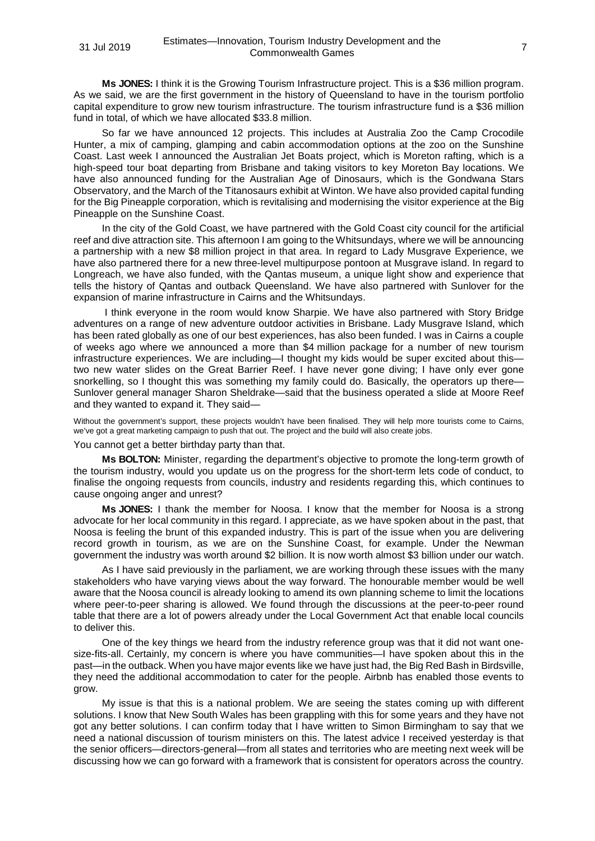**Ms JONES:** I think it is the Growing Tourism Infrastructure project. This is a \$36 million program. As we said, we are the first government in the history of Queensland to have in the tourism portfolio capital expenditure to grow new tourism infrastructure. The tourism infrastructure fund is a \$36 million fund in total, of which we have allocated \$33.8 million.

So far we have announced 12 projects. This includes at Australia Zoo the Camp Crocodile Hunter, a mix of camping, glamping and cabin accommodation options at the zoo on the Sunshine Coast. Last week I announced the Australian Jet Boats project, which is Moreton rafting, which is a high-speed tour boat departing from Brisbane and taking visitors to key Moreton Bay locations. We have also announced funding for the Australian Age of Dinosaurs, which is the Gondwana Stars Observatory, and the March of the Titanosaurs exhibit at Winton. We have also provided capital funding for the Big Pineapple corporation, which is revitalising and modernising the visitor experience at the Big Pineapple on the Sunshine Coast.

In the city of the Gold Coast, we have partnered with the Gold Coast city council for the artificial reef and dive attraction site. This afternoon I am going to the Whitsundays, where we will be announcing a partnership with a new \$8 million project in that area. In regard to Lady Musgrave Experience, we have also partnered there for a new three-level multipurpose pontoon at Musgrave island. In regard to Longreach, we have also funded, with the Qantas museum, a unique light show and experience that tells the history of Qantas and outback Queensland. We have also partnered with Sunlover for the expansion of marine infrastructure in Cairns and the Whitsundays.

I think everyone in the room would know Sharpie. We have also partnered with Story Bridge adventures on a range of new adventure outdoor activities in Brisbane. Lady Musgrave Island, which has been rated globally as one of our best experiences, has also been funded. I was in Cairns a couple of weeks ago where we announced a more than \$4 million package for a number of new tourism infrastructure experiences. We are including—I thought my kids would be super excited about this two new water slides on the Great Barrier Reef. I have never gone diving; I have only ever gone snorkelling, so I thought this was something my family could do. Basically, the operators up there-Sunlover general manager Sharon Sheldrake—said that the business operated a slide at Moore Reef and they wanted to expand it. They said—

Without the government's support, these projects wouldn't have been finalised. They will help more tourists come to Cairns, we've got a great marketing campaign to push that out. The project and the build will also create jobs.

You cannot get a better birthday party than that.

**Ms BOLTON:** Minister, regarding the department's objective to promote the long-term growth of the tourism industry, would you update us on the progress for the short-term lets code of conduct, to finalise the ongoing requests from councils, industry and residents regarding this, which continues to cause ongoing anger and unrest?

**Ms JONES:** I thank the member for Noosa. I know that the member for Noosa is a strong advocate for her local community in this regard. I appreciate, as we have spoken about in the past, that Noosa is feeling the brunt of this expanded industry. This is part of the issue when you are delivering record growth in tourism, as we are on the Sunshine Coast, for example. Under the Newman government the industry was worth around \$2 billion. It is now worth almost \$3 billion under our watch.

As I have said previously in the parliament, we are working through these issues with the many stakeholders who have varying views about the way forward. The honourable member would be well aware that the Noosa council is already looking to amend its own planning scheme to limit the locations where peer-to-peer sharing is allowed. We found through the discussions at the peer-to-peer round table that there are a lot of powers already under the Local Government Act that enable local councils to deliver this.

One of the key things we heard from the industry reference group was that it did not want onesize-fits-all. Certainly, my concern is where you have communities—I have spoken about this in the past—in the outback. When you have major events like we have just had, the Big Red Bash in Birdsville, they need the additional accommodation to cater for the people. Airbnb has enabled those events to grow.

My issue is that this is a national problem. We are seeing the states coming up with different solutions. I know that New South Wales has been grappling with this for some years and they have not got any better solutions. I can confirm today that I have written to Simon Birmingham to say that we need a national discussion of tourism ministers on this. The latest advice I received yesterday is that the senior officers—directors-general—from all states and territories who are meeting next week will be discussing how we can go forward with a framework that is consistent for operators across the country.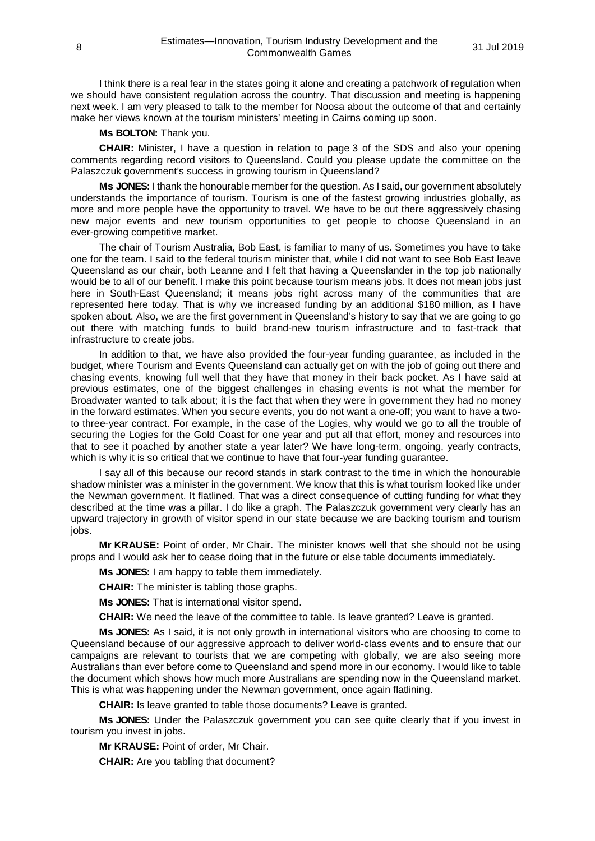I think there is a real fear in the states going it alone and creating a patchwork of regulation when we should have consistent regulation across the country. That discussion and meeting is happening next week. I am very pleased to talk to the member for Noosa about the outcome of that and certainly make her views known at the tourism ministers' meeting in Cairns coming up soon.

**Ms BOLTON:** Thank you.

**CHAIR:** Minister, I have a question in relation to page 3 of the SDS and also your opening comments regarding record visitors to Queensland. Could you please update the committee on the Palaszczuk government's success in growing tourism in Queensland?

**Ms JONES:** I thank the honourable member for the question. As I said, our government absolutely understands the importance of tourism. Tourism is one of the fastest growing industries globally, as more and more people have the opportunity to travel. We have to be out there aggressively chasing new major events and new tourism opportunities to get people to choose Queensland in an ever-growing competitive market.

The chair of Tourism Australia, Bob East, is familiar to many of us. Sometimes you have to take one for the team. I said to the federal tourism minister that, while I did not want to see Bob East leave Queensland as our chair, both Leanne and I felt that having a Queenslander in the top job nationally would be to all of our benefit. I make this point because tourism means jobs. It does not mean jobs just here in South-East Queensland; it means jobs right across many of the communities that are represented here today. That is why we increased funding by an additional \$180 million, as I have spoken about. Also, we are the first government in Queensland's history to say that we are going to go out there with matching funds to build brand-new tourism infrastructure and to fast-track that infrastructure to create jobs.

In addition to that, we have also provided the four-year funding guarantee, as included in the budget, where Tourism and Events Queensland can actually get on with the job of going out there and chasing events, knowing full well that they have that money in their back pocket. As I have said at previous estimates, one of the biggest challenges in chasing events is not what the member for Broadwater wanted to talk about; it is the fact that when they were in government they had no money in the forward estimates. When you secure events, you do not want a one-off; you want to have a twoto three-year contract. For example, in the case of the Logies, why would we go to all the trouble of securing the Logies for the Gold Coast for one year and put all that effort, money and resources into that to see it poached by another state a year later? We have long-term, ongoing, yearly contracts, which is why it is so critical that we continue to have that four-year funding quarantee.

I say all of this because our record stands in stark contrast to the time in which the honourable shadow minister was a minister in the government. We know that this is what tourism looked like under the Newman government. It flatlined. That was a direct consequence of cutting funding for what they described at the time was a pillar. I do like a graph. The Palaszczuk government very clearly has an upward trajectory in growth of visitor spend in our state because we are backing tourism and tourism jobs.

**Mr KRAUSE:** Point of order, Mr Chair. The minister knows well that she should not be using props and I would ask her to cease doing that in the future or else table documents immediately.

**Ms JONES:** I am happy to table them immediately.

**CHAIR:** The minister is tabling those graphs.

**Ms JONES:** That is international visitor spend.

**CHAIR:** We need the leave of the committee to table. Is leave granted? Leave is granted.

**Ms JONES:** As I said, it is not only growth in international visitors who are choosing to come to Queensland because of our aggressive approach to deliver world-class events and to ensure that our campaigns are relevant to tourists that we are competing with globally, we are also seeing more Australians than ever before come to Queensland and spend more in our economy. I would like to table the document which shows how much more Australians are spending now in the Queensland market. This is what was happening under the Newman government, once again flatlining.

**CHAIR:** Is leave granted to table those documents? Leave is granted.

**Ms JONES:** Under the Palaszczuk government you can see quite clearly that if you invest in tourism you invest in jobs.

**Mr KRAUSE:** Point of order, Mr Chair.

**CHAIR:** Are you tabling that document?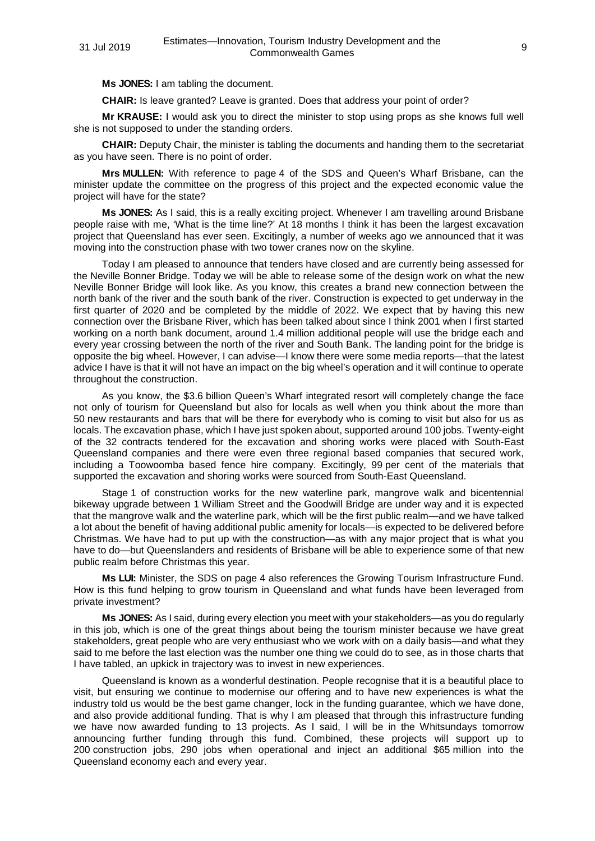**Ms JONES:** I am tabling the document.

**CHAIR:** Is leave granted? Leave is granted. Does that address your point of order?

**Mr KRAUSE:** I would ask you to direct the minister to stop using props as she knows full well she is not supposed to under the standing orders.

**CHAIR:** Deputy Chair, the minister is tabling the documents and handing them to the secretariat as you have seen. There is no point of order.

**Mrs MULLEN:** With reference to page 4 of the SDS and Queen's Wharf Brisbane, can the minister update the committee on the progress of this project and the expected economic value the project will have for the state?

**Ms JONES:** As I said, this is a really exciting project. Whenever I am travelling around Brisbane people raise with me, 'What is the time line?' At 18 months I think it has been the largest excavation project that Queensland has ever seen. Excitingly, a number of weeks ago we announced that it was moving into the construction phase with two tower cranes now on the skyline.

Today I am pleased to announce that tenders have closed and are currently being assessed for the Neville Bonner Bridge. Today we will be able to release some of the design work on what the new Neville Bonner Bridge will look like. As you know, this creates a brand new connection between the north bank of the river and the south bank of the river. Construction is expected to get underway in the first quarter of 2020 and be completed by the middle of 2022. We expect that by having this new connection over the Brisbane River, which has been talked about since I think 2001 when I first started working on a north bank document, around 1.4 million additional people will use the bridge each and every year crossing between the north of the river and South Bank. The landing point for the bridge is opposite the big wheel. However, I can advise—I know there were some media reports—that the latest advice I have is that it will not have an impact on the big wheel's operation and it will continue to operate throughout the construction.

As you know, the \$3.6 billion Queen's Wharf integrated resort will completely change the face not only of tourism for Queensland but also for locals as well when you think about the more than 50 new restaurants and bars that will be there for everybody who is coming to visit but also for us as locals. The excavation phase, which I have just spoken about, supported around 100 jobs. Twenty-eight of the 32 contracts tendered for the excavation and shoring works were placed with South-East Queensland companies and there were even three regional based companies that secured work, including a Toowoomba based fence hire company. Excitingly, 99 per cent of the materials that supported the excavation and shoring works were sourced from South-East Queensland.

Stage 1 of construction works for the new waterline park, mangrove walk and bicentennial bikeway upgrade between 1 William Street and the Goodwill Bridge are under way and it is expected that the mangrove walk and the waterline park, which will be the first public realm—and we have talked a lot about the benefit of having additional public amenity for locals—is expected to be delivered before Christmas. We have had to put up with the construction—as with any major project that is what you have to do—but Queenslanders and residents of Brisbane will be able to experience some of that new public realm before Christmas this year.

**Ms LUI:** Minister, the SDS on page 4 also references the Growing Tourism Infrastructure Fund. How is this fund helping to grow tourism in Queensland and what funds have been leveraged from private investment?

**Ms JONES:** As I said, during every election you meet with your stakeholders—as you do regularly in this job, which is one of the great things about being the tourism minister because we have great stakeholders, great people who are very enthusiast who we work with on a daily basis—and what they said to me before the last election was the number one thing we could do to see, as in those charts that I have tabled, an upkick in trajectory was to invest in new experiences.

Queensland is known as a wonderful destination. People recognise that it is a beautiful place to visit, but ensuring we continue to modernise our offering and to have new experiences is what the industry told us would be the best game changer, lock in the funding guarantee, which we have done, and also provide additional funding. That is why I am pleased that through this infrastructure funding we have now awarded funding to 13 projects. As I said, I will be in the Whitsundays tomorrow announcing further funding through this fund. Combined, these projects will support up to 200 construction jobs, 290 jobs when operational and inject an additional \$65 million into the Queensland economy each and every year.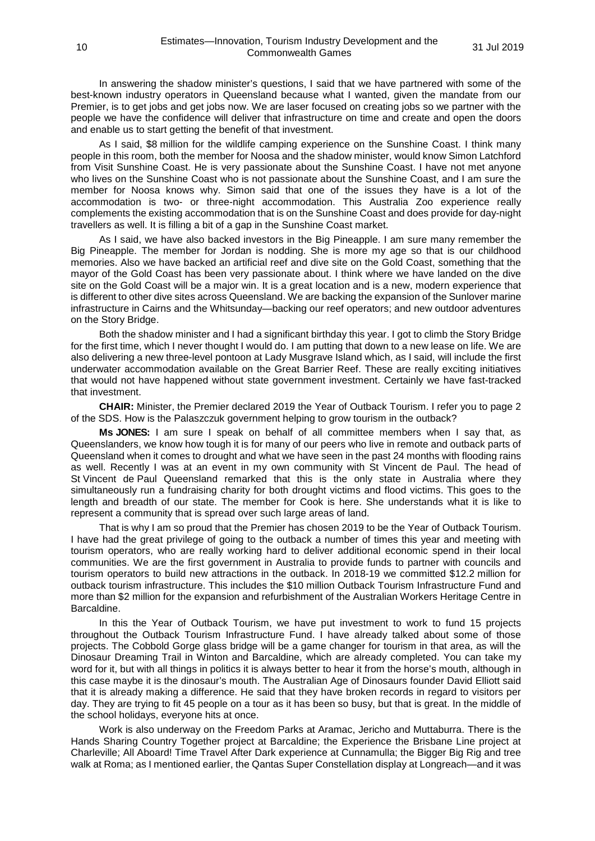In answering the shadow minister's questions, I said that we have partnered with some of the best-known industry operators in Queensland because what I wanted, given the mandate from our Premier, is to get jobs and get jobs now. We are laser focused on creating jobs so we partner with the people we have the confidence will deliver that infrastructure on time and create and open the doors and enable us to start getting the benefit of that investment.

As I said, \$8 million for the wildlife camping experience on the Sunshine Coast. I think many people in this room, both the member for Noosa and the shadow minister, would know Simon Latchford from Visit Sunshine Coast. He is very passionate about the Sunshine Coast. I have not met anyone who lives on the Sunshine Coast who is not passionate about the Sunshine Coast, and I am sure the member for Noosa knows why. Simon said that one of the issues they have is a lot of the accommodation is two- or three-night accommodation. This Australia Zoo experience really complements the existing accommodation that is on the Sunshine Coast and does provide for day-night travellers as well. It is filling a bit of a gap in the Sunshine Coast market.

As I said, we have also backed investors in the Big Pineapple. I am sure many remember the Big Pineapple. The member for Jordan is nodding. She is more my age so that is our childhood memories. Also we have backed an artificial reef and dive site on the Gold Coast, something that the mayor of the Gold Coast has been very passionate about. I think where we have landed on the dive site on the Gold Coast will be a major win. It is a great location and is a new, modern experience that is different to other dive sites across Queensland. We are backing the expansion of the Sunlover marine infrastructure in Cairns and the Whitsunday—backing our reef operators; and new outdoor adventures on the Story Bridge.

Both the shadow minister and I had a significant birthday this year. I got to climb the Story Bridge for the first time, which I never thought I would do. I am putting that down to a new lease on life. We are also delivering a new three-level pontoon at Lady Musgrave Island which, as I said, will include the first underwater accommodation available on the Great Barrier Reef. These are really exciting initiatives that would not have happened without state government investment. Certainly we have fast-tracked that investment.

**CHAIR:** Minister, the Premier declared 2019 the Year of Outback Tourism. I refer you to page 2 of the SDS. How is the Palaszczuk government helping to grow tourism in the outback?

**Ms JONES:** I am sure I speak on behalf of all committee members when I say that, as Queenslanders, we know how tough it is for many of our peers who live in remote and outback parts of Queensland when it comes to drought and what we have seen in the past 24 months with flooding rains as well. Recently I was at an event in my own community with St Vincent de Paul. The head of St Vincent de Paul Queensland remarked that this is the only state in Australia where they simultaneously run a fundraising charity for both drought victims and flood victims. This goes to the length and breadth of our state. The member for Cook is here. She understands what it is like to represent a community that is spread over such large areas of land.

That is why I am so proud that the Premier has chosen 2019 to be the Year of Outback Tourism. I have had the great privilege of going to the outback a number of times this year and meeting with tourism operators, who are really working hard to deliver additional economic spend in their local communities. We are the first government in Australia to provide funds to partner with councils and tourism operators to build new attractions in the outback. In 2018-19 we committed \$12.2 million for outback tourism infrastructure. This includes the \$10 million Outback Tourism Infrastructure Fund and more than \$2 million for the expansion and refurbishment of the Australian Workers Heritage Centre in Barcaldine.

In this the Year of Outback Tourism, we have put investment to work to fund 15 projects throughout the Outback Tourism Infrastructure Fund. I have already talked about some of those projects. The Cobbold Gorge glass bridge will be a game changer for tourism in that area, as will the Dinosaur Dreaming Trail in Winton and Barcaldine, which are already completed. You can take my word for it, but with all things in politics it is always better to hear it from the horse's mouth, although in this case maybe it is the dinosaur's mouth. The Australian Age of Dinosaurs founder David Elliott said that it is already making a difference. He said that they have broken records in regard to visitors per day. They are trying to fit 45 people on a tour as it has been so busy, but that is great. In the middle of the school holidays, everyone hits at once.

Work is also underway on the Freedom Parks at Aramac, Jericho and Muttaburra. There is the Hands Sharing Country Together project at Barcaldine; the Experience the Brisbane Line project at Charleville; All Aboard! Time Travel After Dark experience at Cunnamulla; the Bigger Big Rig and tree walk at Roma; as I mentioned earlier, the Qantas Super Constellation display at Longreach—and it was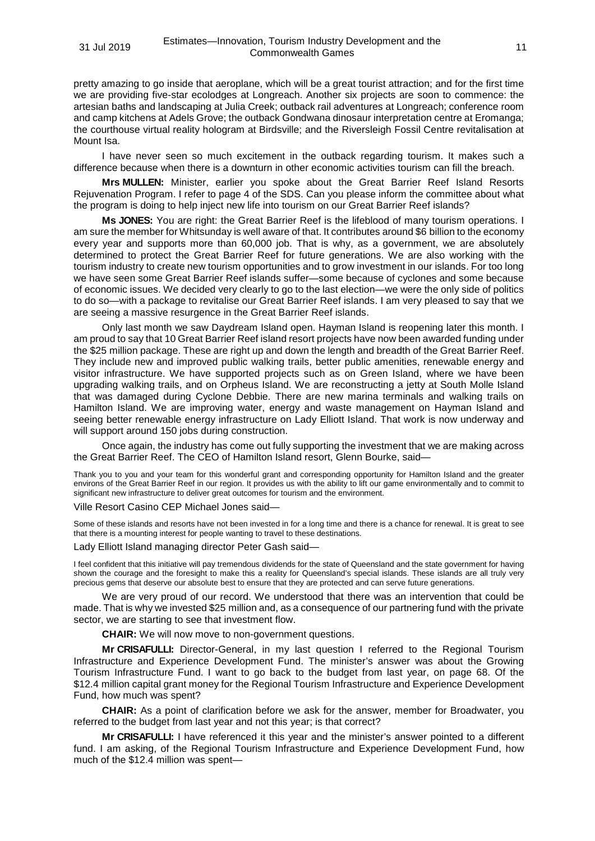pretty amazing to go inside that aeroplane, which will be a great tourist attraction; and for the first time we are providing five-star ecolodges at Longreach. Another six projects are soon to commence: the artesian baths and landscaping at Julia Creek; outback rail adventures at Longreach; conference room and camp kitchens at Adels Grove; the outback Gondwana dinosaur interpretation centre at Eromanga; the courthouse virtual reality hologram at Birdsville; and the Riversleigh Fossil Centre revitalisation at Mount Isa.

I have never seen so much excitement in the outback regarding tourism. It makes such a difference because when there is a downturn in other economic activities tourism can fill the breach.

**Mrs MULLEN:** Minister, earlier you spoke about the Great Barrier Reef Island Resorts Rejuvenation Program. I refer to page 4 of the SDS. Can you please inform the committee about what the program is doing to help inject new life into tourism on our Great Barrier Reef islands?

**Ms JONES:** You are right: the Great Barrier Reef is the lifeblood of many tourism operations. I am sure the member for Whitsunday is well aware of that. It contributes around \$6 billion to the economy every year and supports more than 60,000 job. That is why, as a government, we are absolutely determined to protect the Great Barrier Reef for future generations. We are also working with the tourism industry to create new tourism opportunities and to grow investment in our islands. For too long we have seen some Great Barrier Reef islands suffer—some because of cyclones and some because of economic issues. We decided very clearly to go to the last election—we were the only side of politics to do so—with a package to revitalise our Great Barrier Reef islands. I am very pleased to say that we are seeing a massive resurgence in the Great Barrier Reef islands.

Only last month we saw Daydream Island open. Hayman Island is reopening later this month. I am proud to say that 10 Great Barrier Reef island resort projects have now been awarded funding under the \$25 million package. These are right up and down the length and breadth of the Great Barrier Reef. They include new and improved public walking trails, better public amenities, renewable energy and visitor infrastructure. We have supported projects such as on Green Island, where we have been upgrading walking trails, and on Orpheus Island. We are reconstructing a jetty at South Molle Island that was damaged during Cyclone Debbie. There are new marina terminals and walking trails on Hamilton Island. We are improving water, energy and waste management on Hayman Island and seeing better renewable energy infrastructure on Lady Elliott Island. That work is now underway and will support around 150 jobs during construction.

Once again, the industry has come out fully supporting the investment that we are making across the Great Barrier Reef. The CEO of Hamilton Island resort, Glenn Bourke, said—

Thank you to you and your team for this wonderful grant and corresponding opportunity for Hamilton Island and the greater environs of the Great Barrier Reef in our region. It provides us with the ability to lift our game environmentally and to commit to significant new infrastructure to deliver great outcomes for tourism and the environment.

# Ville Resort Casino CEP Michael Jones said—

Some of these islands and resorts have not been invested in for a long time and there is a chance for renewal. It is great to see that there is a mounting interest for people wanting to travel to these destinations.

Lady Elliott Island managing director Peter Gash said—

I feel confident that this initiative will pay tremendous dividends for the state of Queensland and the state government for having shown the courage and the foresight to make this a reality for Queensland's special islands. These islands are all truly very precious gems that deserve our absolute best to ensure that they are protected and can serve future generations.

We are very proud of our record. We understood that there was an intervention that could be made. That is why we invested \$25 million and, as a consequence of our partnering fund with the private sector, we are starting to see that investment flow.

**CHAIR:** We will now move to non-government questions.

**Mr CRISAFULLI:** Director-General, in my last question I referred to the Regional Tourism Infrastructure and Experience Development Fund. The minister's answer was about the Growing Tourism Infrastructure Fund. I want to go back to the budget from last year, on page 68. Of the \$12.4 million capital grant money for the Regional Tourism Infrastructure and Experience Development Fund, how much was spent?

**CHAIR:** As a point of clarification before we ask for the answer, member for Broadwater, you referred to the budget from last year and not this year; is that correct?

**Mr CRISAFULLI:** I have referenced it this year and the minister's answer pointed to a different fund. I am asking, of the Regional Tourism Infrastructure and Experience Development Fund, how much of the \$12.4 million was spent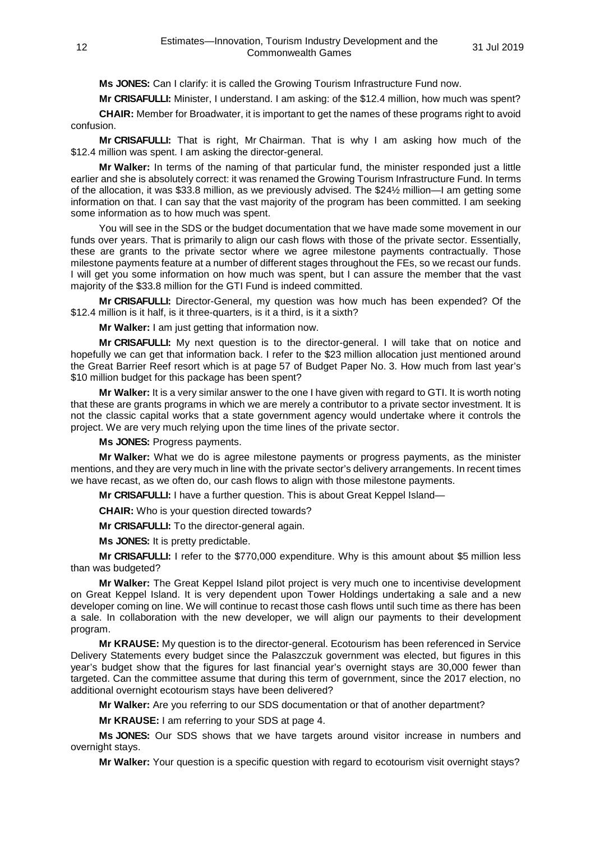**Ms JONES:** Can I clarify: it is called the Growing Tourism Infrastructure Fund now.

**Mr CRISAFULLI:** Minister, I understand. I am asking: of the \$12.4 million, how much was spent?

**CHAIR:** Member for Broadwater, it is important to get the names of these programs right to avoid confusion.

**Mr CRISAFULLI:** That is right, Mr Chairman. That is why I am asking how much of the \$12.4 million was spent. I am asking the director-general.

**Mr Walker:** In terms of the naming of that particular fund, the minister responded just a little earlier and she is absolutely correct: it was renamed the Growing Tourism Infrastructure Fund. In terms of the allocation, it was \$33.8 million, as we previously advised. The \$24½ million—I am getting some information on that. I can say that the vast majority of the program has been committed. I am seeking some information as to how much was spent.

You will see in the SDS or the budget documentation that we have made some movement in our funds over years. That is primarily to align our cash flows with those of the private sector. Essentially, these are grants to the private sector where we agree milestone payments contractually. Those milestone payments feature at a number of different stages throughout the FEs, so we recast our funds. I will get you some information on how much was spent, but I can assure the member that the vast majority of the \$33.8 million for the GTI Fund is indeed committed.

**Mr CRISAFULLI:** Director-General, my question was how much has been expended? Of the \$12.4 million is it half, is it three-quarters, is it a third, is it a sixth?

**Mr Walker:** I am just getting that information now.

**Mr CRISAFULLI:** My next question is to the director-general. I will take that on notice and hopefully we can get that information back. I refer to the \$23 million allocation just mentioned around the Great Barrier Reef resort which is at page 57 of Budget Paper No. 3. How much from last year's \$10 million budget for this package has been spent?

**Mr Walker:** It is a very similar answer to the one I have given with regard to GTI. It is worth noting that these are grants programs in which we are merely a contributor to a private sector investment. It is not the classic capital works that a state government agency would undertake where it controls the project. We are very much relying upon the time lines of the private sector.

**Ms JONES:** Progress payments.

**Mr Walker:** What we do is agree milestone payments or progress payments, as the minister mentions, and they are very much in line with the private sector's delivery arrangements. In recent times we have recast, as we often do, our cash flows to align with those milestone payments.

**Mr CRISAFULLI:** I have a further question. This is about Great Keppel Island—

**CHAIR:** Who is your question directed towards?

**Mr CRISAFULLI:** To the director-general again.

**Ms JONES:** It is pretty predictable.

**Mr CRISAFULLI:** I refer to the \$770,000 expenditure. Why is this amount about \$5 million less than was budgeted?

**Mr Walker:** The Great Keppel Island pilot project is very much one to incentivise development on Great Keppel Island. It is very dependent upon Tower Holdings undertaking a sale and a new developer coming on line. We will continue to recast those cash flows until such time as there has been a sale. In collaboration with the new developer, we will align our payments to their development program.

**Mr KRAUSE:** My question is to the director-general. Ecotourism has been referenced in Service Delivery Statements every budget since the Palaszczuk government was elected, but figures in this year's budget show that the figures for last financial year's overnight stays are 30,000 fewer than targeted. Can the committee assume that during this term of government, since the 2017 election, no additional overnight ecotourism stays have been delivered?

**Mr Walker:** Are you referring to our SDS documentation or that of another department?

**Mr KRAUSE:** I am referring to your SDS at page 4.

**Ms JONES:** Our SDS shows that we have targets around visitor increase in numbers and overnight stays.

**Mr Walker:** Your question is a specific question with regard to ecotourism visit overnight stays?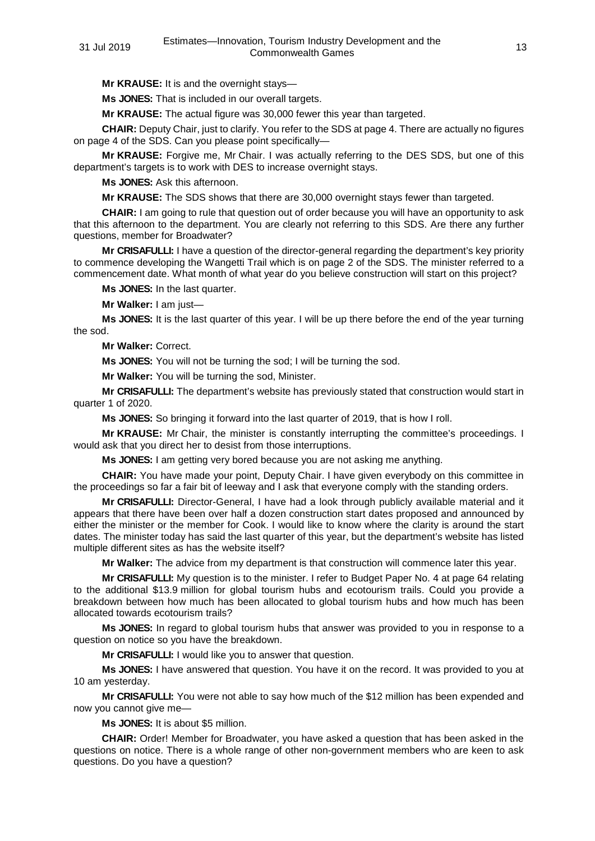**Mr KRAUSE:** It is and the overnight stays—

**Ms JONES:** That is included in our overall targets.

**Mr KRAUSE:** The actual figure was 30,000 fewer this year than targeted.

**CHAIR:** Deputy Chair, just to clarify. You refer to the SDS at page 4. There are actually no figures on page 4 of the SDS. Can you please point specifically—

**Mr KRAUSE:** Forgive me, Mr Chair. I was actually referring to the DES SDS, but one of this department's targets is to work with DES to increase overnight stays.

**Ms JONES:** Ask this afternoon.

**Mr KRAUSE:** The SDS shows that there are 30,000 overnight stays fewer than targeted.

**CHAIR:** I am going to rule that question out of order because you will have an opportunity to ask that this afternoon to the department. You are clearly not referring to this SDS. Are there any further questions, member for Broadwater?

**Mr CRISAFULLI:** I have a question of the director-general regarding the department's key priority to commence developing the Wangetti Trail which is on page 2 of the SDS. The minister referred to a commencement date. What month of what year do you believe construction will start on this project?

**Ms JONES:** In the last quarter.

**Mr Walker:** I am just—

**Ms JONES:** It is the last quarter of this year. I will be up there before the end of the year turning the sod.

**Mr Walker:** Correct.

**Ms JONES:** You will not be turning the sod; I will be turning the sod.

**Mr Walker:** You will be turning the sod, Minister.

**Mr CRISAFULLI:** The department's website has previously stated that construction would start in quarter 1 of 2020.

**Ms JONES:** So bringing it forward into the last quarter of 2019, that is how I roll.

**Mr KRAUSE:** Mr Chair, the minister is constantly interrupting the committee's proceedings. I would ask that you direct her to desist from those interruptions.

**Ms JONES:** I am getting very bored because you are not asking me anything.

**CHAIR:** You have made your point, Deputy Chair. I have given everybody on this committee in the proceedings so far a fair bit of leeway and I ask that everyone comply with the standing orders.

**Mr CRISAFULLI:** Director-General, I have had a look through publicly available material and it appears that there have been over half a dozen construction start dates proposed and announced by either the minister or the member for Cook. I would like to know where the clarity is around the start dates. The minister today has said the last quarter of this year, but the department's website has listed multiple different sites as has the website itself?

**Mr Walker:** The advice from my department is that construction will commence later this year.

**Mr CRISAFULLI:** My question is to the minister. I refer to Budget Paper No. 4 at page 64 relating to the additional \$13.9 million for global tourism hubs and ecotourism trails. Could you provide a breakdown between how much has been allocated to global tourism hubs and how much has been allocated towards ecotourism trails?

**Ms JONES:** In regard to global tourism hubs that answer was provided to you in response to a question on notice so you have the breakdown.

**Mr CRISAFULLI:** I would like you to answer that question.

**Ms JONES:** I have answered that question. You have it on the record. It was provided to you at 10 am yesterday.

**Mr CRISAFULLI:** You were not able to say how much of the \$12 million has been expended and now you cannot give me—

**Ms JONES:** It is about \$5 million.

**CHAIR:** Order! Member for Broadwater, you have asked a question that has been asked in the questions on notice. There is a whole range of other non-government members who are keen to ask questions. Do you have a question?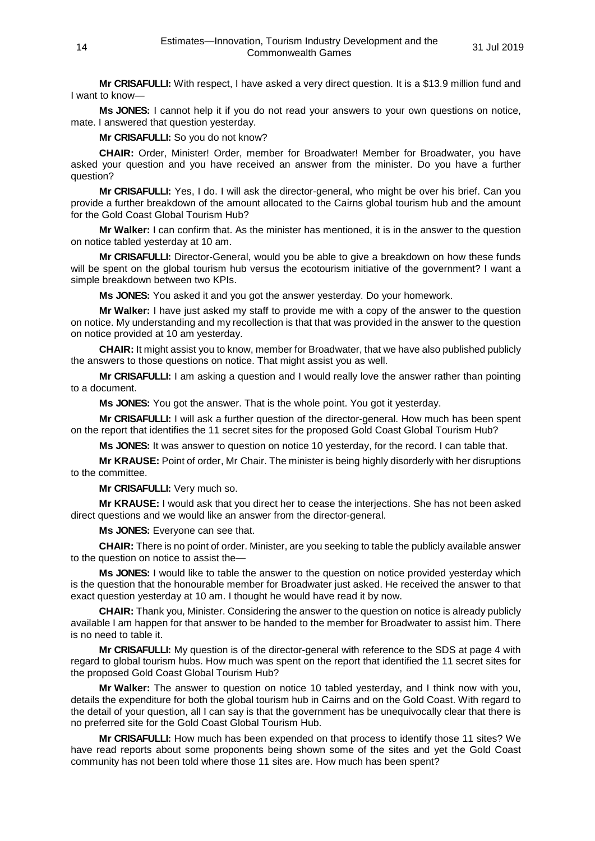**Mr CRISAFULLI:** With respect, I have asked a very direct question. It is a \$13.9 million fund and I want to know—

**Ms JONES:** I cannot help it if you do not read your answers to your own questions on notice, mate. I answered that question yesterday.

**Mr CRISAFULLI:** So you do not know?

**CHAIR:** Order, Minister! Order, member for Broadwater! Member for Broadwater, you have asked your question and you have received an answer from the minister. Do you have a further question?

**Mr CRISAFULLI:** Yes, I do. I will ask the director-general, who might be over his brief. Can you provide a further breakdown of the amount allocated to the Cairns global tourism hub and the amount for the Gold Coast Global Tourism Hub?

**Mr Walker:** I can confirm that. As the minister has mentioned, it is in the answer to the question on notice tabled yesterday at 10 am.

**Mr CRISAFULLI:** Director-General, would you be able to give a breakdown on how these funds will be spent on the global tourism hub versus the ecotourism initiative of the government? I want a simple breakdown between two KPIs.

**Ms JONES:** You asked it and you got the answer yesterday. Do your homework.

**Mr Walker:** I have just asked my staff to provide me with a copy of the answer to the question on notice. My understanding and my recollection is that that was provided in the answer to the question on notice provided at 10 am yesterday.

**CHAIR:** It might assist you to know, member for Broadwater, that we have also published publicly the answers to those questions on notice. That might assist you as well.

**Mr CRISAFULLI:** I am asking a question and I would really love the answer rather than pointing to a document.

**Ms JONES:** You got the answer. That is the whole point. You got it yesterday.

**Mr CRISAFULLI:** I will ask a further question of the director-general. How much has been spent on the report that identifies the 11 secret sites for the proposed Gold Coast Global Tourism Hub?

**Ms JONES:** It was answer to question on notice 10 yesterday, for the record. I can table that.

**Mr KRAUSE:** Point of order, Mr Chair. The minister is being highly disorderly with her disruptions to the committee.

**Mr CRISAFULLI:** Very much so.

**Mr KRAUSE:** I would ask that you direct her to cease the interjections. She has not been asked direct questions and we would like an answer from the director-general.

**Ms JONES:** Everyone can see that.

**CHAIR:** There is no point of order. Minister, are you seeking to table the publicly available answer to the question on notice to assist the—

**Ms JONES:** I would like to table the answer to the question on notice provided yesterday which is the question that the honourable member for Broadwater just asked. He received the answer to that exact question yesterday at 10 am. I thought he would have read it by now.

**CHAIR:** Thank you, Minister. Considering the answer to the question on notice is already publicly available I am happen for that answer to be handed to the member for Broadwater to assist him. There is no need to table it.

**Mr CRISAFULLI:** My question is of the director-general with reference to the SDS at page 4 with regard to global tourism hubs. How much was spent on the report that identified the 11 secret sites for the proposed Gold Coast Global Tourism Hub?

**Mr Walker:** The answer to question on notice 10 tabled yesterday, and I think now with you, details the expenditure for both the global tourism hub in Cairns and on the Gold Coast. With regard to the detail of your question, all I can say is that the government has be unequivocally clear that there is no preferred site for the Gold Coast Global Tourism Hub.

**Mr CRISAFULLI:** How much has been expended on that process to identify those 11 sites? We have read reports about some proponents being shown some of the sites and yet the Gold Coast community has not been told where those 11 sites are. How much has been spent?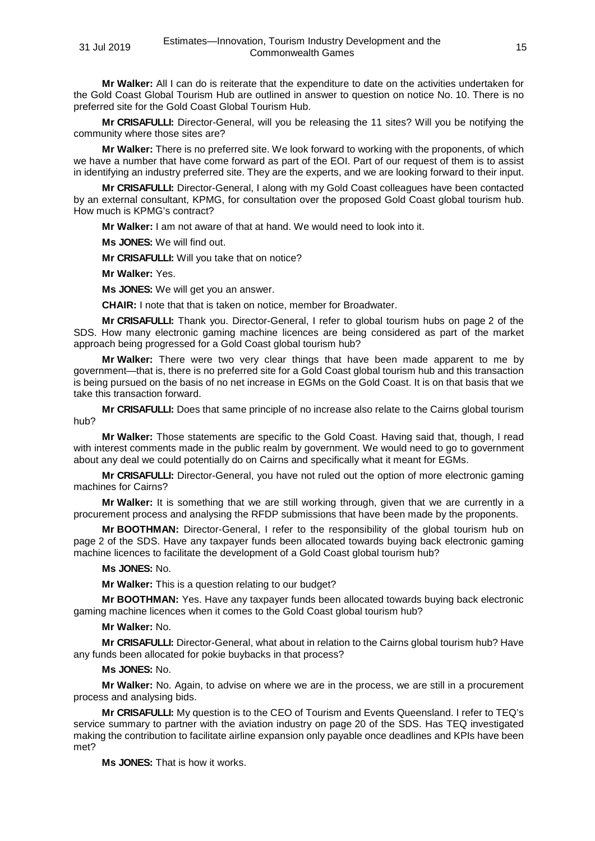**Mr Walker:** All I can do is reiterate that the expenditure to date on the activities undertaken for the Gold Coast Global Tourism Hub are outlined in answer to question on notice No. 10. There is no preferred site for the Gold Coast Global Tourism Hub.

**Mr CRISAFULLI:** Director-General, will you be releasing the 11 sites? Will you be notifying the community where those sites are?

**Mr Walker:** There is no preferred site. We look forward to working with the proponents, of which we have a number that have come forward as part of the EOI. Part of our request of them is to assist in identifying an industry preferred site. They are the experts, and we are looking forward to their input.

**Mr CRISAFULLI:** Director-General, I along with my Gold Coast colleagues have been contacted by an external consultant, KPMG, for consultation over the proposed Gold Coast global tourism hub. How much is KPMG's contract?

**Mr Walker:** I am not aware of that at hand. We would need to look into it.

**Ms JONES:** We will find out.

**Mr CRISAFULLI:** Will you take that on notice?

**Mr Walker:** Yes.

**Ms JONES:** We will get you an answer.

**CHAIR:** I note that that is taken on notice, member for Broadwater.

**Mr CRISAFULLI:** Thank you. Director-General, I refer to global tourism hubs on page 2 of the SDS. How many electronic gaming machine licences are being considered as part of the market approach being progressed for a Gold Coast global tourism hub?

**Mr Walker:** There were two very clear things that have been made apparent to me by government—that is, there is no preferred site for a Gold Coast global tourism hub and this transaction is being pursued on the basis of no net increase in EGMs on the Gold Coast. It is on that basis that we take this transaction forward.

**Mr CRISAFULLI:** Does that same principle of no increase also relate to the Cairns global tourism hub?

**Mr Walker:** Those statements are specific to the Gold Coast. Having said that, though, I read with interest comments made in the public realm by government. We would need to go to government about any deal we could potentially do on Cairns and specifically what it meant for EGMs.

**Mr CRISAFULLI:** Director-General, you have not ruled out the option of more electronic gaming machines for Cairns?

**Mr Walker:** It is something that we are still working through, given that we are currently in a procurement process and analysing the RFDP submissions that have been made by the proponents.

**Mr BOOTHMAN:** Director-General, I refer to the responsibility of the global tourism hub on page 2 of the SDS. Have any taxpayer funds been allocated towards buying back electronic gaming machine licences to facilitate the development of a Gold Coast global tourism hub?

#### **Ms JONES:** No.

**Mr Walker:** This is a question relating to our budget?

**Mr BOOTHMAN:** Yes. Have any taxpayer funds been allocated towards buying back electronic gaming machine licences when it comes to the Gold Coast global tourism hub?

# **Mr Walker:** No.

**Mr CRISAFULLI:** Director-General, what about in relation to the Cairns global tourism hub? Have any funds been allocated for pokie buybacks in that process?

# **Ms JONES:** No.

**Mr Walker:** No. Again, to advise on where we are in the process, we are still in a procurement process and analysing bids.

**Mr CRISAFULLI:** My question is to the CEO of Tourism and Events Queensland. I refer to TEQ's service summary to partner with the aviation industry on page 20 of the SDS. Has TEQ investigated making the contribution to facilitate airline expansion only payable once deadlines and KPIs have been met?

**Ms JONES:** That is how it works.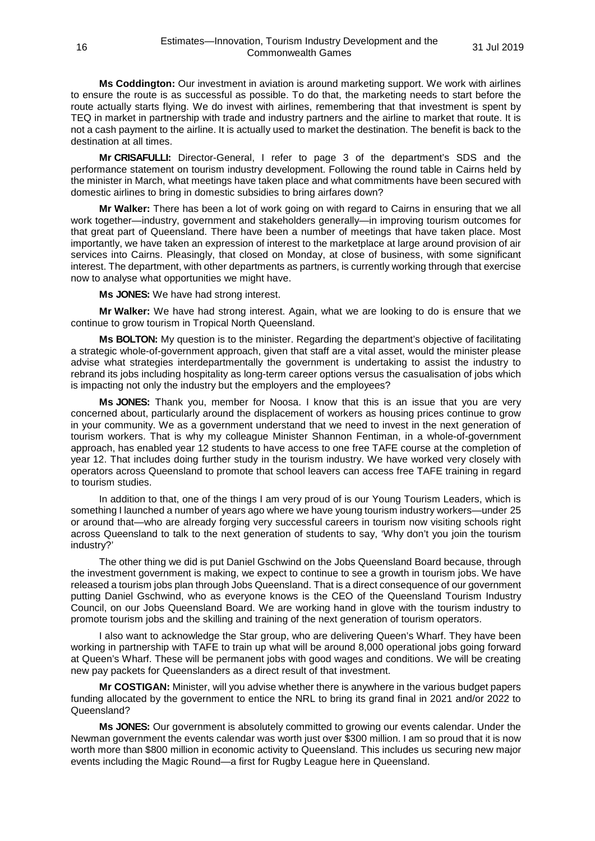**Ms Coddington:** Our investment in aviation is around marketing support. We work with airlines to ensure the route is as successful as possible. To do that, the marketing needs to start before the route actually starts flying. We do invest with airlines, remembering that that investment is spent by TEQ in market in partnership with trade and industry partners and the airline to market that route. It is not a cash payment to the airline. It is actually used to market the destination. The benefit is back to the destination at all times.

**Mr CRISAFULLI:** Director-General, I refer to page 3 of the department's SDS and the performance statement on tourism industry development. Following the round table in Cairns held by the minister in March, what meetings have taken place and what commitments have been secured with domestic airlines to bring in domestic subsidies to bring airfares down?

**Mr Walker:** There has been a lot of work going on with regard to Cairns in ensuring that we all work together—industry, government and stakeholders generally—in improving tourism outcomes for that great part of Queensland. There have been a number of meetings that have taken place. Most importantly, we have taken an expression of interest to the marketplace at large around provision of air services into Cairns. Pleasingly, that closed on Monday, at close of business, with some significant interest. The department, with other departments as partners, is currently working through that exercise now to analyse what opportunities we might have.

**Ms JONES:** We have had strong interest.

**Mr Walker:** We have had strong interest. Again, what we are looking to do is ensure that we continue to grow tourism in Tropical North Queensland.

**Ms BOLTON:** My question is to the minister. Regarding the department's objective of facilitating a strategic whole-of-government approach, given that staff are a vital asset, would the minister please advise what strategies interdepartmentally the government is undertaking to assist the industry to rebrand its jobs including hospitality as long-term career options versus the casualisation of jobs which is impacting not only the industry but the employers and the employees?

**Ms JONES:** Thank you, member for Noosa. I know that this is an issue that you are very concerned about, particularly around the displacement of workers as housing prices continue to grow in your community. We as a government understand that we need to invest in the next generation of tourism workers. That is why my colleague Minister Shannon Fentiman, in a whole-of-government approach, has enabled year 12 students to have access to one free TAFE course at the completion of year 12. That includes doing further study in the tourism industry. We have worked very closely with operators across Queensland to promote that school leavers can access free TAFE training in regard to tourism studies.

In addition to that, one of the things I am very proud of is our Young Tourism Leaders, which is something I launched a number of years ago where we have young tourism industry workers—under 25 or around that—who are already forging very successful careers in tourism now visiting schools right across Queensland to talk to the next generation of students to say, 'Why don't you join the tourism industry?'

The other thing we did is put Daniel Gschwind on the Jobs Queensland Board because, through the investment government is making, we expect to continue to see a growth in tourism jobs. We have released a tourism jobs plan through Jobs Queensland. That is a direct consequence of our government putting Daniel Gschwind, who as everyone knows is the CEO of the Queensland Tourism Industry Council, on our Jobs Queensland Board. We are working hand in glove with the tourism industry to promote tourism jobs and the skilling and training of the next generation of tourism operators.

I also want to acknowledge the Star group, who are delivering Queen's Wharf. They have been working in partnership with TAFE to train up what will be around 8,000 operational jobs going forward at Queen's Wharf. These will be permanent jobs with good wages and conditions. We will be creating new pay packets for Queenslanders as a direct result of that investment.

**Mr COSTIGAN:** Minister, will you advise whether there is anywhere in the various budget papers funding allocated by the government to entice the NRL to bring its grand final in 2021 and/or 2022 to Queensland?

**Ms JONES:** Our government is absolutely committed to growing our events calendar. Under the Newman government the events calendar was worth just over \$300 million. I am so proud that it is now worth more than \$800 million in economic activity to Queensland. This includes us securing new major events including the Magic Round—a first for Rugby League here in Queensland.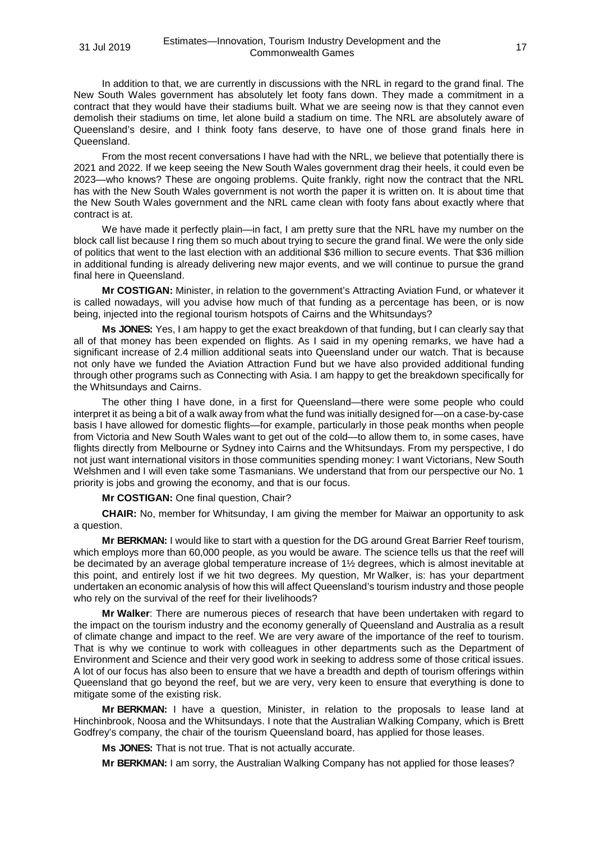In addition to that, we are currently in discussions with the NRL in regard to the grand final. The New South Wales government has absolutely let footy fans down. They made a commitment in a contract that they would have their stadiums built. What we are seeing now is that they cannot even demolish their stadiums on time, let alone build a stadium on time. The NRL are absolutely aware of Queensland's desire, and I think footy fans deserve, to have one of those grand finals here in **Queensland** 

From the most recent conversations I have had with the NRL, we believe that potentially there is 2021 and 2022. If we keep seeing the New South Wales government drag their heels, it could even be 2023—who knows? These are ongoing problems. Quite frankly, right now the contract that the NRL has with the New South Wales government is not worth the paper it is written on. It is about time that the New South Wales government and the NRL came clean with footy fans about exactly where that contract is at.

We have made it perfectly plain—in fact, I am pretty sure that the NRL have my number on the block call list because I ring them so much about trying to secure the grand final. We were the only side of politics that went to the last election with an additional \$36 million to secure events. That \$36 million in additional funding is already delivering new major events, and we will continue to pursue the grand final here in Queensland.

**Mr COSTIGAN:** Minister, in relation to the government's Attracting Aviation Fund, or whatever it is called nowadays, will you advise how much of that funding as a percentage has been, or is now being, injected into the regional tourism hotspots of Cairns and the Whitsundays?

**Ms JONES:** Yes, I am happy to get the exact breakdown of that funding, but I can clearly say that all of that money has been expended on flights. As I said in my opening remarks, we have had a significant increase of 2.4 million additional seats into Queensland under our watch. That is because not only have we funded the Aviation Attraction Fund but we have also provided additional funding through other programs such as Connecting with Asia. I am happy to get the breakdown specifically for the Whitsundays and Cairns.

The other thing I have done, in a first for Queensland—there were some people who could interpret it as being a bit of a walk away from what the fund was initially designed for—on a case-by-case basis I have allowed for domestic flights—for example, particularly in those peak months when people from Victoria and New South Wales want to get out of the cold—to allow them to, in some cases, have flights directly from Melbourne or Sydney into Cairns and the Whitsundays. From my perspective, I do not just want international visitors in those communities spending money: I want Victorians, New South Welshmen and I will even take some Tasmanians. We understand that from our perspective our No. 1 priority is jobs and growing the economy, and that is our focus.

**Mr COSTIGAN:** One final question, Chair?

**CHAIR:** No, member for Whitsunday, I am giving the member for Maiwar an opportunity to ask a question.

**Mr BERKMAN:** I would like to start with a question for the DG around Great Barrier Reef tourism, which employs more than 60,000 people, as you would be aware. The science tells us that the reef will be decimated by an average global temperature increase of 1½ degrees, which is almost inevitable at this point, and entirely lost if we hit two degrees. My question, Mr Walker, is: has your department undertaken an economic analysis of how this will affect Queensland's tourism industry and those people who rely on the survival of the reef for their livelihoods?

**Mr Walker**: There are numerous pieces of research that have been undertaken with regard to the impact on the tourism industry and the economy generally of Queensland and Australia as a result of climate change and impact to the reef. We are very aware of the importance of the reef to tourism. That is why we continue to work with colleagues in other departments such as the Department of Environment and Science and their very good work in seeking to address some of those critical issues. A lot of our focus has also been to ensure that we have a breadth and depth of tourism offerings within Queensland that go beyond the reef, but we are very, very keen to ensure that everything is done to mitigate some of the existing risk.

**Mr BERKMAN:** I have a question, Minister, in relation to the proposals to lease land at Hinchinbrook, Noosa and the Whitsundays. I note that the Australian Walking Company, which is Brett Godfrey's company, the chair of the tourism Queensland board, has applied for those leases.

**Ms JONES:** That is not true. That is not actually accurate.

**Mr BERKMAN:** I am sorry, the Australian Walking Company has not applied for those leases?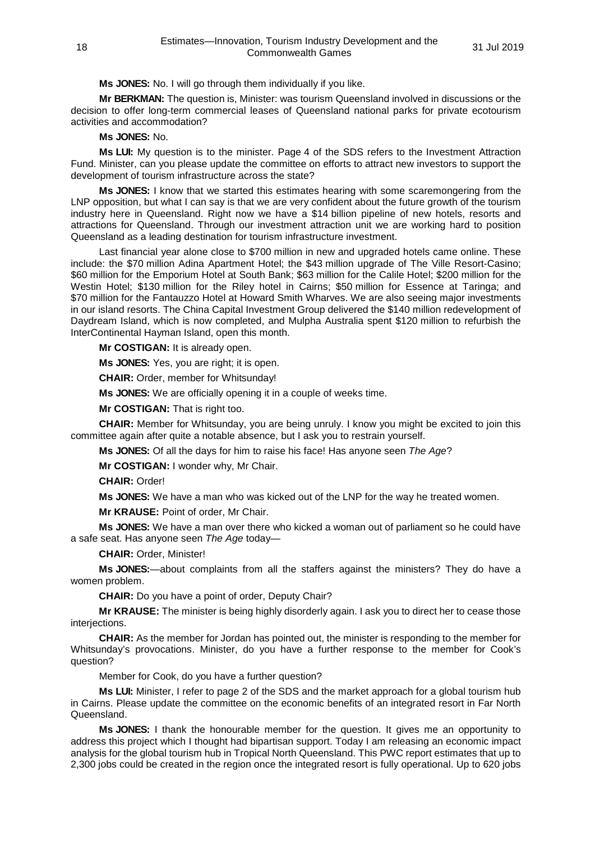**Ms JONES:** No. I will go through them individually if you like.

**Mr BERKMAN:** The question is, Minister: was tourism Queensland involved in discussions or the decision to offer long-term commercial leases of Queensland national parks for private ecotourism activities and accommodation?

# **Ms JONES:** No.

**Ms LUI:** My question is to the minister. Page 4 of the SDS refers to the Investment Attraction Fund. Minister, can you please update the committee on efforts to attract new investors to support the development of tourism infrastructure across the state?

**Ms JONES:** I know that we started this estimates hearing with some scaremongering from the LNP opposition, but what I can say is that we are very confident about the future growth of the tourism industry here in Queensland. Right now we have a \$14 billion pipeline of new hotels, resorts and attractions for Queensland. Through our investment attraction unit we are working hard to position Queensland as a leading destination for tourism infrastructure investment.

Last financial year alone close to \$700 million in new and upgraded hotels came online. These include: the \$70 million Adina Apartment Hotel; the \$43 million upgrade of The Ville Resort-Casino; \$60 million for the Emporium Hotel at South Bank; \$63 million for the Calile Hotel; \$200 million for the Westin Hotel; \$130 million for the Riley hotel in Cairns; \$50 million for Essence at Taringa; and \$70 million for the Fantauzzo Hotel at Howard Smith Wharves. We are also seeing major investments in our island resorts. The China Capital Investment Group delivered the \$140 million redevelopment of Daydream Island, which is now completed, and Mulpha Australia spent \$120 million to refurbish the InterContinental Hayman Island, open this month.

**Mr COSTIGAN:** It is already open.

**Ms JONES:** Yes, you are right; it is open.

**CHAIR:** Order, member for Whitsunday!

**Ms JONES:** We are officially opening it in a couple of weeks time.

**Mr COSTIGAN:** That is right too.

**CHAIR:** Member for Whitsunday, you are being unruly. I know you might be excited to join this committee again after quite a notable absence, but I ask you to restrain yourself.

**Ms JONES:** Of all the days for him to raise his face! Has anyone seen *The Age*?

**Mr COSTIGAN:** I wonder why, Mr Chair.

**CHAIR:** Order!

**Ms JONES:** We have a man who was kicked out of the LNP for the way he treated women.

**Mr KRAUSE:** Point of order, Mr Chair.

**Ms JONES:** We have a man over there who kicked a woman out of parliament so he could have a safe seat. Has anyone seen *The Age* today—

**CHAIR:** Order, Minister!

**Ms JONES:**—about complaints from all the staffers against the ministers? They do have a women problem.

**CHAIR:** Do you have a point of order, Deputy Chair?

**Mr KRAUSE:** The minister is being highly disorderly again. I ask you to direct her to cease those interiections.

**CHAIR:** As the member for Jordan has pointed out, the minister is responding to the member for Whitsunday's provocations. Minister, do you have a further response to the member for Cook's question?

Member for Cook, do you have a further question?

**Ms LUI:** Minister, I refer to page 2 of the SDS and the market approach for a global tourism hub in Cairns. Please update the committee on the economic benefits of an integrated resort in Far North Queensland.

**Ms JONES:** I thank the honourable member for the question. It gives me an opportunity to address this project which I thought had bipartisan support. Today I am releasing an economic impact analysis for the global tourism hub in Tropical North Queensland. This PWC report estimates that up to 2,300 jobs could be created in the region once the integrated resort is fully operational. Up to 620 jobs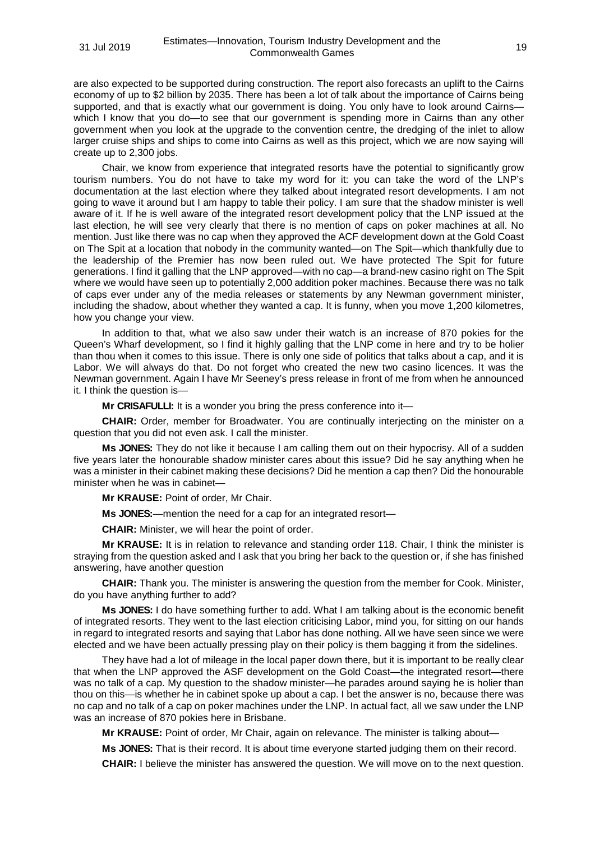are also expected to be supported during construction. The report also forecasts an uplift to the Cairns economy of up to \$2 billion by 2035. There has been a lot of talk about the importance of Cairns being supported, and that is exactly what our government is doing. You only have to look around Cairns which I know that you do—to see that our government is spending more in Cairns than any other government when you look at the upgrade to the convention centre, the dredging of the inlet to allow larger cruise ships and ships to come into Cairns as well as this project, which we are now saying will create up to 2,300 jobs.

Chair, we know from experience that integrated resorts have the potential to significantly grow tourism numbers. You do not have to take my word for it: you can take the word of the LNP's documentation at the last election where they talked about integrated resort developments. I am not going to wave it around but I am happy to table their policy. I am sure that the shadow minister is well aware of it. If he is well aware of the integrated resort development policy that the LNP issued at the last election, he will see very clearly that there is no mention of caps on poker machines at all. No mention. Just like there was no cap when they approved the ACF development down at the Gold Coast on The Spit at a location that nobody in the community wanted—on The Spit—which thankfully due to the leadership of the Premier has now been ruled out. We have protected The Spit for future generations. I find it galling that the LNP approved—with no cap—a brand-new casino right on The Spit where we would have seen up to potentially 2,000 addition poker machines. Because there was no talk of caps ever under any of the media releases or statements by any Newman government minister, including the shadow, about whether they wanted a cap. It is funny, when you move 1,200 kilometres, how you change your view.

In addition to that, what we also saw under their watch is an increase of 870 pokies for the Queen's Wharf development, so I find it highly galling that the LNP come in here and try to be holier than thou when it comes to this issue. There is only one side of politics that talks about a cap, and it is Labor. We will always do that. Do not forget who created the new two casino licences. It was the Newman government. Again I have Mr Seeney's press release in front of me from when he announced it. I think the question is—

**Mr CRISAFULLI:** It is a wonder you bring the press conference into it—

**CHAIR:** Order, member for Broadwater. You are continually interjecting on the minister on a question that you did not even ask. I call the minister.

**Ms JONES:** They do not like it because I am calling them out on their hypocrisy. All of a sudden five years later the honourable shadow minister cares about this issue? Did he say anything when he was a minister in their cabinet making these decisions? Did he mention a cap then? Did the honourable minister when he was in cabinet—

**Mr KRAUSE:** Point of order, Mr Chair.

**Ms JONES:**—mention the need for a cap for an integrated resort—

**CHAIR:** Minister, we will hear the point of order.

**Mr KRAUSE:** It is in relation to relevance and standing order 118. Chair, I think the minister is straying from the question asked and I ask that you bring her back to the question or, if she has finished answering, have another question

**CHAIR:** Thank you. The minister is answering the question from the member for Cook. Minister, do you have anything further to add?

**Ms JONES:** I do have something further to add. What I am talking about is the economic benefit of integrated resorts. They went to the last election criticising Labor, mind you, for sitting on our hands in regard to integrated resorts and saying that Labor has done nothing. All we have seen since we were elected and we have been actually pressing play on their policy is them bagging it from the sidelines.

They have had a lot of mileage in the local paper down there, but it is important to be really clear that when the LNP approved the ASF development on the Gold Coast—the integrated resort—there was no talk of a cap. My question to the shadow minister—he parades around saying he is holier than thou on this—is whether he in cabinet spoke up about a cap. I bet the answer is no, because there was no cap and no talk of a cap on poker machines under the LNP. In actual fact, all we saw under the LNP was an increase of 870 pokies here in Brisbane.

**Mr KRAUSE:** Point of order, Mr Chair, again on relevance. The minister is talking about—

**Ms JONES:** That is their record. It is about time everyone started judging them on their record.

**CHAIR:** I believe the minister has answered the question. We will move on to the next question.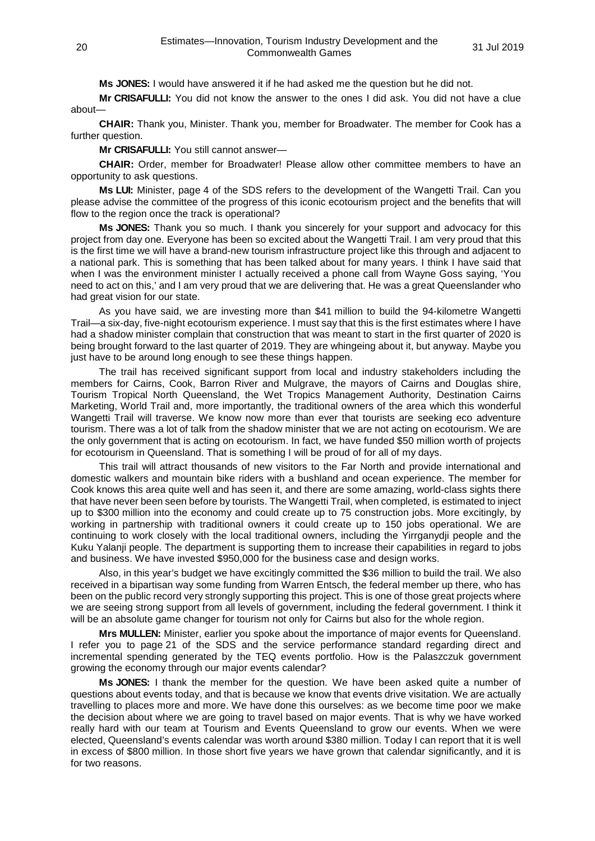**Ms JONES:** I would have answered it if he had asked me the question but he did not.

**Mr CRISAFULLI:** You did not know the answer to the ones I did ask. You did not have a clue about—

**CHAIR:** Thank you, Minister. Thank you, member for Broadwater. The member for Cook has a further question.

**Mr CRISAFULLI:** You still cannot answer—

**CHAIR:** Order, member for Broadwater! Please allow other committee members to have an opportunity to ask questions.

**Ms LUI:** Minister, page 4 of the SDS refers to the development of the Wangetti Trail. Can you please advise the committee of the progress of this iconic ecotourism project and the benefits that will flow to the region once the track is operational?

**Ms JONES:** Thank you so much. I thank you sincerely for your support and advocacy for this project from day one. Everyone has been so excited about the Wangetti Trail. I am very proud that this is the first time we will have a brand-new tourism infrastructure project like this through and adjacent to a national park. This is something that has been talked about for many years. I think I have said that when I was the environment minister I actually received a phone call from Wayne Goss saying, 'You need to act on this,' and I am very proud that we are delivering that. He was a great Queenslander who had great vision for our state.

As you have said, we are investing more than \$41 million to build the 94-kilometre Wangetti Trail—a six-day, five-night ecotourism experience. I must say that this is the first estimates where I have had a shadow minister complain that construction that was meant to start in the first quarter of 2020 is being brought forward to the last quarter of 2019. They are whingeing about it, but anyway. Maybe you just have to be around long enough to see these things happen.

The trail has received significant support from local and industry stakeholders including the members for Cairns, Cook, Barron River and Mulgrave, the mayors of Cairns and Douglas shire, Tourism Tropical North Queensland, the Wet Tropics Management Authority, Destination Cairns Marketing, World Trail and, more importantly, the traditional owners of the area which this wonderful Wangetti Trail will traverse. We know now more than ever that tourists are seeking eco adventure tourism. There was a lot of talk from the shadow minister that we are not acting on ecotourism. We are the only government that is acting on ecotourism. In fact, we have funded \$50 million worth of projects for ecotourism in Queensland. That is something I will be proud of for all of my days.

This trail will attract thousands of new visitors to the Far North and provide international and domestic walkers and mountain bike riders with a bushland and ocean experience. The member for Cook knows this area quite well and has seen it, and there are some amazing, world-class sights there that have never been seen before by tourists. The Wangetti Trail, when completed, is estimated to inject up to \$300 million into the economy and could create up to 75 construction jobs. More excitingly, by working in partnership with traditional owners it could create up to 150 jobs operational. We are continuing to work closely with the local traditional owners, including the Yirrganydji people and the Kuku Yalanji people. The department is supporting them to increase their capabilities in regard to jobs and business. We have invested \$950,000 for the business case and design works.

Also, in this year's budget we have excitingly committed the \$36 million to build the trail. We also received in a bipartisan way some funding from Warren Entsch, the federal member up there, who has been on the public record very strongly supporting this project. This is one of those great projects where we are seeing strong support from all levels of government, including the federal government. I think it will be an absolute game changer for tourism not only for Cairns but also for the whole region.

**Mrs MULLEN:** Minister, earlier you spoke about the importance of major events for Queensland. I refer you to page 21 of the SDS and the service performance standard regarding direct and incremental spending generated by the TEQ events portfolio. How is the Palaszczuk government growing the economy through our major events calendar?

**Ms JONES:** I thank the member for the question. We have been asked quite a number of questions about events today, and that is because we know that events drive visitation. We are actually travelling to places more and more. We have done this ourselves: as we become time poor we make the decision about where we are going to travel based on major events. That is why we have worked really hard with our team at Tourism and Events Queensland to grow our events. When we were elected, Queensland's events calendar was worth around \$380 million. Today I can report that it is well in excess of \$800 million. In those short five years we have grown that calendar significantly, and it is for two reasons.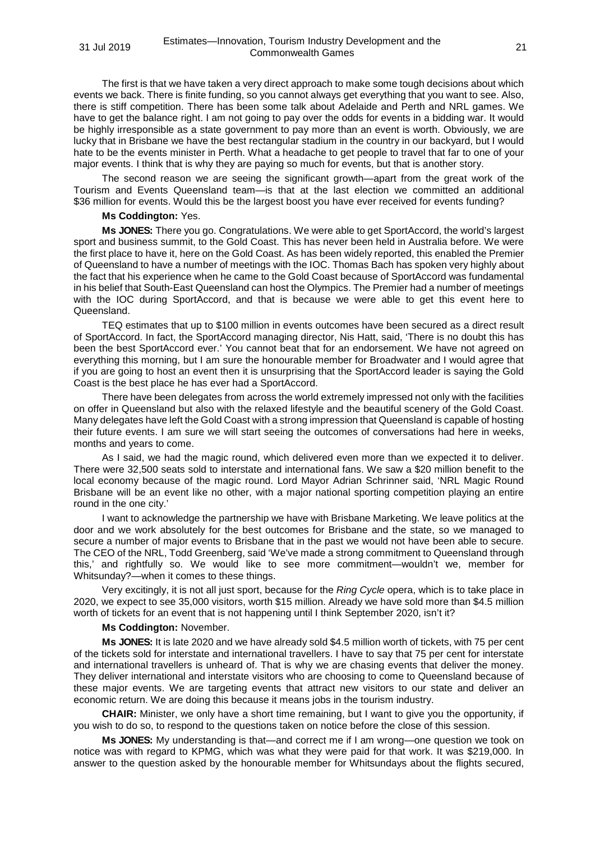The first is that we have taken a very direct approach to make some tough decisions about which events we back. There is finite funding, so you cannot always get everything that you want to see. Also, there is stiff competition. There has been some talk about Adelaide and Perth and NRL games. We have to get the balance right. I am not going to pay over the odds for events in a bidding war. It would be highly irresponsible as a state government to pay more than an event is worth. Obviously, we are lucky that in Brisbane we have the best rectangular stadium in the country in our backyard, but I would hate to be the events minister in Perth. What a headache to get people to travel that far to one of your major events. I think that is why they are paying so much for events, but that is another story.

The second reason we are seeing the significant growth—apart from the great work of the Tourism and Events Queensland team—is that at the last election we committed an additional \$36 million for events. Would this be the largest boost you have ever received for events funding?

### **Ms Coddington:** Yes.

**Ms JONES:** There you go. Congratulations. We were able to get SportAccord, the world's largest sport and business summit, to the Gold Coast. This has never been held in Australia before. We were the first place to have it, here on the Gold Coast. As has been widely reported, this enabled the Premier of Queensland to have a number of meetings with the IOC. Thomas Bach has spoken very highly about the fact that his experience when he came to the Gold Coast because of SportAccord was fundamental in his belief that South-East Queensland can host the Olympics. The Premier had a number of meetings with the IOC during SportAccord, and that is because we were able to get this event here to Queensland.

TEQ estimates that up to \$100 million in events outcomes have been secured as a direct result of SportAccord. In fact, the SportAccord managing director, Nis Hatt, said, 'There is no doubt this has been the best SportAccord ever.' You cannot beat that for an endorsement. We have not agreed on everything this morning, but I am sure the honourable member for Broadwater and I would agree that if you are going to host an event then it is unsurprising that the SportAccord leader is saying the Gold Coast is the best place he has ever had a SportAccord.

There have been delegates from across the world extremely impressed not only with the facilities on offer in Queensland but also with the relaxed lifestyle and the beautiful scenery of the Gold Coast. Many delegates have left the Gold Coast with a strong impression that Queensland is capable of hosting their future events. I am sure we will start seeing the outcomes of conversations had here in weeks, months and years to come.

As I said, we had the magic round, which delivered even more than we expected it to deliver. There were 32,500 seats sold to interstate and international fans. We saw a \$20 million benefit to the local economy because of the magic round. Lord Mayor Adrian Schrinner said, 'NRL Magic Round Brisbane will be an event like no other, with a major national sporting competition playing an entire round in the one city.'

I want to acknowledge the partnership we have with Brisbane Marketing. We leave politics at the door and we work absolutely for the best outcomes for Brisbane and the state, so we managed to secure a number of major events to Brisbane that in the past we would not have been able to secure. The CEO of the NRL, Todd Greenberg, said 'We've made a strong commitment to Queensland through this,' and rightfully so. We would like to see more commitment—wouldn't we, member for Whitsunday?—when it comes to these things.

Very excitingly, it is not all just sport, because for the *Ring Cycle* opera, which is to take place in 2020, we expect to see 35,000 visitors, worth \$15 million. Already we have sold more than \$4.5 million worth of tickets for an event that is not happening until I think September 2020, isn't it?

#### **Ms Coddington:** November.

**Ms JONES:** It is late 2020 and we have already sold \$4.5 million worth of tickets, with 75 per cent of the tickets sold for interstate and international travellers. I have to say that 75 per cent for interstate and international travellers is unheard of. That is why we are chasing events that deliver the money. They deliver international and interstate visitors who are choosing to come to Queensland because of these major events. We are targeting events that attract new visitors to our state and deliver an economic return. We are doing this because it means jobs in the tourism industry.

**CHAIR:** Minister, we only have a short time remaining, but I want to give you the opportunity, if you wish to do so, to respond to the questions taken on notice before the close of this session.

**Ms JONES:** My understanding is that—and correct me if I am wrong—one question we took on notice was with regard to KPMG, which was what they were paid for that work. It was \$219,000. In answer to the question asked by the honourable member for Whitsundays about the flights secured,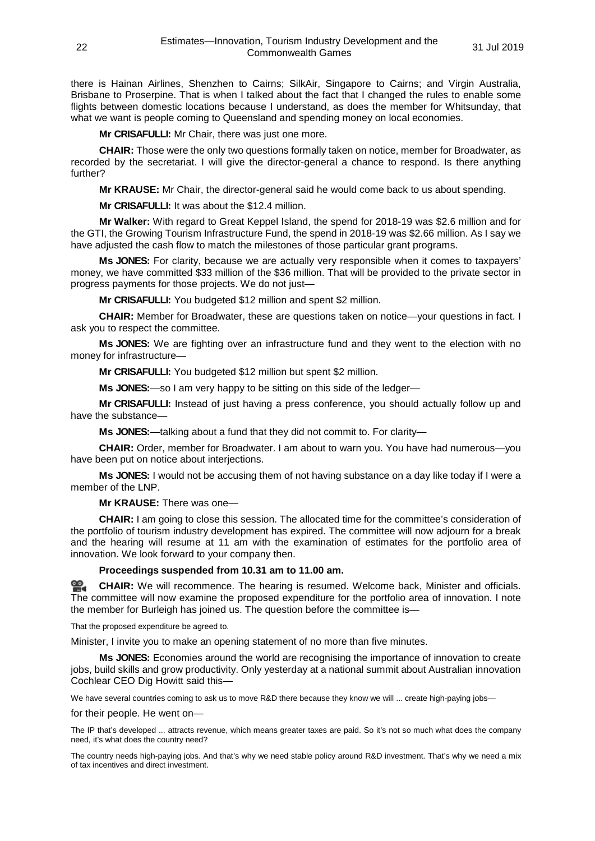there is Hainan Airlines, Shenzhen to Cairns; SilkAir, Singapore to Cairns; and Virgin Australia, Brisbane to Proserpine. That is when I talked about the fact that I changed the rules to enable some flights between domestic locations because I understand, as does the member for Whitsunday, that what we want is people coming to Queensland and spending money on local economies.

**Mr CRISAFULLI:** Mr Chair, there was just one more.

**CHAIR:** Those were the only two questions formally taken on notice, member for Broadwater, as recorded by the secretariat. I will give the director-general a chance to respond. Is there anything further?

**Mr KRAUSE:** Mr Chair, the director-general said he would come back to us about spending.

**Mr CRISAFULLI:** It was about the \$12.4 million.

**Mr Walker:** With regard to Great Keppel Island, the spend for 2018-19 was \$2.6 million and for the GTI, the Growing Tourism Infrastructure Fund, the spend in 2018-19 was \$2.66 million. As I say we have adjusted the cash flow to match the milestones of those particular grant programs.

**Ms JONES:** For clarity, because we are actually very responsible when it comes to taxpayers' money, we have committed \$33 million of the \$36 million. That will be provided to the private sector in progress payments for those projects. We do not just—

**Mr CRISAFULLI:** You budgeted \$12 million and spent \$2 million.

**CHAIR:** Member for Broadwater, these are questions taken on notice—your questions in fact. I ask you to respect the committee.

**Ms JONES:** We are fighting over an infrastructure fund and they went to the election with no money for infrastructure—

**Mr CRISAFULLI:** You budgeted \$12 million but spent \$2 million.

**Ms JONES:**—so I am very happy to be sitting on this side of the ledger—

**Mr CRISAFULLI:** Instead of just having a press conference, you should actually follow up and have the substance—

**Ms JONES:**—talking about a fund that they did not commit to. For clarity—

**CHAIR:** Order, member for Broadwater. I am about to warn you. You have had numerous—you have been put on notice about interjections.

**Ms JONES:** I would not be accusing them of not having substance on a day like today if I were a member of the LNP.

**Mr KRAUSE:** There was one—

**CHAIR:** I am going to close this session. The allocated time for the committee's consideration of the portfolio of tourism industry development has expired. The committee will now adjourn for a break and the hearing will resume at 11 am with the examination of estimates for the portfolio area of innovation. We look forward to your company then.

#### **Proceedings suspended from 10.31 am to 11.00 am.**

**[CHAIR:](http://www.parliament.qld.gov.au/docs/find.aspx?id=0Mba20190731_110014)** We will recommence. The hearing is resumed. Welcome back, Minister and officials. The committee will now examine the proposed expenditure for the portfolio area of innovation. I note the member for Burleigh has joined us. The question before the committee is—

That the proposed expenditure be agreed to.

Minister, I invite you to make an opening statement of no more than five minutes.

**Ms JONES:** Economies around the world are recognising the importance of innovation to create jobs, build skills and grow productivity. Only yesterday at a national summit about Australian innovation Cochlear CEO Dig Howitt said this—

We have several countries coming to ask us to move R&D there because they know we will ... create high-paying jobs—

for their people. He went on—

The IP that's developed ... attracts revenue, which means greater taxes are paid. So it's not so much what does the company need, it's what does the country need?

The country needs high-paying jobs. And that's why we need stable policy around R&D investment. That's why we need a mix of tax incentives and direct investment.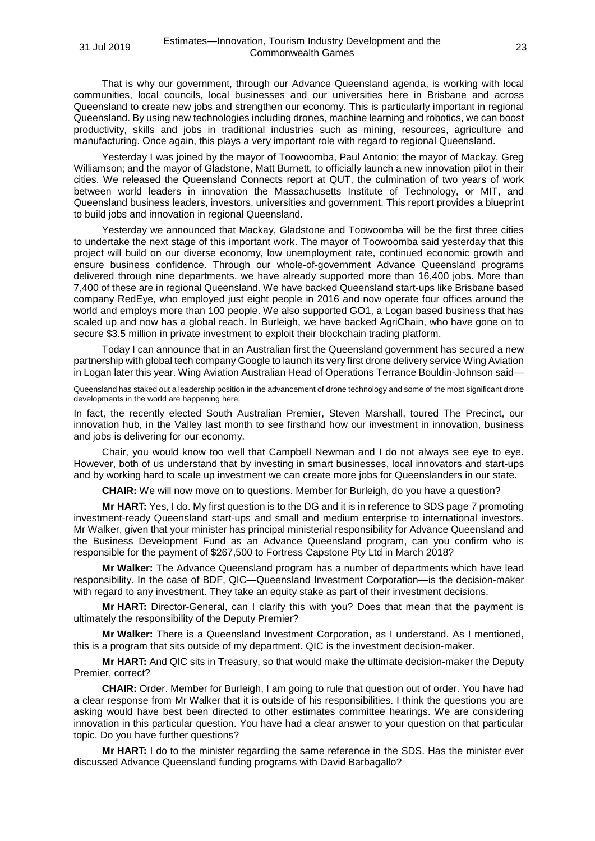That is why our government, through our Advance Queensland agenda, is working with local communities, local councils, local businesses and our universities here in Brisbane and across Queensland to create new jobs and strengthen our economy. This is particularly important in regional Queensland. By using new technologies including drones, machine learning and robotics, we can boost productivity, skills and jobs in traditional industries such as mining, resources, agriculture and manufacturing. Once again, this plays a very important role with regard to regional Queensland.

Yesterday I was joined by the mayor of Toowoomba, Paul Antonio; the mayor of Mackay, Greg Williamson; and the mayor of Gladstone, Matt Burnett, to officially launch a new innovation pilot in their cities. We released the Queensland Connects report at QUT, the culmination of two years of work between world leaders in innovation the Massachusetts Institute of Technology, or MIT, and Queensland business leaders, investors, universities and government. This report provides a blueprint to build jobs and innovation in regional Queensland.

Yesterday we announced that Mackay, Gladstone and Toowoomba will be the first three cities to undertake the next stage of this important work. The mayor of Toowoomba said yesterday that this project will build on our diverse economy, low unemployment rate, continued economic growth and ensure business confidence. Through our whole-of-government Advance Queensland programs delivered through nine departments, we have already supported more than 16,400 jobs. More than 7,400 of these are in regional Queensland. We have backed Queensland start-ups like Brisbane based company RedEye, who employed just eight people in 2016 and now operate four offices around the world and employs more than 100 people. We also supported GO1, a Logan based business that has scaled up and now has a global reach. In Burleigh, we have backed AgriChain, who have gone on to secure \$3.5 million in private investment to exploit their blockchain trading platform.

Today I can announce that in an Australian first the Queensland government has secured a new partnership with global tech company Google to launch its very first drone delivery service Wing Aviation in Logan later this year. Wing Aviation Australian Head of Operations Terrance Bouldin-Johnson said—

Queensland has staked out a leadership position in the advancement of drone technology and some of the most significant drone developments in the world are happening here.

In fact, the recently elected South Australian Premier, Steven Marshall, toured The Precinct, our innovation hub, in the Valley last month to see firsthand how our investment in innovation, business and jobs is delivering for our economy.

Chair, you would know too well that Campbell Newman and I do not always see eye to eye. However, both of us understand that by investing in smart businesses, local innovators and start-ups and by working hard to scale up investment we can create more jobs for Queenslanders in our state.

**CHAIR:** We will now move on to questions. Member for Burleigh, do you have a question?

**Mr HART:** Yes, I do. My first question is to the DG and it is in reference to SDS page 7 promoting investment-ready Queensland start-ups and small and medium enterprise to international investors. Mr Walker, given that your minister has principal ministerial responsibility for Advance Queensland and the Business Development Fund as an Advance Queensland program, can you confirm who is responsible for the payment of \$267,500 to Fortress Capstone Pty Ltd in March 2018?

**Mr Walker:** The Advance Queensland program has a number of departments which have lead responsibility. In the case of BDF, QIC—Queensland Investment Corporation—is the decision-maker with regard to any investment. They take an equity stake as part of their investment decisions.

**Mr HART:** Director-General, can I clarify this with you? Does that mean that the payment is ultimately the responsibility of the Deputy Premier?

**Mr Walker:** There is a Queensland Investment Corporation, as I understand. As I mentioned, this is a program that sits outside of my department. QIC is the investment decision-maker.

**Mr HART:** And QIC sits in Treasury, so that would make the ultimate decision-maker the Deputy Premier, correct?

**CHAIR:** Order. Member for Burleigh, I am going to rule that question out of order. You have had a clear response from Mr Walker that it is outside of his responsibilities. I think the questions you are asking would have best been directed to other estimates committee hearings. We are considering innovation in this particular question. You have had a clear answer to your question on that particular topic. Do you have further questions?

**Mr HART:** I do to the minister regarding the same reference in the SDS. Has the minister ever discussed Advance Queensland funding programs with David Barbagallo?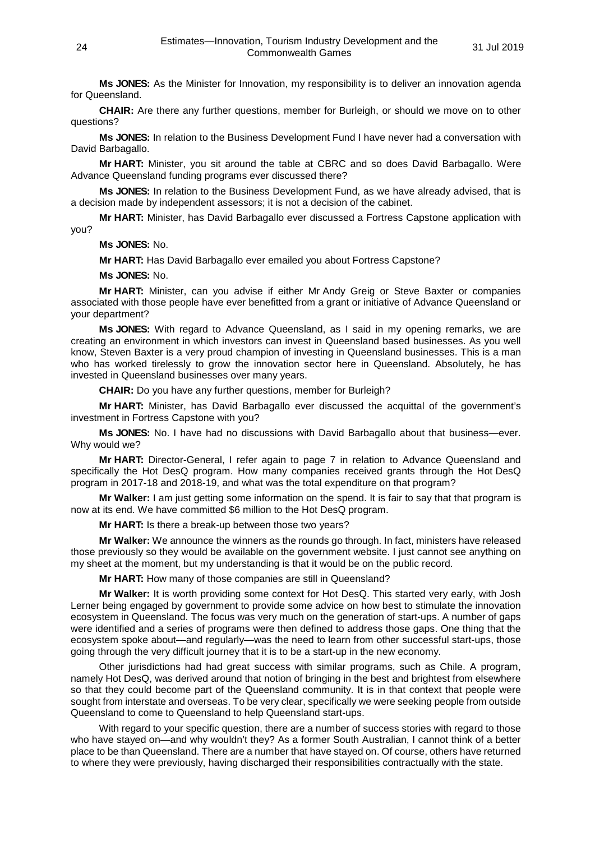**Ms JONES:** As the Minister for Innovation, my responsibility is to deliver an innovation agenda for Queensland.

**CHAIR:** Are there any further questions, member for Burleigh, or should we move on to other questions?

**Ms JONES:** In relation to the Business Development Fund I have never had a conversation with David Barbagallo.

**Mr HART:** Minister, you sit around the table at CBRC and so does David Barbagallo. Were Advance Queensland funding programs ever discussed there?

**Ms JONES:** In relation to the Business Development Fund, as we have already advised, that is a decision made by independent assessors; it is not a decision of the cabinet.

**Mr HART:** Minister, has David Barbagallo ever discussed a Fortress Capstone application with you?

**Ms JONES:** No.

**Mr HART:** Has David Barbagallo ever emailed you about Fortress Capstone?

**Ms JONES:** No.

**Mr HART:** Minister, can you advise if either Mr Andy Greig or Steve Baxter or companies associated with those people have ever benefitted from a grant or initiative of Advance Queensland or your department?

**Ms JONES:** With regard to Advance Queensland, as I said in my opening remarks, we are creating an environment in which investors can invest in Queensland based businesses. As you well know, Steven Baxter is a very proud champion of investing in Queensland businesses. This is a man who has worked tirelessly to grow the innovation sector here in Queensland. Absolutely, he has invested in Queensland businesses over many years.

**CHAIR:** Do you have any further questions, member for Burleigh?

**Mr HART:** Minister, has David Barbagallo ever discussed the acquittal of the government's investment in Fortress Capstone with you?

**Ms JONES:** No. I have had no discussions with David Barbagallo about that business—ever. Why would we?

**Mr HART:** Director-General, I refer again to page 7 in relation to Advance Queensland and specifically the Hot DesQ program. How many companies received grants through the Hot DesQ program in 2017-18 and 2018-19, and what was the total expenditure on that program?

**Mr Walker:** I am just getting some information on the spend. It is fair to say that that program is now at its end. We have committed \$6 million to the Hot DesQ program.

**Mr HART:** Is there a break-up between those two years?

**Mr Walker:** We announce the winners as the rounds go through. In fact, ministers have released those previously so they would be available on the government website. I just cannot see anything on my sheet at the moment, but my understanding is that it would be on the public record.

**Mr HART:** How many of those companies are still in Queensland?

**Mr Walker:** It is worth providing some context for Hot DesQ. This started very early, with Josh Lerner being engaged by government to provide some advice on how best to stimulate the innovation ecosystem in Queensland. The focus was very much on the generation of start-ups. A number of gaps were identified and a series of programs were then defined to address those gaps. One thing that the ecosystem spoke about—and regularly—was the need to learn from other successful start-ups, those going through the very difficult journey that it is to be a start-up in the new economy.

Other jurisdictions had had great success with similar programs, such as Chile. A program, namely Hot DesQ, was derived around that notion of bringing in the best and brightest from elsewhere so that they could become part of the Queensland community. It is in that context that people were sought from interstate and overseas. To be very clear, specifically we were seeking people from outside Queensland to come to Queensland to help Queensland start-ups.

With regard to your specific question, there are a number of success stories with regard to those who have stayed on—and why wouldn't they? As a former South Australian, I cannot think of a better place to be than Queensland. There are a number that have stayed on. Of course, others have returned to where they were previously, having discharged their responsibilities contractually with the state.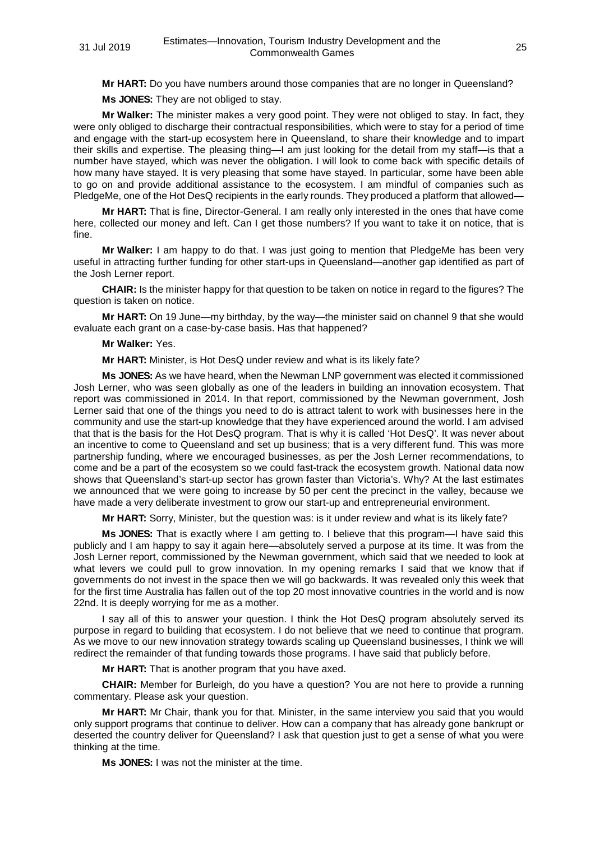**Mr HART:** Do you have numbers around those companies that are no longer in Queensland?

**Ms JONES:** They are not obliged to stay.

**Mr Walker:** The minister makes a very good point. They were not obliged to stay. In fact, they were only obliged to discharge their contractual responsibilities, which were to stay for a period of time and engage with the start-up ecosystem here in Queensland, to share their knowledge and to impart their skills and expertise. The pleasing thing—I am just looking for the detail from my staff—is that a number have stayed, which was never the obligation. I will look to come back with specific details of how many have stayed. It is very pleasing that some have stayed. In particular, some have been able to go on and provide additional assistance to the ecosystem. I am mindful of companies such as PledgeMe, one of the Hot DesQ recipients in the early rounds. They produced a platform that allowed—

**Mr HART:** That is fine, Director-General. I am really only interested in the ones that have come here, collected our money and left. Can I get those numbers? If you want to take it on notice, that is fine.

**Mr Walker:** I am happy to do that. I was just going to mention that PledgeMe has been very useful in attracting further funding for other start-ups in Queensland—another gap identified as part of the Josh Lerner report.

**CHAIR:** Is the minister happy for that question to be taken on notice in regard to the figures? The question is taken on notice.

**Mr HART:** On 19 June—my birthday, by the way—the minister said on channel 9 that she would evaluate each grant on a case-by-case basis. Has that happened?

**Mr Walker:** Yes.

**Mr HART:** Minister, is Hot DesQ under review and what is its likely fate?

**Ms JONES:** As we have heard, when the Newman LNP government was elected it commissioned Josh Lerner, who was seen globally as one of the leaders in building an innovation ecosystem. That report was commissioned in 2014. In that report, commissioned by the Newman government, Josh Lerner said that one of the things you need to do is attract talent to work with businesses here in the community and use the start-up knowledge that they have experienced around the world. I am advised that that is the basis for the Hot DesQ program. That is why it is called 'Hot DesQ'. It was never about an incentive to come to Queensland and set up business; that is a very different fund. This was more partnership funding, where we encouraged businesses, as per the Josh Lerner recommendations, to come and be a part of the ecosystem so we could fast-track the ecosystem growth. National data now shows that Queensland's start-up sector has grown faster than Victoria's. Why? At the last estimates we announced that we were going to increase by 50 per cent the precinct in the valley, because we have made a very deliberate investment to grow our start-up and entrepreneurial environment.

**Mr HART:** Sorry, Minister, but the question was: is it under review and what is its likely fate?

**Ms JONES:** That is exactly where I am getting to. I believe that this program—I have said this publicly and I am happy to say it again here—absolutely served a purpose at its time. It was from the Josh Lerner report, commissioned by the Newman government, which said that we needed to look at what levers we could pull to grow innovation. In my opening remarks I said that we know that if governments do not invest in the space then we will go backwards. It was revealed only this week that for the first time Australia has fallen out of the top 20 most innovative countries in the world and is now 22nd. It is deeply worrying for me as a mother.

I say all of this to answer your question. I think the Hot DesQ program absolutely served its purpose in regard to building that ecosystem. I do not believe that we need to continue that program. As we move to our new innovation strategy towards scaling up Queensland businesses, I think we will redirect the remainder of that funding towards those programs. I have said that publicly before.

**Mr HART:** That is another program that you have axed.

**CHAIR:** Member for Burleigh, do you have a question? You are not here to provide a running commentary. Please ask your question.

**Mr HART:** Mr Chair, thank you for that. Minister, in the same interview you said that you would only support programs that continue to deliver. How can a company that has already gone bankrupt or deserted the country deliver for Queensland? I ask that question just to get a sense of what you were thinking at the time.

**Ms JONES:** I was not the minister at the time.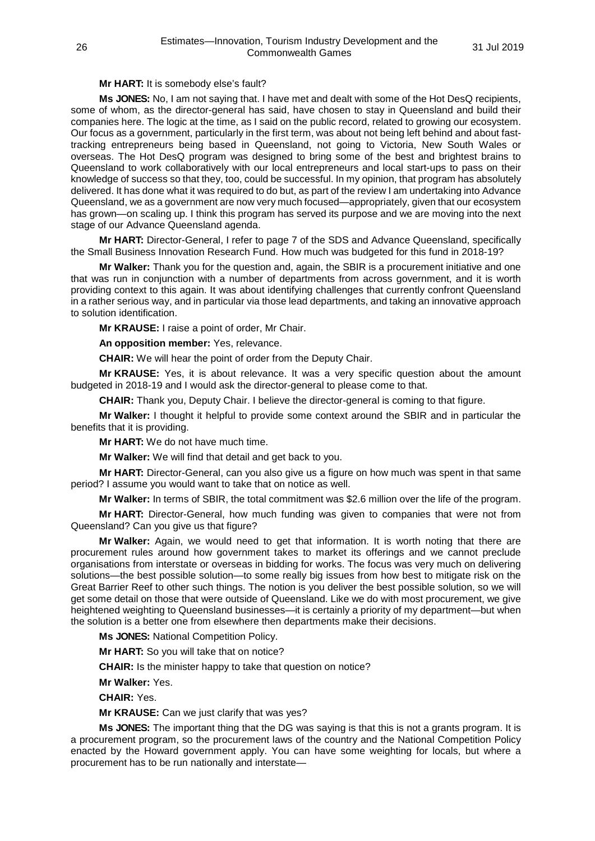# **Mr HART:** It is somebody else's fault?

**Ms JONES:** No, I am not saying that. I have met and dealt with some of the Hot DesQ recipients, some of whom, as the director-general has said, have chosen to stay in Queensland and build their companies here. The logic at the time, as I said on the public record, related to growing our ecosystem. Our focus as a government, particularly in the first term, was about not being left behind and about fasttracking entrepreneurs being based in Queensland, not going to Victoria, New South Wales or overseas. The Hot DesQ program was designed to bring some of the best and brightest brains to Queensland to work collaboratively with our local entrepreneurs and local start-ups to pass on their knowledge of success so that they, too, could be successful. In my opinion, that program has absolutely delivered. It has done what it was required to do but, as part of the review I am undertaking into Advance Queensland, we as a government are now very much focused—appropriately, given that our ecosystem has grown—on scaling up. I think this program has served its purpose and we are moving into the next stage of our Advance Queensland agenda.

**Mr HART:** Director-General, I refer to page 7 of the SDS and Advance Queensland, specifically the Small Business Innovation Research Fund. How much was budgeted for this fund in 2018-19?

**Mr Walker:** Thank you for the question and, again, the SBIR is a procurement initiative and one that was run in conjunction with a number of departments from across government, and it is worth providing context to this again. It was about identifying challenges that currently confront Queensland in a rather serious way, and in particular via those lead departments, and taking an innovative approach to solution identification.

**Mr KRAUSE:** I raise a point of order, Mr Chair.

**An opposition member:** Yes, relevance.

**CHAIR:** We will hear the point of order from the Deputy Chair.

**Mr KRAUSE:** Yes, it is about relevance. It was a very specific question about the amount budgeted in 2018-19 and I would ask the director-general to please come to that.

**CHAIR:** Thank you, Deputy Chair. I believe the director-general is coming to that figure.

**Mr Walker:** I thought it helpful to provide some context around the SBIR and in particular the benefits that it is providing.

**Mr HART:** We do not have much time.

**Mr Walker:** We will find that detail and get back to you.

**Mr HART:** Director-General, can you also give us a figure on how much was spent in that same period? I assume you would want to take that on notice as well.

**Mr Walker:** In terms of SBIR, the total commitment was \$2.6 million over the life of the program.

**Mr HART:** Director-General, how much funding was given to companies that were not from Queensland? Can you give us that figure?

**Mr Walker:** Again, we would need to get that information. It is worth noting that there are procurement rules around how government takes to market its offerings and we cannot preclude organisations from interstate or overseas in bidding for works. The focus was very much on delivering solutions—the best possible solution—to some really big issues from how best to mitigate risk on the Great Barrier Reef to other such things. The notion is you deliver the best possible solution, so we will get some detail on those that were outside of Queensland. Like we do with most procurement, we give heightened weighting to Queensland businesses—it is certainly a priority of my department—but when the solution is a better one from elsewhere then departments make their decisions.

**Ms JONES:** National Competition Policy.

**Mr HART:** So you will take that on notice?

**CHAIR:** Is the minister happy to take that question on notice?

**Mr Walker:** Yes.

**CHAIR:** Yes.

**Mr KRAUSE:** Can we just clarify that was yes?

**Ms JONES:** The important thing that the DG was saying is that this is not a grants program. It is a procurement program, so the procurement laws of the country and the National Competition Policy enacted by the Howard government apply. You can have some weighting for locals, but where a procurement has to be run nationally and interstate—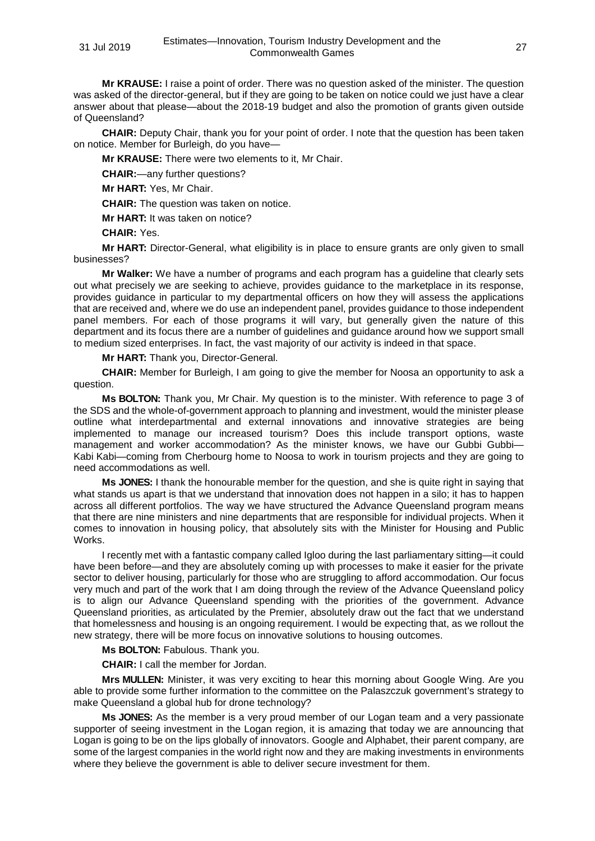**Mr KRAUSE:** I raise a point of order. There was no question asked of the minister. The question was asked of the director-general, but if they are going to be taken on notice could we just have a clear answer about that please—about the 2018-19 budget and also the promotion of grants given outside of Queensland?

**CHAIR:** Deputy Chair, thank you for your point of order. I note that the question has been taken on notice. Member for Burleigh, do you have—

**Mr KRAUSE:** There were two elements to it, Mr Chair.

**CHAIR:**—any further questions?

**Mr HART:** Yes, Mr Chair.

**CHAIR:** The question was taken on notice.

**Mr HART:** It was taken on notice?

**CHAIR:** Yes.

**Mr HART:** Director-General, what eligibility is in place to ensure grants are only given to small businesses?

**Mr Walker:** We have a number of programs and each program has a guideline that clearly sets out what precisely we are seeking to achieve, provides guidance to the marketplace in its response, provides guidance in particular to my departmental officers on how they will assess the applications that are received and, where we do use an independent panel, provides guidance to those independent panel members. For each of those programs it will vary, but generally given the nature of this department and its focus there are a number of guidelines and guidance around how we support small to medium sized enterprises. In fact, the vast majority of our activity is indeed in that space.

**Mr HART:** Thank you, Director-General.

**CHAIR:** Member for Burleigh, I am going to give the member for Noosa an opportunity to ask a question.

**Ms BOLTON:** Thank you, Mr Chair. My question is to the minister. With reference to page 3 of the SDS and the whole-of-government approach to planning and investment, would the minister please outline what interdepartmental and external innovations and innovative strategies are being implemented to manage our increased tourism? Does this include transport options, waste management and worker accommodation? As the minister knows, we have our Gubbi Gubbi-Kabi Kabi—coming from Cherbourg home to Noosa to work in tourism projects and they are going to need accommodations as well.

**Ms JONES:** I thank the honourable member for the question, and she is quite right in saying that what stands us apart is that we understand that innovation does not happen in a silo; it has to happen across all different portfolios. The way we have structured the Advance Queensland program means that there are nine ministers and nine departments that are responsible for individual projects. When it comes to innovation in housing policy, that absolutely sits with the Minister for Housing and Public Works.

I recently met with a fantastic company called Igloo during the last parliamentary sitting—it could have been before—and they are absolutely coming up with processes to make it easier for the private sector to deliver housing, particularly for those who are struggling to afford accommodation. Our focus very much and part of the work that I am doing through the review of the Advance Queensland policy is to align our Advance Queensland spending with the priorities of the government. Advance Queensland priorities, as articulated by the Premier, absolutely draw out the fact that we understand that homelessness and housing is an ongoing requirement. I would be expecting that, as we rollout the new strategy, there will be more focus on innovative solutions to housing outcomes.

**Ms BOLTON:** Fabulous. Thank you.

**CHAIR:** I call the member for Jordan.

**Mrs MULLEN:** Minister, it was very exciting to hear this morning about Google Wing. Are you able to provide some further information to the committee on the Palaszczuk government's strategy to make Queensland a global hub for drone technology?

**Ms JONES:** As the member is a very proud member of our Logan team and a very passionate supporter of seeing investment in the Logan region, it is amazing that today we are announcing that Logan is going to be on the lips globally of innovators. Google and Alphabet, their parent company, are some of the largest companies in the world right now and they are making investments in environments where they believe the government is able to deliver secure investment for them.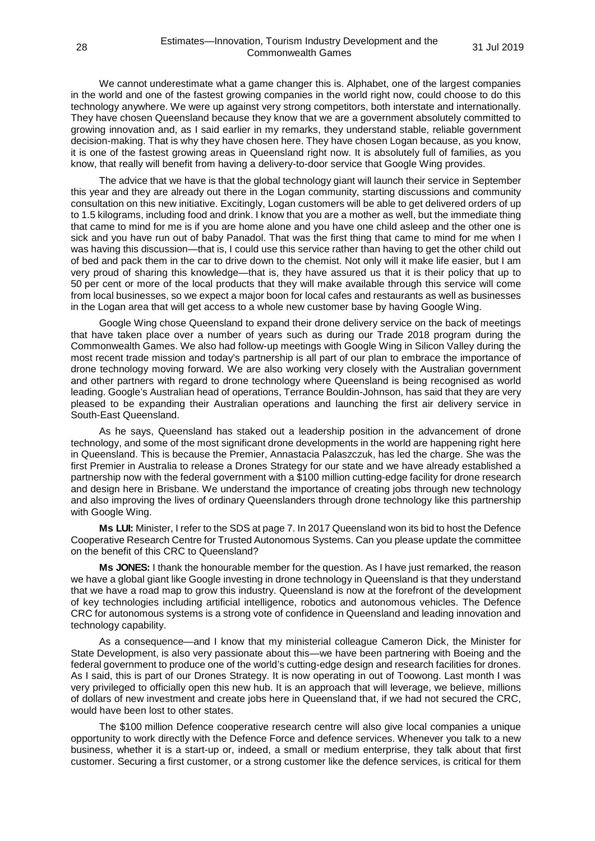We cannot underestimate what a game changer this is. Alphabet, one of the largest companies in the world and one of the fastest growing companies in the world right now, could choose to do this technology anywhere. We were up against very strong competitors, both interstate and internationally. They have chosen Queensland because they know that we are a government absolutely committed to growing innovation and, as I said earlier in my remarks, they understand stable, reliable government decision-making. That is why they have chosen here. They have chosen Logan because, as you know, it is one of the fastest growing areas in Queensland right now. It is absolutely full of families, as you know, that really will benefit from having a delivery-to-door service that Google Wing provides.

The advice that we have is that the global technology giant will launch their service in September this year and they are already out there in the Logan community, starting discussions and community consultation on this new initiative. Excitingly, Logan customers will be able to get delivered orders of up to 1.5 kilograms, including food and drink. I know that you are a mother as well, but the immediate thing that came to mind for me is if you are home alone and you have one child asleep and the other one is sick and you have run out of baby Panadol. That was the first thing that came to mind for me when I was having this discussion—that is, I could use this service rather than having to get the other child out of bed and pack them in the car to drive down to the chemist. Not only will it make life easier, but I am very proud of sharing this knowledge—that is, they have assured us that it is their policy that up to 50 per cent or more of the local products that they will make available through this service will come from local businesses, so we expect a major boon for local cafes and restaurants as well as businesses in the Logan area that will get access to a whole new customer base by having Google Wing.

Google Wing chose Queensland to expand their drone delivery service on the back of meetings that have taken place over a number of years such as during our Trade 2018 program during the Commonwealth Games. We also had follow-up meetings with Google Wing in Silicon Valley during the most recent trade mission and today's partnership is all part of our plan to embrace the importance of drone technology moving forward. We are also working very closely with the Australian government and other partners with regard to drone technology where Queensland is being recognised as world leading. Google's Australian head of operations, Terrance Bouldin-Johnson, has said that they are very pleased to be expanding their Australian operations and launching the first air delivery service in South-East Queensland.

As he says, Queensland has staked out a leadership position in the advancement of drone technology, and some of the most significant drone developments in the world are happening right here in Queensland. This is because the Premier, Annastacia Palaszczuk, has led the charge. She was the first Premier in Australia to release a Drones Strategy for our state and we have already established a partnership now with the federal government with a \$100 million cutting-edge facility for drone research and design here in Brisbane. We understand the importance of creating jobs through new technology and also improving the lives of ordinary Queenslanders through drone technology like this partnership with Google Wing.

**Ms LUI:** Minister, I refer to the SDS at page 7. In 2017 Queensland won its bid to host the Defence Cooperative Research Centre for Trusted Autonomous Systems. Can you please update the committee on the benefit of this CRC to Queensland?

**Ms JONES:** I thank the honourable member for the question. As I have just remarked, the reason we have a global giant like Google investing in drone technology in Queensland is that they understand that we have a road map to grow this industry. Queensland is now at the forefront of the development of key technologies including artificial intelligence, robotics and autonomous vehicles. The Defence CRC for autonomous systems is a strong vote of confidence in Queensland and leading innovation and technology capability.

As a consequence—and I know that my ministerial colleague Cameron Dick, the Minister for State Development, is also very passionate about this—we have been partnering with Boeing and the federal government to produce one of the world's cutting-edge design and research facilities for drones. As I said, this is part of our Drones Strategy. It is now operating in out of Toowong. Last month I was very privileged to officially open this new hub. It is an approach that will leverage, we believe, millions of dollars of new investment and create jobs here in Queensland that, if we had not secured the CRC, would have been lost to other states.

The \$100 million Defence cooperative research centre will also give local companies a unique opportunity to work directly with the Defence Force and defence services. Whenever you talk to a new business, whether it is a start-up or, indeed, a small or medium enterprise, they talk about that first customer. Securing a first customer, or a strong customer like the defence services, is critical for them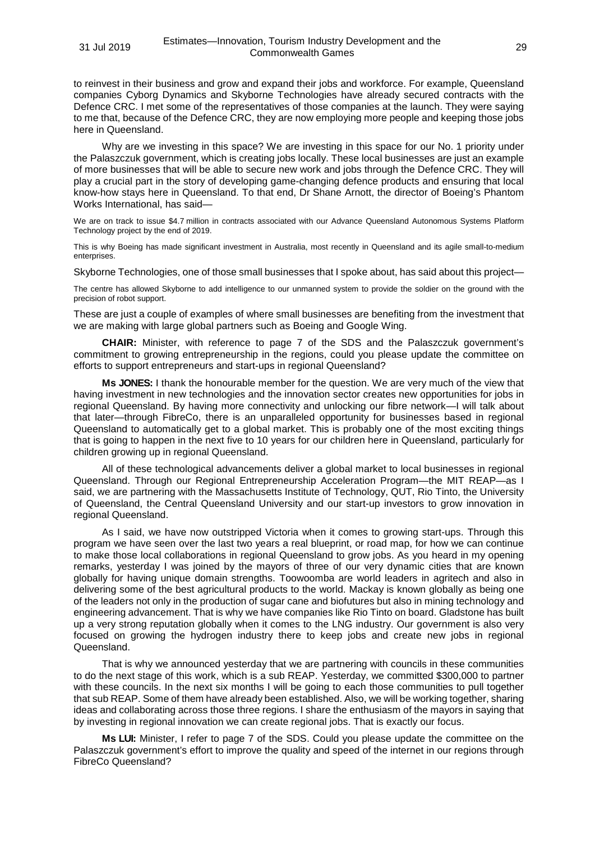to reinvest in their business and grow and expand their jobs and workforce. For example, Queensland companies Cyborg Dynamics and Skyborne Technologies have already secured contracts with the Defence CRC. I met some of the representatives of those companies at the launch. They were saying to me that, because of the Defence CRC, they are now employing more people and keeping those jobs here in Queensland.

Why are we investing in this space? We are investing in this space for our No. 1 priority under the Palaszczuk government, which is creating jobs locally. These local businesses are just an example of more businesses that will be able to secure new work and jobs through the Defence CRC. They will play a crucial part in the story of developing game-changing defence products and ensuring that local know-how stays here in Queensland. To that end, Dr Shane Arnott, the director of Boeing's Phantom Works International, has said—

We are on track to issue \$4.7 million in contracts associated with our Advance Queensland Autonomous Systems Platform Technology project by the end of 2019.

This is why Boeing has made significant investment in Australia, most recently in Queensland and its agile small-to-medium enterprises.

Skyborne Technologies, one of those small businesses that I spoke about, has said about this project—

The centre has allowed Skyborne to add intelligence to our unmanned system to provide the soldier on the ground with the precision of robot support.

These are just a couple of examples of where small businesses are benefiting from the investment that we are making with large global partners such as Boeing and Google Wing.

**CHAIR:** Minister, with reference to page 7 of the SDS and the Palaszczuk government's commitment to growing entrepreneurship in the regions, could you please update the committee on efforts to support entrepreneurs and start-ups in regional Queensland?

**Ms JONES:** I thank the honourable member for the question. We are very much of the view that having investment in new technologies and the innovation sector creates new opportunities for jobs in regional Queensland. By having more connectivity and unlocking our fibre network—I will talk about that later—through FibreCo, there is an unparalleled opportunity for businesses based in regional Queensland to automatically get to a global market. This is probably one of the most exciting things that is going to happen in the next five to 10 years for our children here in Queensland, particularly for children growing up in regional Queensland.

All of these technological advancements deliver a global market to local businesses in regional Queensland. Through our Regional Entrepreneurship Acceleration Program—the MIT REAP—as I said, we are partnering with the Massachusetts Institute of Technology, QUT, Rio Tinto, the University of Queensland, the Central Queensland University and our start-up investors to grow innovation in regional Queensland.

As I said, we have now outstripped Victoria when it comes to growing start-ups. Through this program we have seen over the last two years a real blueprint, or road map, for how we can continue to make those local collaborations in regional Queensland to grow jobs. As you heard in my opening remarks, yesterday I was joined by the mayors of three of our very dynamic cities that are known globally for having unique domain strengths. Toowoomba are world leaders in agritech and also in delivering some of the best agricultural products to the world. Mackay is known globally as being one of the leaders not only in the production of sugar cane and biofutures but also in mining technology and engineering advancement. That is why we have companies like Rio Tinto on board. Gladstone has built up a very strong reputation globally when it comes to the LNG industry. Our government is also very focused on growing the hydrogen industry there to keep jobs and create new jobs in regional Queensland.

That is why we announced yesterday that we are partnering with councils in these communities to do the next stage of this work, which is a sub REAP. Yesterday, we committed \$300,000 to partner with these councils. In the next six months I will be going to each those communities to pull together that sub REAP. Some of them have already been established. Also, we will be working together, sharing ideas and collaborating across those three regions. I share the enthusiasm of the mayors in saying that by investing in regional innovation we can create regional jobs. That is exactly our focus.

**Ms LUI:** Minister, I refer to page 7 of the SDS. Could you please update the committee on the Palaszczuk government's effort to improve the quality and speed of the internet in our regions through FibreCo Queensland?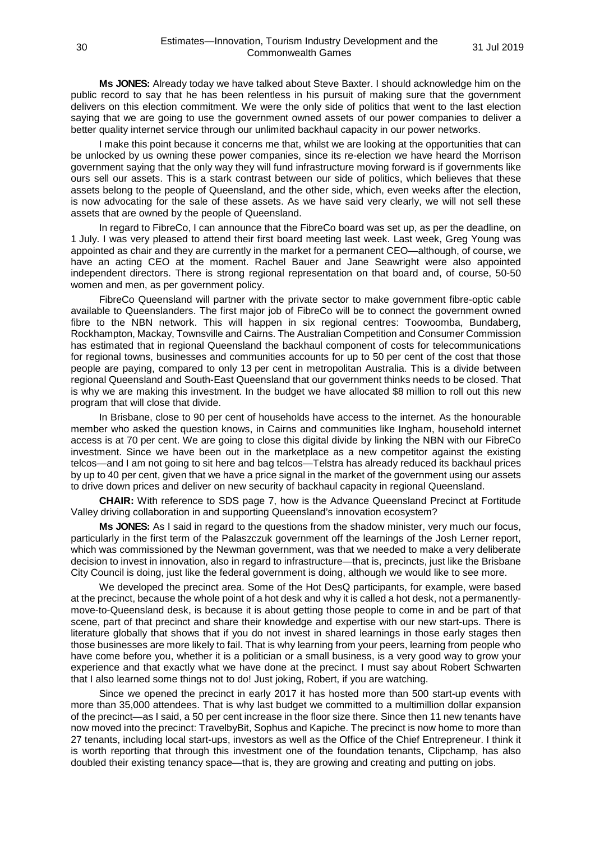**Ms JONES:** Already today we have talked about Steve Baxter. I should acknowledge him on the public record to say that he has been relentless in his pursuit of making sure that the government delivers on this election commitment. We were the only side of politics that went to the last election saying that we are going to use the government owned assets of our power companies to deliver a better quality internet service through our unlimited backhaul capacity in our power networks.

I make this point because it concerns me that, whilst we are looking at the opportunities that can be unlocked by us owning these power companies, since its re-election we have heard the Morrison government saying that the only way they will fund infrastructure moving forward is if governments like ours sell our assets. This is a stark contrast between our side of politics, which believes that these assets belong to the people of Queensland, and the other side, which, even weeks after the election, is now advocating for the sale of these assets. As we have said very clearly, we will not sell these assets that are owned by the people of Queensland.

In regard to FibreCo, I can announce that the FibreCo board was set up, as per the deadline, on 1 July. I was very pleased to attend their first board meeting last week. Last week, Greg Young was appointed as chair and they are currently in the market for a permanent CEO—although, of course, we have an acting CEO at the moment. Rachel Bauer and Jane Seawright were also appointed independent directors. There is strong regional representation on that board and, of course, 50-50 women and men, as per government policy.

FibreCo Queensland will partner with the private sector to make government fibre-optic cable available to Queenslanders. The first major job of FibreCo will be to connect the government owned fibre to the NBN network. This will happen in six regional centres: Toowoomba, Bundaberg, Rockhampton, Mackay, Townsville and Cairns. The Australian Competition and Consumer Commission has estimated that in regional Queensland the backhaul component of costs for telecommunications for regional towns, businesses and communities accounts for up to 50 per cent of the cost that those people are paying, compared to only 13 per cent in metropolitan Australia. This is a divide between regional Queensland and South-East Queensland that our government thinks needs to be closed. That is why we are making this investment. In the budget we have allocated \$8 million to roll out this new program that will close that divide.

In Brisbane, close to 90 per cent of households have access to the internet. As the honourable member who asked the question knows, in Cairns and communities like Ingham, household internet access is at 70 per cent. We are going to close this digital divide by linking the NBN with our FibreCo investment. Since we have been out in the marketplace as a new competitor against the existing telcos—and I am not going to sit here and bag telcos—Telstra has already reduced its backhaul prices by up to 40 per cent, given that we have a price signal in the market of the government using our assets to drive down prices and deliver on new security of backhaul capacity in regional Queensland.

**CHAIR:** With reference to SDS page 7, how is the Advance Queensland Precinct at Fortitude Valley driving collaboration in and supporting Queensland's innovation ecosystem?

**Ms JONES:** As I said in regard to the questions from the shadow minister, very much our focus, particularly in the first term of the Palaszczuk government off the learnings of the Josh Lerner report, which was commissioned by the Newman government, was that we needed to make a very deliberate decision to invest in innovation, also in regard to infrastructure—that is, precincts, just like the Brisbane City Council is doing, just like the federal government is doing, although we would like to see more.

We developed the precinct area. Some of the Hot DesQ participants, for example, were based at the precinct, because the whole point of a hot desk and why it is called a hot desk, not a permanentlymove-to-Queensland desk, is because it is about getting those people to come in and be part of that scene, part of that precinct and share their knowledge and expertise with our new start-ups. There is literature globally that shows that if you do not invest in shared learnings in those early stages then those businesses are more likely to fail. That is why learning from your peers, learning from people who have come before you, whether it is a politician or a small business, is a very good way to grow your experience and that exactly what we have done at the precinct. I must say about Robert Schwarten that I also learned some things not to do! Just joking, Robert, if you are watching.

Since we opened the precinct in early 2017 it has hosted more than 500 start-up events with more than 35,000 attendees. That is why last budget we committed to a multimillion dollar expansion of the precinct—as I said, a 50 per cent increase in the floor size there. Since then 11 new tenants have now moved into the precinct: TravelbyBit, Sophus and Kapiche. The precinct is now home to more than 27 tenants, including local start-ups, investors as well as the Office of the Chief Entrepreneur. I think it is worth reporting that through this investment one of the foundation tenants, Clipchamp, has also doubled their existing tenancy space—that is, they are growing and creating and putting on jobs.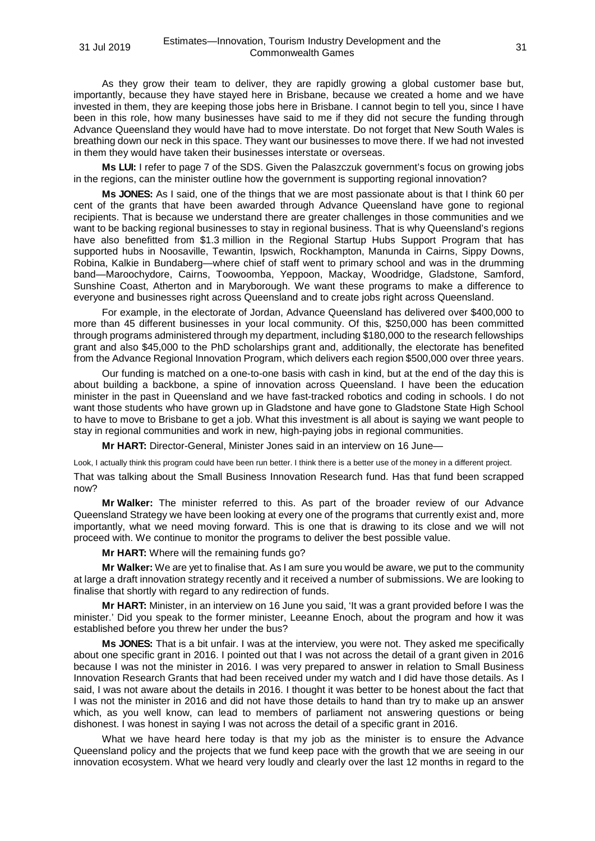As they grow their team to deliver, they are rapidly growing a global customer base but, importantly, because they have stayed here in Brisbane, because we created a home and we have invested in them, they are keeping those jobs here in Brisbane. I cannot begin to tell you, since I have been in this role, how many businesses have said to me if they did not secure the funding through Advance Queensland they would have had to move interstate. Do not forget that New South Wales is breathing down our neck in this space. They want our businesses to move there. If we had not invested in them they would have taken their businesses interstate or overseas.

**Ms LUI:** I refer to page 7 of the SDS. Given the Palaszczuk government's focus on growing jobs in the regions, can the minister outline how the government is supporting regional innovation?

**Ms JONES:** As I said, one of the things that we are most passionate about is that I think 60 per cent of the grants that have been awarded through Advance Queensland have gone to regional recipients. That is because we understand there are greater challenges in those communities and we want to be backing regional businesses to stay in regional business. That is why Queensland's regions have also benefitted from \$1.3 million in the Regional Startup Hubs Support Program that has supported hubs in Noosaville, Tewantin, Ipswich, Rockhampton, Manunda in Cairns, Sippy Downs, Robina, Kalkie in Bundaberg—where chief of staff went to primary school and was in the drumming band—Maroochydore, Cairns, Toowoomba, Yeppoon, Mackay, Woodridge, Gladstone, Samford, Sunshine Coast, Atherton and in Maryborough. We want these programs to make a difference to everyone and businesses right across Queensland and to create jobs right across Queensland.

For example, in the electorate of Jordan, Advance Queensland has delivered over \$400,000 to more than 45 different businesses in your local community. Of this, \$250,000 has been committed through programs administered through my department, including \$180,000 to the research fellowships grant and also \$45,000 to the PhD scholarships grant and, additionally, the electorate has benefited from the Advance Regional Innovation Program, which delivers each region \$500,000 over three years.

Our funding is matched on a one-to-one basis with cash in kind, but at the end of the day this is about building a backbone, a spine of innovation across Queensland. I have been the education minister in the past in Queensland and we have fast-tracked robotics and coding in schools. I do not want those students who have grown up in Gladstone and have gone to Gladstone State High School to have to move to Brisbane to get a job. What this investment is all about is saying we want people to stay in regional communities and work in new, high-paying jobs in regional communities.

**Mr HART:** Director-General, Minister Jones said in an interview on 16 June—

Look, I actually think this program could have been run better. I think there is a better use of the money in a different project.

That was talking about the Small Business Innovation Research fund. Has that fund been scrapped now?

**Mr Walker:** The minister referred to this. As part of the broader review of our Advance Queensland Strategy we have been looking at every one of the programs that currently exist and, more importantly, what we need moving forward. This is one that is drawing to its close and we will not proceed with. We continue to monitor the programs to deliver the best possible value.

**Mr HART:** Where will the remaining funds go?

**Mr Walker:** We are yet to finalise that. As I am sure you would be aware, we put to the community at large a draft innovation strategy recently and it received a number of submissions. We are looking to finalise that shortly with regard to any redirection of funds.

**Mr HART:** Minister, in an interview on 16 June you said, 'It was a grant provided before I was the minister.' Did you speak to the former minister, Leeanne Enoch, about the program and how it was established before you threw her under the bus?

**Ms JONES:** That is a bit unfair. I was at the interview, you were not. They asked me specifically about one specific grant in 2016. I pointed out that I was not across the detail of a grant given in 2016 because I was not the minister in 2016. I was very prepared to answer in relation to Small Business Innovation Research Grants that had been received under my watch and I did have those details. As I said, I was not aware about the details in 2016. I thought it was better to be honest about the fact that I was not the minister in 2016 and did not have those details to hand than try to make up an answer which, as you well know, can lead to members of parliament not answering questions or being dishonest. I was honest in saying I was not across the detail of a specific grant in 2016.

What we have heard here today is that my job as the minister is to ensure the Advance Queensland policy and the projects that we fund keep pace with the growth that we are seeing in our innovation ecosystem. What we heard very loudly and clearly over the last 12 months in regard to the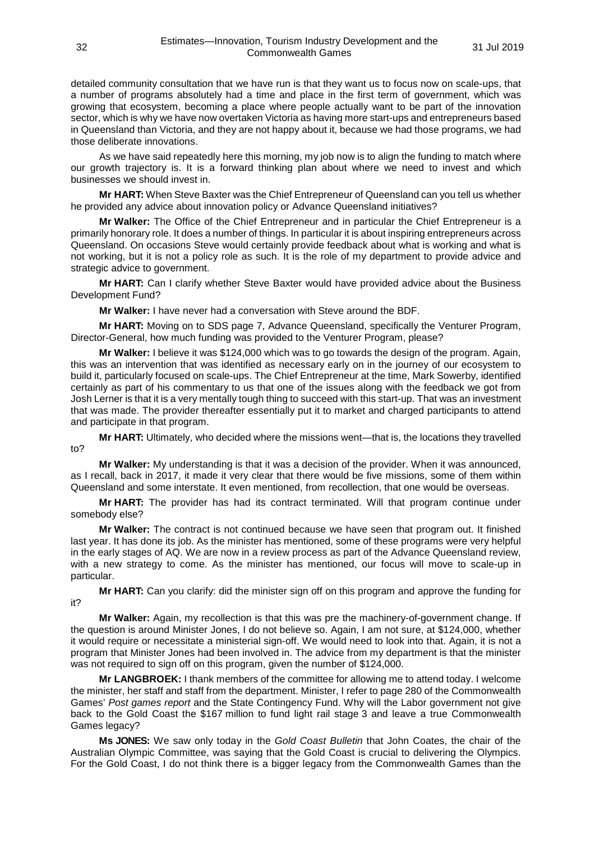detailed community consultation that we have run is that they want us to focus now on scale-ups, that a number of programs absolutely had a time and place in the first term of government, which was growing that ecosystem, becoming a place where people actually want to be part of the innovation sector, which is why we have now overtaken Victoria as having more start-ups and entrepreneurs based in Queensland than Victoria, and they are not happy about it, because we had those programs, we had those deliberate innovations.

As we have said repeatedly here this morning, my job now is to align the funding to match where our growth trajectory is. It is a forward thinking plan about where we need to invest and which businesses we should invest in.

**Mr HART:** When Steve Baxter was the Chief Entrepreneur of Queensland can you tell us whether he provided any advice about innovation policy or Advance Queensland initiatives?

**Mr Walker:** The Office of the Chief Entrepreneur and in particular the Chief Entrepreneur is a primarily honorary role. It does a number of things. In particular it is about inspiring entrepreneurs across Queensland. On occasions Steve would certainly provide feedback about what is working and what is not working, but it is not a policy role as such. It is the role of my department to provide advice and strategic advice to government.

**Mr HART:** Can I clarify whether Steve Baxter would have provided advice about the Business Development Fund?

**Mr Walker:** I have never had a conversation with Steve around the BDF.

**Mr HART:** Moving on to SDS page 7, Advance Queensland, specifically the Venturer Program, Director-General, how much funding was provided to the Venturer Program, please?

**Mr Walker:** I believe it was \$124,000 which was to go towards the design of the program. Again, this was an intervention that was identified as necessary early on in the journey of our ecosystem to build it, particularly focused on scale-ups. The Chief Entrepreneur at the time, Mark Sowerby, identified certainly as part of his commentary to us that one of the issues along with the feedback we got from Josh Lerner is that it is a very mentally tough thing to succeed with this start-up. That was an investment that was made. The provider thereafter essentially put it to market and charged participants to attend and participate in that program.

**Mr HART:** Ultimately, who decided where the missions went—that is, the locations they travelled to?

**Mr Walker:** My understanding is that it was a decision of the provider. When it was announced, as I recall, back in 2017, it made it very clear that there would be five missions, some of them within Queensland and some interstate. It even mentioned, from recollection, that one would be overseas.

**Mr HART:** The provider has had its contract terminated. Will that program continue under somebody else?

**Mr Walker:** The contract is not continued because we have seen that program out. It finished last year. It has done its job. As the minister has mentioned, some of these programs were very helpful in the early stages of AQ. We are now in a review process as part of the Advance Queensland review, with a new strategy to come. As the minister has mentioned, our focus will move to scale-up in particular.

**Mr HART:** Can you clarify: did the minister sign off on this program and approve the funding for it?

**Mr Walker:** Again, my recollection is that this was pre the machinery-of-government change. If the question is around Minister Jones, I do not believe so. Again, I am not sure, at \$124,000, whether it would require or necessitate a ministerial sign-off. We would need to look into that. Again, it is not a program that Minister Jones had been involved in. The advice from my department is that the minister was not required to sign off on this program, given the number of \$124,000.

**Mr LANGBROEK:** I thank members of the committee for allowing me to attend today. I welcome the minister, her staff and staff from the department. Minister, I refer to page 280 of the Commonwealth Games' *Post games report* and the State Contingency Fund. Why will the Labor government not give back to the Gold Coast the \$167 million to fund light rail stage 3 and leave a true Commonwealth Games legacy?

**Ms JONES:** We saw only today in the *Gold Coast Bulletin* that John Coates, the chair of the Australian Olympic Committee, was saying that the Gold Coast is crucial to delivering the Olympics. For the Gold Coast, I do not think there is a bigger legacy from the Commonwealth Games than the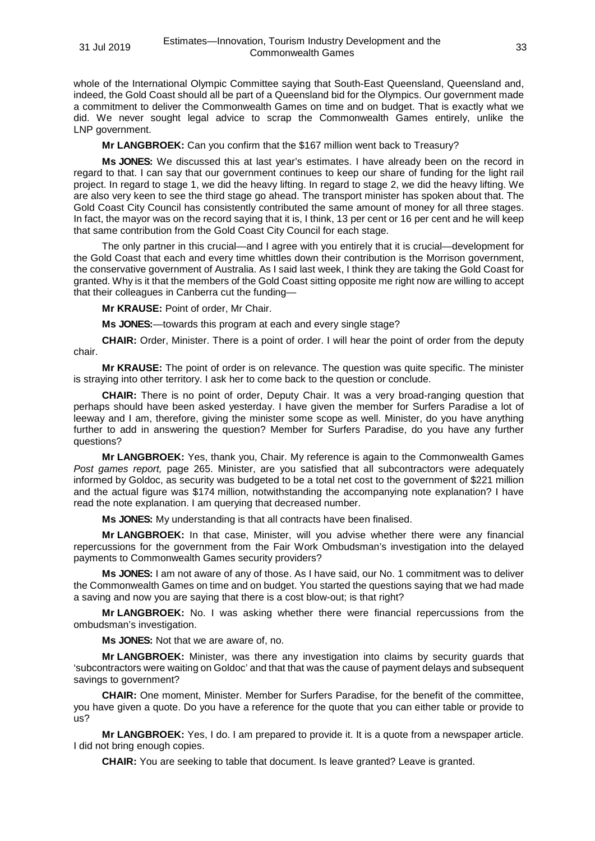whole of the International Olympic Committee saying that South-East Queensland, Queensland and, indeed, the Gold Coast should all be part of a Queensland bid for the Olympics. Our government made a commitment to deliver the Commonwealth Games on time and on budget. That is exactly what we did. We never sought legal advice to scrap the Commonwealth Games entirely, unlike the LNP government.

**Mr LANGBROEK:** Can you confirm that the \$167 million went back to Treasury?

**Ms JONES:** We discussed this at last year's estimates. I have already been on the record in regard to that. I can say that our government continues to keep our share of funding for the light rail project. In regard to stage 1, we did the heavy lifting. In regard to stage 2, we did the heavy lifting. We are also very keen to see the third stage go ahead. The transport minister has spoken about that. The Gold Coast City Council has consistently contributed the same amount of money for all three stages. In fact, the mayor was on the record saying that it is, I think, 13 per cent or 16 per cent and he will keep that same contribution from the Gold Coast City Council for each stage.

The only partner in this crucial—and I agree with you entirely that it is crucial—development for the Gold Coast that each and every time whittles down their contribution is the Morrison government, the conservative government of Australia. As I said last week, I think they are taking the Gold Coast for granted. Why is it that the members of the Gold Coast sitting opposite me right now are willing to accept that their colleagues in Canberra cut the funding—

**Mr KRAUSE:** Point of order, Mr Chair.

**Ms JONES:**—towards this program at each and every single stage?

**CHAIR:** Order, Minister. There is a point of order. I will hear the point of order from the deputy chair.

**Mr KRAUSE:** The point of order is on relevance. The question was quite specific. The minister is straying into other territory. I ask her to come back to the question or conclude.

**CHAIR:** There is no point of order, Deputy Chair. It was a very broad-ranging question that perhaps should have been asked yesterday. I have given the member for Surfers Paradise a lot of leeway and I am, therefore, giving the minister some scope as well. Minister, do you have anything further to add in answering the question? Member for Surfers Paradise, do you have any further questions?

**Mr LANGBROEK:** Yes, thank you, Chair. My reference is again to the Commonwealth Games *Post games report,* page 265. Minister, are you satisfied that all subcontractors were adequately informed by Goldoc, as security was budgeted to be a total net cost to the government of \$221 million and the actual figure was \$174 million, notwithstanding the accompanying note explanation? I have read the note explanation. I am querying that decreased number.

**Ms JONES:** My understanding is that all contracts have been finalised.

**Mr LANGBROEK:** In that case, Minister, will you advise whether there were any financial repercussions for the government from the Fair Work Ombudsman's investigation into the delayed payments to Commonwealth Games security providers?

**Ms JONES:** I am not aware of any of those. As I have said, our No. 1 commitment was to deliver the Commonwealth Games on time and on budget. You started the questions saying that we had made a saving and now you are saying that there is a cost blow-out; is that right?

**Mr LANGBROEK:** No. I was asking whether there were financial repercussions from the ombudsman's investigation.

**Ms JONES:** Not that we are aware of, no.

**Mr LANGBROEK:** Minister, was there any investigation into claims by security guards that 'subcontractors were waiting on Goldoc' and that that was the cause of payment delays and subsequent savings to government?

**CHAIR:** One moment, Minister. Member for Surfers Paradise, for the benefit of the committee, you have given a quote. Do you have a reference for the quote that you can either table or provide to us?

**Mr LANGBROEK:** Yes, I do. I am prepared to provide it. It is a quote from a newspaper article. I did not bring enough copies.

**CHAIR:** You are seeking to table that document. Is leave granted? Leave is granted.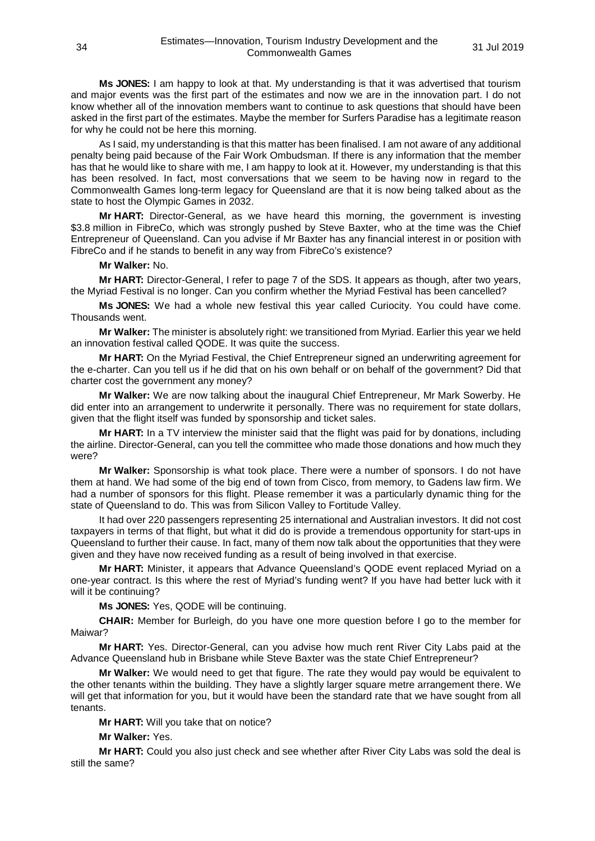**Ms JONES:** I am happy to look at that. My understanding is that it was advertised that tourism and major events was the first part of the estimates and now we are in the innovation part. I do not know whether all of the innovation members want to continue to ask questions that should have been asked in the first part of the estimates. Maybe the member for Surfers Paradise has a legitimate reason for why he could not be here this morning.

As I said, my understanding is that this matter has been finalised. I am not aware of any additional penalty being paid because of the Fair Work Ombudsman. If there is any information that the member has that he would like to share with me, I am happy to look at it. However, my understanding is that this has been resolved. In fact, most conversations that we seem to be having now in regard to the Commonwealth Games long-term legacy for Queensland are that it is now being talked about as the state to host the Olympic Games in 2032.

**Mr HART:** Director-General, as we have heard this morning, the government is investing \$3.8 million in FibreCo, which was strongly pushed by Steve Baxter, who at the time was the Chief Entrepreneur of Queensland. Can you advise if Mr Baxter has any financial interest in or position with FibreCo and if he stands to benefit in any way from FibreCo's existence?

#### **Mr Walker:** No.

**Mr HART:** Director-General, I refer to page 7 of the SDS. It appears as though, after two years, the Myriad Festival is no longer. Can you confirm whether the Myriad Festival has been cancelled?

**Ms JONES:** We had a whole new festival this year called Curiocity. You could have come. Thousands went.

**Mr Walker:** The minister is absolutely right: we transitioned from Myriad. Earlier this year we held an innovation festival called QODE. It was quite the success.

**Mr HART:** On the Myriad Festival, the Chief Entrepreneur signed an underwriting agreement for the e-charter. Can you tell us if he did that on his own behalf or on behalf of the government? Did that charter cost the government any money?

**Mr Walker:** We are now talking about the inaugural Chief Entrepreneur, Mr Mark Sowerby. He did enter into an arrangement to underwrite it personally. There was no requirement for state dollars, given that the flight itself was funded by sponsorship and ticket sales.

**Mr HART:** In a TV interview the minister said that the flight was paid for by donations, including the airline. Director-General, can you tell the committee who made those donations and how much they were?

**Mr Walker:** Sponsorship is what took place. There were a number of sponsors. I do not have them at hand. We had some of the big end of town from Cisco, from memory, to Gadens law firm. We had a number of sponsors for this flight. Please remember it was a particularly dynamic thing for the state of Queensland to do. This was from Silicon Valley to Fortitude Valley.

It had over 220 passengers representing 25 international and Australian investors. It did not cost taxpayers in terms of that flight, but what it did do is provide a tremendous opportunity for start-ups in Queensland to further their cause. In fact, many of them now talk about the opportunities that they were given and they have now received funding as a result of being involved in that exercise.

**Mr HART:** Minister, it appears that Advance Queensland's QODE event replaced Myriad on a one-year contract. Is this where the rest of Myriad's funding went? If you have had better luck with it will it be continuing?

**Ms JONES:** Yes, QODE will be continuing.

**CHAIR:** Member for Burleigh, do you have one more question before I go to the member for Maiwar?

**Mr HART:** Yes. Director-General, can you advise how much rent River City Labs paid at the Advance Queensland hub in Brisbane while Steve Baxter was the state Chief Entrepreneur?

**Mr Walker:** We would need to get that figure. The rate they would pay would be equivalent to the other tenants within the building. They have a slightly larger square metre arrangement there. We will get that information for you, but it would have been the standard rate that we have sought from all tenants.

**Mr HART:** Will you take that on notice?

**Mr Walker:** Yes.

**Mr HART:** Could you also just check and see whether after River City Labs was sold the deal is still the same?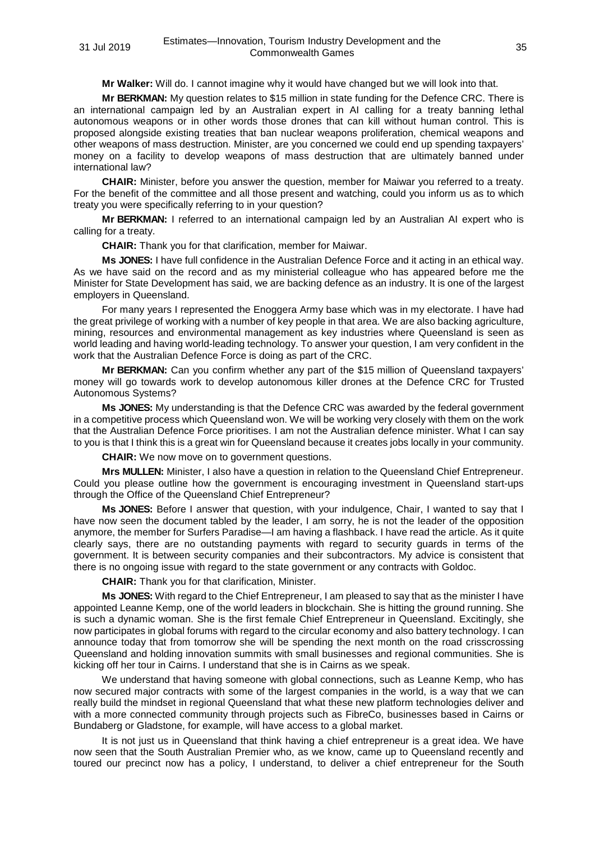**Mr Walker:** Will do. I cannot imagine why it would have changed but we will look into that.

**Mr BERKMAN:** My question relates to \$15 million in state funding for the Defence CRC. There is an international campaign led by an Australian expert in AI calling for a treaty banning lethal autonomous weapons or in other words those drones that can kill without human control. This is proposed alongside existing treaties that ban nuclear weapons proliferation, chemical weapons and other weapons of mass destruction. Minister, are you concerned we could end up spending taxpayers' money on a facility to develop weapons of mass destruction that are ultimately banned under international law?

**CHAIR:** Minister, before you answer the question, member for Maiwar you referred to a treaty. For the benefit of the committee and all those present and watching, could you inform us as to which treaty you were specifically referring to in your question?

**Mr BERKMAN:** I referred to an international campaign led by an Australian AI expert who is calling for a treaty.

**CHAIR:** Thank you for that clarification, member for Maiwar.

**Ms JONES:** I have full confidence in the Australian Defence Force and it acting in an ethical way. As we have said on the record and as my ministerial colleague who has appeared before me the Minister for State Development has said, we are backing defence as an industry. It is one of the largest employers in Queensland.

For many years I represented the Enoggera Army base which was in my electorate. I have had the great privilege of working with a number of key people in that area. We are also backing agriculture, mining, resources and environmental management as key industries where Queensland is seen as world leading and having world-leading technology. To answer your question, I am very confident in the work that the Australian Defence Force is doing as part of the CRC.

**Mr BERKMAN:** Can you confirm whether any part of the \$15 million of Queensland taxpayers' money will go towards work to develop autonomous killer drones at the Defence CRC for Trusted Autonomous Systems?

**Ms JONES:** My understanding is that the Defence CRC was awarded by the federal government in a competitive process which Queensland won. We will be working very closely with them on the work that the Australian Defence Force prioritises. I am not the Australian defence minister. What I can say to you is that I think this is a great win for Queensland because it creates jobs locally in your community.

**CHAIR:** We now move on to government questions.

**Mrs MULLEN:** Minister, I also have a question in relation to the Queensland Chief Entrepreneur. Could you please outline how the government is encouraging investment in Queensland start-ups through the Office of the Queensland Chief Entrepreneur?

**Ms JONES:** Before I answer that question, with your indulgence, Chair, I wanted to say that I have now seen the document tabled by the leader, I am sorry, he is not the leader of the opposition anymore, the member for Surfers Paradise—I am having a flashback. I have read the article. As it quite clearly says, there are no outstanding payments with regard to security guards in terms of the government. It is between security companies and their subcontractors. My advice is consistent that there is no ongoing issue with regard to the state government or any contracts with Goldoc.

**CHAIR:** Thank you for that clarification, Minister.

**Ms JONES:** With regard to the Chief Entrepreneur, I am pleased to say that as the minister I have appointed Leanne Kemp, one of the world leaders in blockchain. She is hitting the ground running. She is such a dynamic woman. She is the first female Chief Entrepreneur in Queensland. Excitingly, she now participates in global forums with regard to the circular economy and also battery technology. I can announce today that from tomorrow she will be spending the next month on the road crisscrossing Queensland and holding innovation summits with small businesses and regional communities. She is kicking off her tour in Cairns. I understand that she is in Cairns as we speak.

We understand that having someone with global connections, such as Leanne Kemp, who has now secured major contracts with some of the largest companies in the world, is a way that we can really build the mindset in regional Queensland that what these new platform technologies deliver and with a more connected community through projects such as FibreCo, businesses based in Cairns or Bundaberg or Gladstone, for example, will have access to a global market.

It is not just us in Queensland that think having a chief entrepreneur is a great idea. We have now seen that the South Australian Premier who, as we know, came up to Queensland recently and toured our precinct now has a policy, I understand, to deliver a chief entrepreneur for the South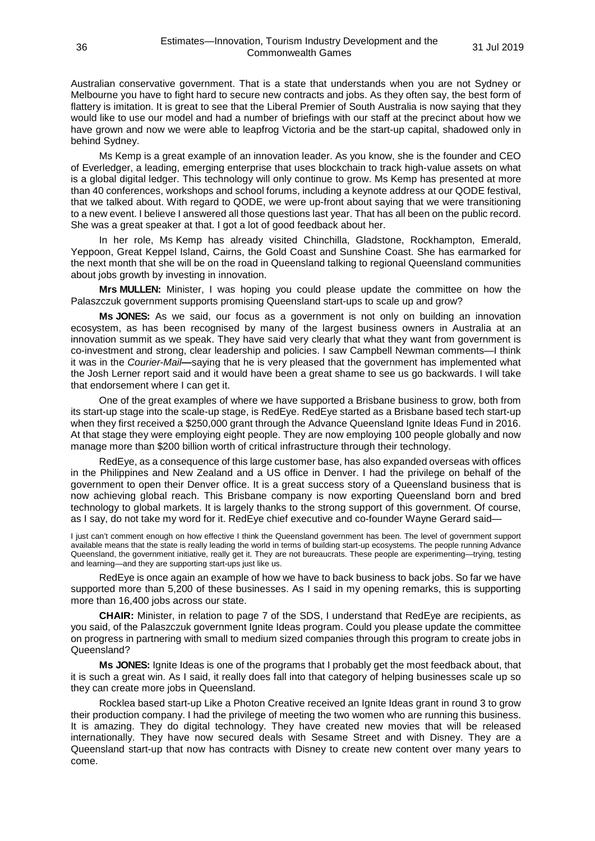Australian conservative government. That is a state that understands when you are not Sydney or Melbourne you have to fight hard to secure new contracts and jobs. As they often say, the best form of flattery is imitation. It is great to see that the Liberal Premier of South Australia is now saying that they would like to use our model and had a number of briefings with our staff at the precinct about how we have grown and now we were able to leapfrog Victoria and be the start-up capital, shadowed only in behind Sydney.

Ms Kemp is a great example of an innovation leader. As you know, she is the founder and CEO of Everledger, a leading, emerging enterprise that uses blockchain to track high-value assets on what is a global digital ledger. This technology will only continue to grow. Ms Kemp has presented at more than 40 conferences, workshops and school forums, including a keynote address at our QODE festival, that we talked about. With regard to QODE, we were up-front about saying that we were transitioning to a new event. I believe I answered all those questions last year. That has all been on the public record. She was a great speaker at that. I got a lot of good feedback about her.

In her role, Ms Kemp has already visited Chinchilla, Gladstone, Rockhampton, Emerald, Yeppoon, Great Keppel Island, Cairns, the Gold Coast and Sunshine Coast. She has earmarked for the next month that she will be on the road in Queensland talking to regional Queensland communities about jobs growth by investing in innovation.

**Mrs MULLEN:** Minister, I was hoping you could please update the committee on how the Palaszczuk government supports promising Queensland start-ups to scale up and grow?

**Ms JONES:** As we said, our focus as a government is not only on building an innovation ecosystem, as has been recognised by many of the largest business owners in Australia at an innovation summit as we speak. They have said very clearly that what they want from government is co-investment and strong, clear leadership and policies. I saw Campbell Newman comments—I think it was in the *Courier-Mail***—**saying that he is very pleased that the government has implemented what the Josh Lerner report said and it would have been a great shame to see us go backwards. I will take that endorsement where I can get it.

One of the great examples of where we have supported a Brisbane business to grow, both from its start-up stage into the scale-up stage, is RedEye. RedEye started as a Brisbane based tech start-up when they first received a \$250,000 grant through the Advance Queensland Ignite Ideas Fund in 2016. At that stage they were employing eight people. They are now employing 100 people globally and now manage more than \$200 billion worth of critical infrastructure through their technology.

RedEye, as a consequence of this large customer base, has also expanded overseas with offices in the Philippines and New Zealand and a US office in Denver. I had the privilege on behalf of the government to open their Denver office. It is a great success story of a Queensland business that is now achieving global reach. This Brisbane company is now exporting Queensland born and bred technology to global markets. It is largely thanks to the strong support of this government. Of course, as I say, do not take my word for it. RedEye chief executive and co-founder Wayne Gerard said—

I just can't comment enough on how effective I think the Queensland government has been. The level of government support available means that the state is really leading the world in terms of building start-up ecosystems. The people running Advance Queensland, the government initiative, really get it. They are not bureaucrats. These people are experimenting—trying, testing and learning—and they are supporting start-ups just like us.

RedEye is once again an example of how we have to back business to back jobs. So far we have supported more than 5,200 of these businesses. As I said in my opening remarks, this is supporting more than 16,400 jobs across our state.

**CHAIR:** Minister, in relation to page 7 of the SDS, I understand that RedEye are recipients, as you said, of the Palaszczuk government Ignite Ideas program. Could you please update the committee on progress in partnering with small to medium sized companies through this program to create jobs in Queensland?

**Ms JONES:** Ignite Ideas is one of the programs that I probably get the most feedback about, that it is such a great win. As I said, it really does fall into that category of helping businesses scale up so they can create more jobs in Queensland.

Rocklea based start-up Like a Photon Creative received an Ignite Ideas grant in round 3 to grow their production company. I had the privilege of meeting the two women who are running this business. It is amazing. They do digital technology. They have created new movies that will be released internationally. They have now secured deals with Sesame Street and with Disney. They are a Queensland start-up that now has contracts with Disney to create new content over many years to come.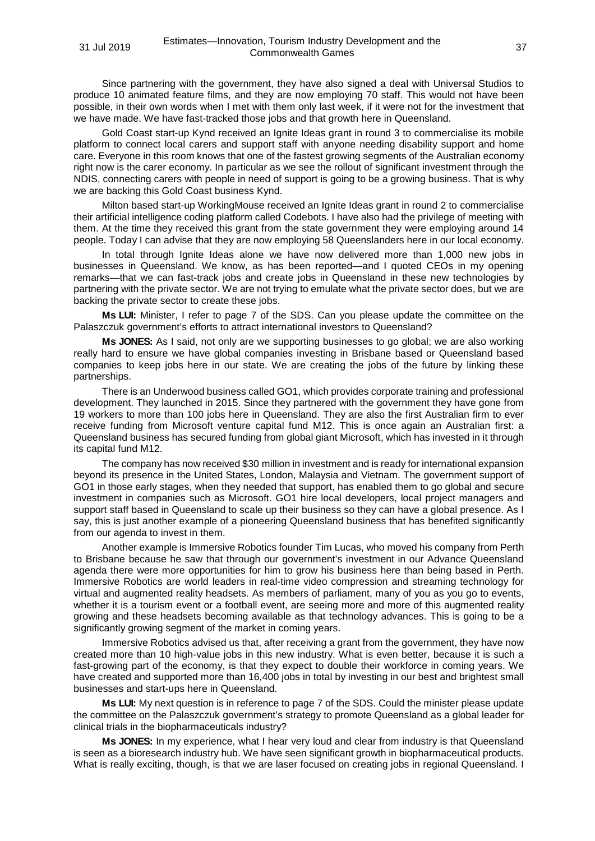Since partnering with the government, they have also signed a deal with Universal Studios to produce 10 animated feature films, and they are now employing 70 staff. This would not have been possible, in their own words when I met with them only last week, if it were not for the investment that we have made. We have fast-tracked those jobs and that growth here in Queensland.

Gold Coast start-up Kynd received an Ignite Ideas grant in round 3 to commercialise its mobile platform to connect local carers and support staff with anyone needing disability support and home care. Everyone in this room knows that one of the fastest growing segments of the Australian economy right now is the carer economy. In particular as we see the rollout of significant investment through the NDIS, connecting carers with people in need of support is going to be a growing business. That is why we are backing this Gold Coast business Kynd.

Milton based start-up WorkingMouse received an Ignite Ideas grant in round 2 to commercialise their artificial intelligence coding platform called Codebots. I have also had the privilege of meeting with them. At the time they received this grant from the state government they were employing around 14 people. Today I can advise that they are now employing 58 Queenslanders here in our local economy.

In total through Ignite Ideas alone we have now delivered more than 1,000 new jobs in businesses in Queensland. We know, as has been reported—and I quoted CEOs in my opening remarks—that we can fast-track jobs and create jobs in Queensland in these new technologies by partnering with the private sector. We are not trying to emulate what the private sector does, but we are backing the private sector to create these jobs.

**Ms LUI:** Minister, I refer to page 7 of the SDS. Can you please update the committee on the Palaszczuk government's efforts to attract international investors to Queensland?

**Ms JONES:** As I said, not only are we supporting businesses to go global; we are also working really hard to ensure we have global companies investing in Brisbane based or Queensland based companies to keep jobs here in our state. We are creating the jobs of the future by linking these partnerships.

There is an Underwood business called GO1, which provides corporate training and professional development. They launched in 2015. Since they partnered with the government they have gone from 19 workers to more than 100 jobs here in Queensland. They are also the first Australian firm to ever receive funding from Microsoft venture capital fund M12. This is once again an Australian first: a Queensland business has secured funding from global giant Microsoft, which has invested in it through its capital fund M12.

The company has now received \$30 million in investment and is ready for international expansion beyond its presence in the United States, London, Malaysia and Vietnam. The government support of GO1 in those early stages, when they needed that support, has enabled them to go global and secure investment in companies such as Microsoft. GO1 hire local developers, local project managers and support staff based in Queensland to scale up their business so they can have a global presence. As I say, this is just another example of a pioneering Queensland business that has benefited significantly from our agenda to invest in them.

Another example is Immersive Robotics founder Tim Lucas, who moved his company from Perth to Brisbane because he saw that through our government's investment in our Advance Queensland agenda there were more opportunities for him to grow his business here than being based in Perth. Immersive Robotics are world leaders in real-time video compression and streaming technology for virtual and augmented reality headsets. As members of parliament, many of you as you go to events, whether it is a tourism event or a football event, are seeing more and more of this augmented reality growing and these headsets becoming available as that technology advances. This is going to be a significantly growing segment of the market in coming years.

Immersive Robotics advised us that, after receiving a grant from the government, they have now created more than 10 high-value jobs in this new industry. What is even better, because it is such a fast-growing part of the economy, is that they expect to double their workforce in coming years. We have created and supported more than 16,400 jobs in total by investing in our best and brightest small businesses and start-ups here in Queensland.

**Ms LUI:** My next question is in reference to page 7 of the SDS. Could the minister please update the committee on the Palaszczuk government's strategy to promote Queensland as a global leader for clinical trials in the biopharmaceuticals industry?

**Ms JONES:** In my experience, what I hear very loud and clear from industry is that Queensland is seen as a bioresearch industry hub. We have seen significant growth in biopharmaceutical products. What is really exciting, though, is that we are laser focused on creating jobs in regional Queensland. I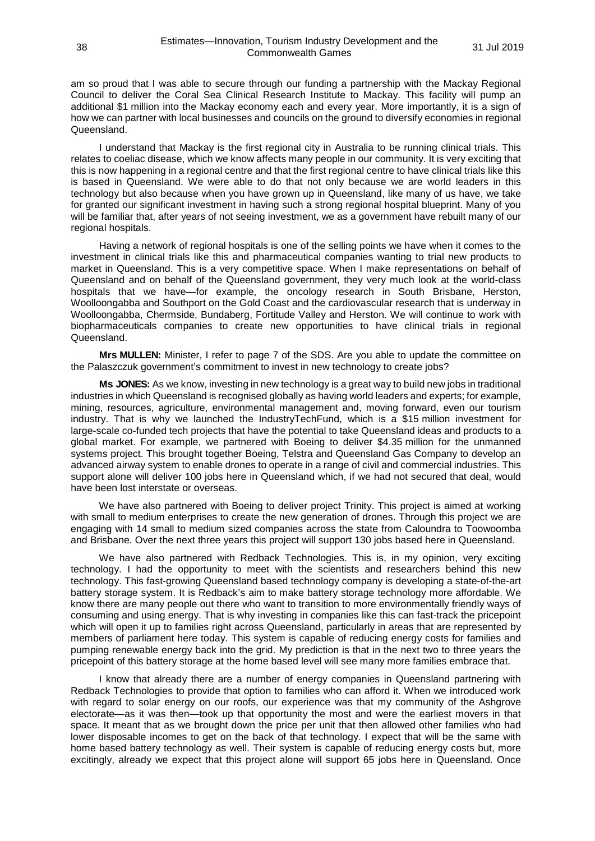am so proud that I was able to secure through our funding a partnership with the Mackay Regional Council to deliver the Coral Sea Clinical Research Institute to Mackay. This facility will pump an additional \$1 million into the Mackay economy each and every year. More importantly, it is a sign of how we can partner with local businesses and councils on the ground to diversify economies in regional Queensland.

I understand that Mackay is the first regional city in Australia to be running clinical trials. This relates to coeliac disease, which we know affects many people in our community. It is very exciting that this is now happening in a regional centre and that the first regional centre to have clinical trials like this is based in Queensland. We were able to do that not only because we are world leaders in this technology but also because when you have grown up in Queensland, like many of us have, we take for granted our significant investment in having such a strong regional hospital blueprint. Many of you will be familiar that, after years of not seeing investment, we as a government have rebuilt many of our regional hospitals.

Having a network of regional hospitals is one of the selling points we have when it comes to the investment in clinical trials like this and pharmaceutical companies wanting to trial new products to market in Queensland. This is a very competitive space. When I make representations on behalf of Queensland and on behalf of the Queensland government, they very much look at the world-class hospitals that we have—for example, the oncology research in South Brisbane, Herston, Woolloongabba and Southport on the Gold Coast and the cardiovascular research that is underway in Woolloongabba, Chermside, Bundaberg, Fortitude Valley and Herston. We will continue to work with biopharmaceuticals companies to create new opportunities to have clinical trials in regional Queensland.

**Mrs MULLEN:** Minister, I refer to page 7 of the SDS. Are you able to update the committee on the Palaszczuk government's commitment to invest in new technology to create jobs?

**Ms JONES:** As we know, investing in new technology is a great way to build new jobs in traditional industries in which Queensland is recognised globally as having world leaders and experts; for example, mining, resources, agriculture, environmental management and, moving forward, even our tourism industry. That is why we launched the IndustryTechFund, which is a \$15 million investment for large-scale co-funded tech projects that have the potential to take Queensland ideas and products to a global market. For example, we partnered with Boeing to deliver \$4.35 million for the unmanned systems project. This brought together Boeing, Telstra and Queensland Gas Company to develop an advanced airway system to enable drones to operate in a range of civil and commercial industries. This support alone will deliver 100 jobs here in Queensland which, if we had not secured that deal, would have been lost interstate or overseas.

We have also partnered with Boeing to deliver project Trinity. This project is aimed at working with small to medium enterprises to create the new generation of drones. Through this project we are engaging with 14 small to medium sized companies across the state from Caloundra to Toowoomba and Brisbane. Over the next three years this project will support 130 jobs based here in Queensland.

We have also partnered with Redback Technologies. This is, in my opinion, very exciting technology. I had the opportunity to meet with the scientists and researchers behind this new technology. This fast-growing Queensland based technology company is developing a state-of-the-art battery storage system. It is Redback's aim to make battery storage technology more affordable. We know there are many people out there who want to transition to more environmentally friendly ways of consuming and using energy. That is why investing in companies like this can fast-track the pricepoint which will open it up to families right across Queensland, particularly in areas that are represented by members of parliament here today. This system is capable of reducing energy costs for families and pumping renewable energy back into the grid. My prediction is that in the next two to three years the pricepoint of this battery storage at the home based level will see many more families embrace that.

I know that already there are a number of energy companies in Queensland partnering with Redback Technologies to provide that option to families who can afford it. When we introduced work with regard to solar energy on our roofs, our experience was that my community of the Ashgrove electorate—as it was then—took up that opportunity the most and were the earliest movers in that space. It meant that as we brought down the price per unit that then allowed other families who had lower disposable incomes to get on the back of that technology. I expect that will be the same with home based battery technology as well. Their system is capable of reducing energy costs but, more excitingly, already we expect that this project alone will support 65 jobs here in Queensland. Once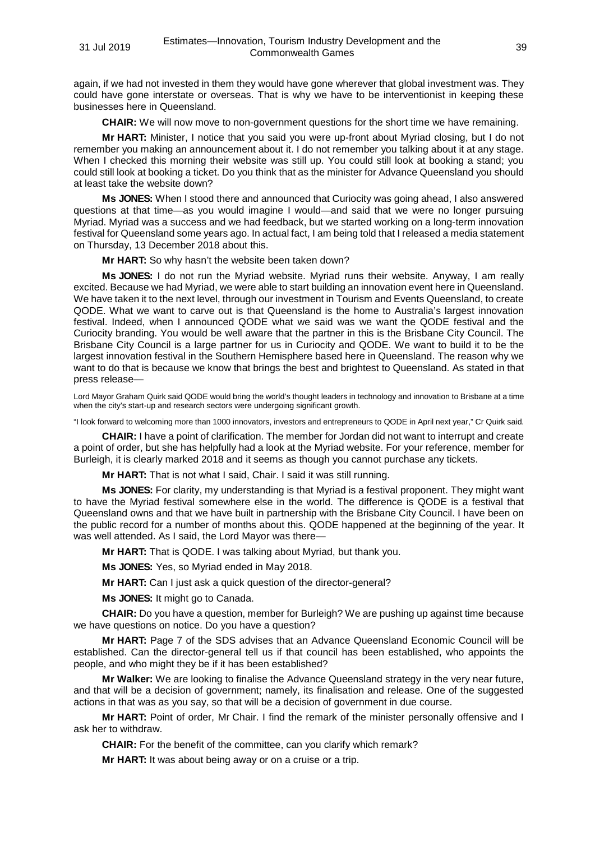again, if we had not invested in them they would have gone wherever that global investment was. They could have gone interstate or overseas. That is why we have to be interventionist in keeping these businesses here in Queensland.

**CHAIR:** We will now move to non-government questions for the short time we have remaining.

**Mr HART:** Minister, I notice that you said you were up-front about Myriad closing, but I do not remember you making an announcement about it. I do not remember you talking about it at any stage. When I checked this morning their website was still up. You could still look at booking a stand; you could still look at booking a ticket. Do you think that as the minister for Advance Queensland you should at least take the website down?

**Ms JONES:** When I stood there and announced that Curiocity was going ahead, I also answered questions at that time—as you would imagine I would—and said that we were no longer pursuing Myriad. Myriad was a success and we had feedback, but we started working on a long-term innovation festival for Queensland some years ago. In actual fact, I am being told that I released a media statement on Thursday, 13 December 2018 about this.

**Mr HART:** So why hasn't the website been taken down?

**Ms JONES:** I do not run the Myriad website. Myriad runs their website. Anyway, I am really excited. Because we had Myriad, we were able to start building an innovation event here in Queensland. We have taken it to the next level, through our investment in Tourism and Events Queensland, to create QODE. What we want to carve out is that Queensland is the home to Australia's largest innovation festival. Indeed, when I announced QODE what we said was we want the QODE festival and the Curiocity branding. You would be well aware that the partner in this is the Brisbane City Council. The Brisbane City Council is a large partner for us in Curiocity and QODE. We want to build it to be the largest innovation festival in the Southern Hemisphere based here in Queensland. The reason why we want to do that is because we know that brings the best and brightest to Queensland. As stated in that press release—

Lord Mayor Graham Quirk said QODE would bring the world's thought leaders in technology and innovation to Brisbane at a time when the city's start-up and research sectors were undergoing significant growth.

"I look forward to welcoming more than 1000 innovators, investors and entrepreneurs to QODE in April next year," Cr Quirk said.

**CHAIR:** I have a point of clarification. The member for Jordan did not want to interrupt and create a point of order, but she has helpfully had a look at the Myriad website. For your reference, member for Burleigh, it is clearly marked 2018 and it seems as though you cannot purchase any tickets.

**Mr HART:** That is not what I said, Chair. I said it was still running.

**Ms JONES:** For clarity, my understanding is that Myriad is a festival proponent. They might want to have the Myriad festival somewhere else in the world. The difference is QODE is a festival that Queensland owns and that we have built in partnership with the Brisbane City Council. I have been on the public record for a number of months about this. QODE happened at the beginning of the year. It was well attended. As I said, the Lord Mayor was there—

**Mr HART:** That is QODE. I was talking about Myriad, but thank you.

**Ms JONES:** Yes, so Myriad ended in May 2018.

**Mr HART:** Can I just ask a quick question of the director-general?

**Ms JONES:** It might go to Canada.

**CHAIR:** Do you have a question, member for Burleigh? We are pushing up against time because we have questions on notice. Do you have a question?

**Mr HART:** Page 7 of the SDS advises that an Advance Queensland Economic Council will be established. Can the director-general tell us if that council has been established, who appoints the people, and who might they be if it has been established?

**Mr Walker:** We are looking to finalise the Advance Queensland strategy in the very near future, and that will be a decision of government; namely, its finalisation and release. One of the suggested actions in that was as you say, so that will be a decision of government in due course.

**Mr HART:** Point of order, Mr Chair. I find the remark of the minister personally offensive and I ask her to withdraw.

**CHAIR:** For the benefit of the committee, can you clarify which remark?

**Mr HART:** It was about being away or on a cruise or a trip.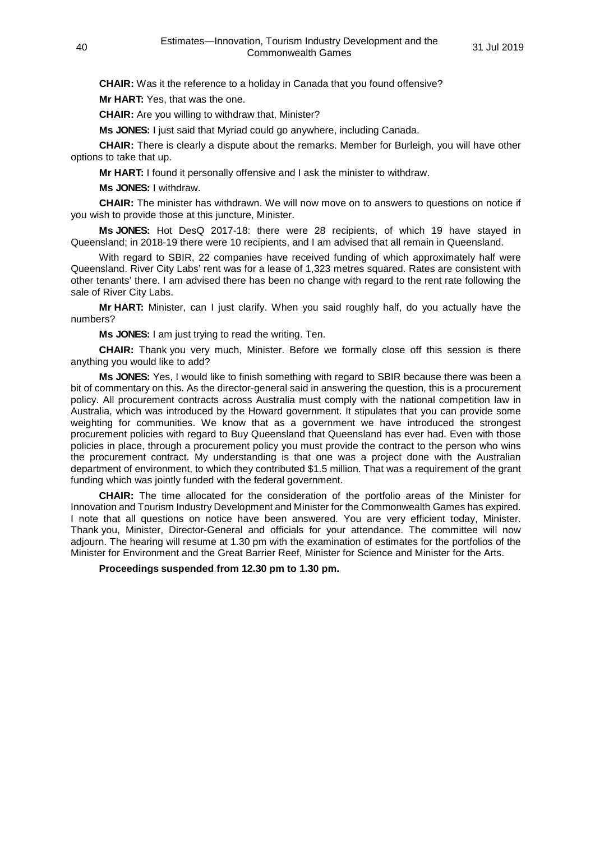**CHAIR:** Was it the reference to a holiday in Canada that you found offensive?

**Mr HART:** Yes, that was the one.

**CHAIR:** Are you willing to withdraw that, Minister?

**Ms JONES:** I just said that Myriad could go anywhere, including Canada.

**CHAIR:** There is clearly a dispute about the remarks. Member for Burleigh, you will have other options to take that up.

**Mr HART:** I found it personally offensive and I ask the minister to withdraw.

**Ms JONES:** I withdraw.

**CHAIR:** The minister has withdrawn. We will now move on to answers to questions on notice if you wish to provide those at this juncture, Minister.

**Ms JONES:** Hot DesQ 2017-18: there were 28 recipients, of which 19 have stayed in Queensland; in 2018-19 there were 10 recipients, and I am advised that all remain in Queensland.

With regard to SBIR, 22 companies have received funding of which approximately half were Queensland. River City Labs' rent was for a lease of 1,323 metres squared. Rates are consistent with other tenants' there. I am advised there has been no change with regard to the rent rate following the sale of River City Labs.

**Mr HART:** Minister, can I just clarify. When you said roughly half, do you actually have the numbers?

**Ms JONES:** I am just trying to read the writing. Ten.

**CHAIR:** Thank you very much, Minister. Before we formally close off this session is there anything you would like to add?

**Ms JONES:** Yes, I would like to finish something with regard to SBIR because there was been a bit of commentary on this. As the director-general said in answering the question, this is a procurement policy. All procurement contracts across Australia must comply with the national competition law in Australia, which was introduced by the Howard government. It stipulates that you can provide some weighting for communities. We know that as a government we have introduced the strongest procurement policies with regard to Buy Queensland that Queensland has ever had. Even with those policies in place, through a procurement policy you must provide the contract to the person who wins the procurement contract. My understanding is that one was a project done with the Australian department of environment, to which they contributed \$1.5 million. That was a requirement of the grant funding which was jointly funded with the federal government.

**CHAIR:** The time allocated for the consideration of the portfolio areas of the Minister for Innovation and Tourism Industry Development and Minister for the Commonwealth Games has expired. I note that all questions on notice have been answered. You are very efficient today, Minister. Thank you, Minister, Director-General and officials for your attendance. The committee will now adjourn. The hearing will resume at 1.30 pm with the examination of estimates for the portfolios of the Minister for Environment and the Great Barrier Reef, Minister for Science and Minister for the Arts.

**Proceedings suspended from 12.30 pm to 1.30 pm.**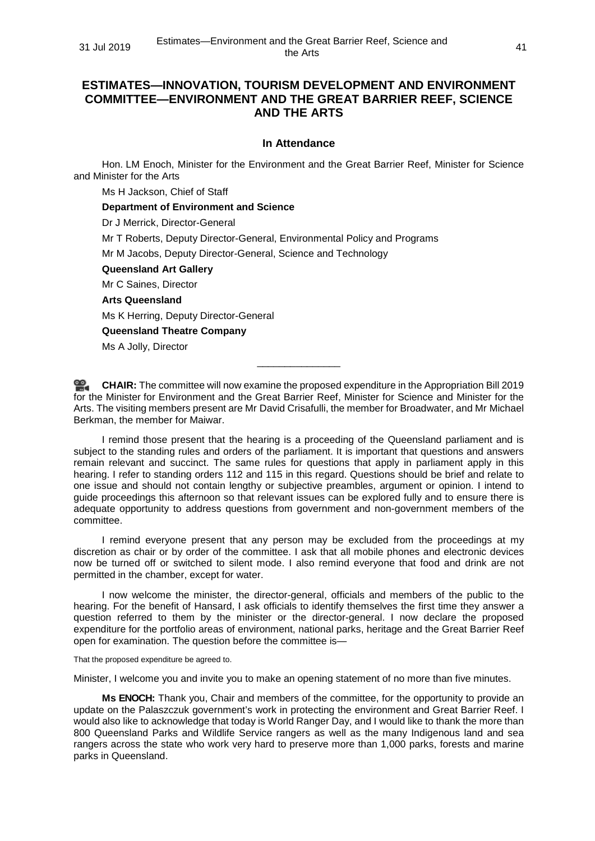# **ESTIMATES—INNOVATION, TOURISM DEVELOPMENT AND ENVIRONMENT COMMITTEE—ENVIRONMENT AND THE GREAT BARRIER REEF, SCIENCE AND THE ARTS**

#### **In Attendance**

Hon. LM Enoch, Minister for the Environment and the Great Barrier Reef, Minister for Science and Minister for the Arts

Ms H Jackson, Chief of Staff

**Department of Environment and Science**

Dr J Merrick, Director-General

Mr T Roberts, Deputy Director-General, Environmental Policy and Programs

Mr M Jacobs, Deputy Director-General, Science and Technology

**Queensland Art Gallery**

Mr C Saines, Director

## **Arts Queensland**

Ms K Herring, Deputy Director-General

**Queensland Theatre Company**

Ms A Jolly, Director

**[CHAIR:](http://www.parliament.qld.gov.au/docs/find.aspx?id=0Mba20190731_133002)** The committee will now examine the proposed expenditure in the Appropriation Bill 2019 for the Minister for Environment and the Great Barrier Reef, Minister for Science and Minister for the Arts. The visiting members present are Mr David Crisafulli, the member for Broadwater, and Mr Michael Berkman, the member for Maiwar.

\_\_\_\_\_\_\_\_\_\_\_\_\_\_\_

I remind those present that the hearing is a proceeding of the Queensland parliament and is subject to the standing rules and orders of the parliament. It is important that questions and answers remain relevant and succinct. The same rules for questions that apply in parliament apply in this hearing. I refer to standing orders 112 and 115 in this regard. Questions should be brief and relate to one issue and should not contain lengthy or subjective preambles, argument or opinion. I intend to guide proceedings this afternoon so that relevant issues can be explored fully and to ensure there is adequate opportunity to address questions from government and non-government members of the committee.

I remind everyone present that any person may be excluded from the proceedings at my discretion as chair or by order of the committee. I ask that all mobile phones and electronic devices now be turned off or switched to silent mode. I also remind everyone that food and drink are not permitted in the chamber, except for water.

I now welcome the minister, the director-general, officials and members of the public to the hearing. For the benefit of Hansard, I ask officials to identify themselves the first time they answer a question referred to them by the minister or the director-general. I now declare the proposed expenditure for the portfolio areas of environment, national parks, heritage and the Great Barrier Reef open for examination. The question before the committee is—

That the proposed expenditure be agreed to.

Minister, I welcome you and invite you to make an opening statement of no more than five minutes.

**Ms ENOCH:** Thank you, Chair and members of the committee, for the opportunity to provide an update on the Palaszczuk government's work in protecting the environment and Great Barrier Reef. I would also like to acknowledge that today is World Ranger Day, and I would like to thank the more than 800 Queensland Parks and Wildlife Service rangers as well as the many Indigenous land and sea rangers across the state who work very hard to preserve more than 1,000 parks, forests and marine parks in Queensland.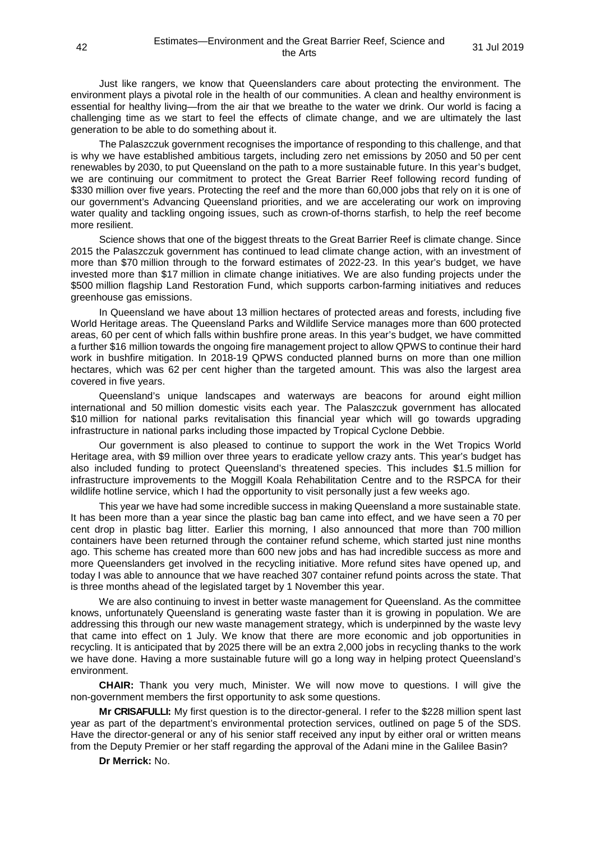Just like rangers, we know that Queenslanders care about protecting the environment. The environment plays a pivotal role in the health of our communities. A clean and healthy environment is essential for healthy living—from the air that we breathe to the water we drink. Our world is facing a challenging time as we start to feel the effects of climate change, and we are ultimately the last generation to be able to do something about it.

The Palaszczuk government recognises the importance of responding to this challenge, and that is why we have established ambitious targets, including zero net emissions by 2050 and 50 per cent renewables by 2030, to put Queensland on the path to a more sustainable future. In this year's budget, we are continuing our commitment to protect the Great Barrier Reef following record funding of \$330 million over five years. Protecting the reef and the more than 60,000 jobs that rely on it is one of our government's Advancing Queensland priorities, and we are accelerating our work on improving water quality and tackling ongoing issues, such as crown-of-thorns starfish, to help the reef become more resilient.

Science shows that one of the biggest threats to the Great Barrier Reef is climate change. Since 2015 the Palaszczuk government has continued to lead climate change action, with an investment of more than \$70 million through to the forward estimates of 2022-23. In this year's budget, we have invested more than \$17 million in climate change initiatives. We are also funding projects under the \$500 million flagship Land Restoration Fund, which supports carbon-farming initiatives and reduces greenhouse gas emissions.

In Queensland we have about 13 million hectares of protected areas and forests, including five World Heritage areas. The Queensland Parks and Wildlife Service manages more than 600 protected areas, 60 per cent of which falls within bushfire prone areas. In this year's budget, we have committed a further \$16 million towards the ongoing fire management project to allow QPWS to continue their hard work in bushfire mitigation. In 2018-19 QPWS conducted planned burns on more than one million hectares, which was 62 per cent higher than the targeted amount. This was also the largest area covered in five years.

Queensland's unique landscapes and waterways are beacons for around eight million international and 50 million domestic visits each year. The Palaszczuk government has allocated \$10 million for national parks revitalisation this financial year which will go towards upgrading infrastructure in national parks including those impacted by Tropical Cyclone Debbie.

Our government is also pleased to continue to support the work in the Wet Tropics World Heritage area, with \$9 million over three years to eradicate yellow crazy ants. This year's budget has also included funding to protect Queensland's threatened species. This includes \$1.5 million for infrastructure improvements to the Moggill Koala Rehabilitation Centre and to the RSPCA for their wildlife hotline service, which I had the opportunity to visit personally just a few weeks ago.

This year we have had some incredible success in making Queensland a more sustainable state. It has been more than a year since the plastic bag ban came into effect, and we have seen a 70 per cent drop in plastic bag litter. Earlier this morning, I also announced that more than 700 million containers have been returned through the container refund scheme, which started just nine months ago. This scheme has created more than 600 new jobs and has had incredible success as more and more Queenslanders get involved in the recycling initiative. More refund sites have opened up, and today I was able to announce that we have reached 307 container refund points across the state. That is three months ahead of the legislated target by 1 November this year.

We are also continuing to invest in better waste management for Queensland. As the committee knows, unfortunately Queensland is generating waste faster than it is growing in population. We are addressing this through our new waste management strategy, which is underpinned by the waste levy that came into effect on 1 July. We know that there are more economic and job opportunities in recycling. It is anticipated that by 2025 there will be an extra 2,000 jobs in recycling thanks to the work we have done. Having a more sustainable future will go a long way in helping protect Queensland's environment.

**CHAIR:** Thank you very much, Minister. We will now move to questions. I will give the non-government members the first opportunity to ask some questions.

**Mr CRISAFULLI:** My first question is to the director-general. I refer to the \$228 million spent last year as part of the department's environmental protection services, outlined on page 5 of the SDS. Have the director-general or any of his senior staff received any input by either oral or written means from the Deputy Premier or her staff regarding the approval of the Adani mine in the Galilee Basin?

**Dr Merrick:** No.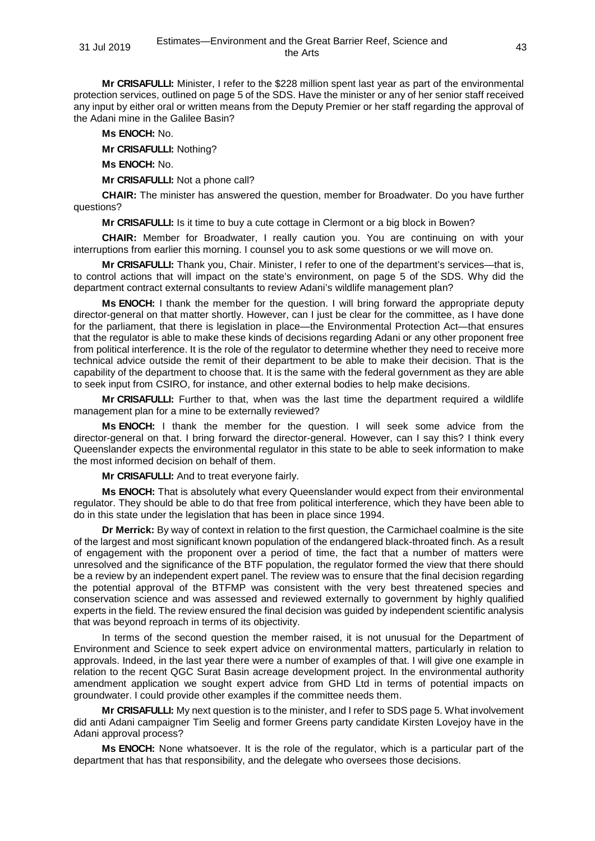**Mr CRISAFULLI:** Minister, I refer to the \$228 million spent last year as part of the environmental protection services, outlined on page 5 of the SDS. Have the minister or any of her senior staff received any input by either oral or written means from the Deputy Premier or her staff regarding the approval of the Adani mine in the Galilee Basin?

**Ms ENOCH:** No.

**Mr CRISAFULLI:** Nothing?

**Ms ENOCH:** No.

**Mr CRISAFULLI:** Not a phone call?

**CHAIR:** The minister has answered the question, member for Broadwater. Do you have further questions?

**Mr CRISAFULLI:** Is it time to buy a cute cottage in Clermont or a big block in Bowen?

**CHAIR:** Member for Broadwater, I really caution you. You are continuing on with your interruptions from earlier this morning. I counsel you to ask some questions or we will move on.

**Mr CRISAFULLI:** Thank you, Chair. Minister, I refer to one of the department's services—that is, to control actions that will impact on the state's environment, on page 5 of the SDS. Why did the department contract external consultants to review Adani's wildlife management plan?

**Ms ENOCH:** I thank the member for the question. I will bring forward the appropriate deputy director-general on that matter shortly. However, can I just be clear for the committee, as I have done for the parliament, that there is legislation in place—the Environmental Protection Act—that ensures that the regulator is able to make these kinds of decisions regarding Adani or any other proponent free from political interference. It is the role of the regulator to determine whether they need to receive more technical advice outside the remit of their department to be able to make their decision. That is the capability of the department to choose that. It is the same with the federal government as they are able to seek input from CSIRO, for instance, and other external bodies to help make decisions.

**Mr CRISAFULLI:** Further to that, when was the last time the department required a wildlife management plan for a mine to be externally reviewed?

**Ms ENOCH:** I thank the member for the question. I will seek some advice from the director-general on that. I bring forward the director-general. However, can I say this? I think every Queenslander expects the environmental regulator in this state to be able to seek information to make the most informed decision on behalf of them.

**Mr CRISAFULLI:** And to treat everyone fairly.

**Ms ENOCH:** That is absolutely what every Queenslander would expect from their environmental regulator. They should be able to do that free from political interference, which they have been able to do in this state under the legislation that has been in place since 1994.

**Dr Merrick:** By way of context in relation to the first question, the Carmichael coalmine is the site of the largest and most significant known population of the endangered black-throated finch. As a result of engagement with the proponent over a period of time, the fact that a number of matters were unresolved and the significance of the BTF population, the regulator formed the view that there should be a review by an independent expert panel. The review was to ensure that the final decision regarding the potential approval of the BTFMP was consistent with the very best threatened species and conservation science and was assessed and reviewed externally to government by highly qualified experts in the field. The review ensured the final decision was guided by independent scientific analysis that was beyond reproach in terms of its objectivity.

In terms of the second question the member raised, it is not unusual for the Department of Environment and Science to seek expert advice on environmental matters, particularly in relation to approvals. Indeed, in the last year there were a number of examples of that. I will give one example in relation to the recent QGC Surat Basin acreage development project. In the environmental authority amendment application we sought expert advice from GHD Ltd in terms of potential impacts on groundwater. I could provide other examples if the committee needs them.

**Mr CRISAFULLI:** My next question is to the minister, and I refer to SDS page 5. What involvement did anti Adani campaigner Tim Seelig and former Greens party candidate Kirsten Lovejoy have in the Adani approval process?

**Ms ENOCH:** None whatsoever. It is the role of the regulator, which is a particular part of the department that has that responsibility, and the delegate who oversees those decisions.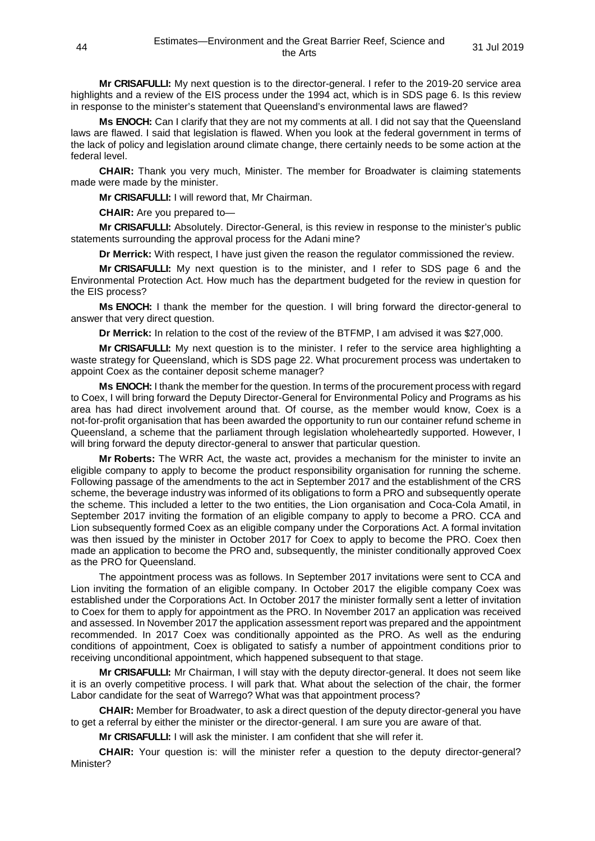**Mr CRISAFULLI:** My next question is to the director-general. I refer to the 2019-20 service area highlights and a review of the EIS process under the 1994 act, which is in SDS page 6. Is this review in response to the minister's statement that Queensland's environmental laws are flawed?

**Ms ENOCH:** Can I clarify that they are not my comments at all. I did not say that the Queensland laws are flawed. I said that legislation is flawed. When you look at the federal government in terms of the lack of policy and legislation around climate change, there certainly needs to be some action at the federal level.

**CHAIR:** Thank you very much, Minister. The member for Broadwater is claiming statements made were made by the minister.

**Mr CRISAFULLI:** I will reword that, Mr Chairman.

**CHAIR:** Are you prepared to—

**Mr CRISAFULLI:** Absolutely. Director-General, is this review in response to the minister's public statements surrounding the approval process for the Adani mine?

**Dr Merrick:** With respect, I have just given the reason the regulator commissioned the review.

**Mr CRISAFULLI:** My next question is to the minister, and I refer to SDS page 6 and the Environmental Protection Act. How much has the department budgeted for the review in question for the EIS process?

**Ms ENOCH:** I thank the member for the question. I will bring forward the director-general to answer that very direct question.

**Dr Merrick:** In relation to the cost of the review of the BTFMP, I am advised it was \$27,000.

**Mr CRISAFULLI:** My next question is to the minister. I refer to the service area highlighting a waste strategy for Queensland, which is SDS page 22. What procurement process was undertaken to appoint Coex as the container deposit scheme manager?

**Ms ENOCH:** I thank the member for the question. In terms of the procurement process with regard to Coex, I will bring forward the Deputy Director-General for Environmental Policy and Programs as his area has had direct involvement around that. Of course, as the member would know, Coex is a not-for-profit organisation that has been awarded the opportunity to run our container refund scheme in Queensland, a scheme that the parliament through legislation wholeheartedly supported. However, I will bring forward the deputy director-general to answer that particular question.

**Mr Roberts:** The WRR Act, the waste act, provides a mechanism for the minister to invite an eligible company to apply to become the product responsibility organisation for running the scheme. Following passage of the amendments to the act in September 2017 and the establishment of the CRS scheme, the beverage industry was informed of its obligations to form a PRO and subsequently operate the scheme. This included a letter to the two entities, the Lion organisation and Coca-Cola Amatil, in September 2017 inviting the formation of an eligible company to apply to become a PRO. CCA and Lion subsequently formed Coex as an eligible company under the Corporations Act. A formal invitation was then issued by the minister in October 2017 for Coex to apply to become the PRO. Coex then made an application to become the PRO and, subsequently, the minister conditionally approved Coex as the PRO for Queensland.

The appointment process was as follows. In September 2017 invitations were sent to CCA and Lion inviting the formation of an eligible company. In October 2017 the eligible company Coex was established under the Corporations Act. In October 2017 the minister formally sent a letter of invitation to Coex for them to apply for appointment as the PRO. In November 2017 an application was received and assessed. In November 2017 the application assessment report was prepared and the appointment recommended. In 2017 Coex was conditionally appointed as the PRO. As well as the enduring conditions of appointment, Coex is obligated to satisfy a number of appointment conditions prior to receiving unconditional appointment, which happened subsequent to that stage.

**Mr CRISAFULLI:** Mr Chairman, I will stay with the deputy director-general. It does not seem like it is an overly competitive process. I will park that. What about the selection of the chair, the former Labor candidate for the seat of Warrego? What was that appointment process?

**CHAIR:** Member for Broadwater, to ask a direct question of the deputy director-general you have to get a referral by either the minister or the director-general. I am sure you are aware of that.

**Mr CRISAFULLI:** I will ask the minister. I am confident that she will refer it.

**CHAIR:** Your question is: will the minister refer a question to the deputy director-general? Minister?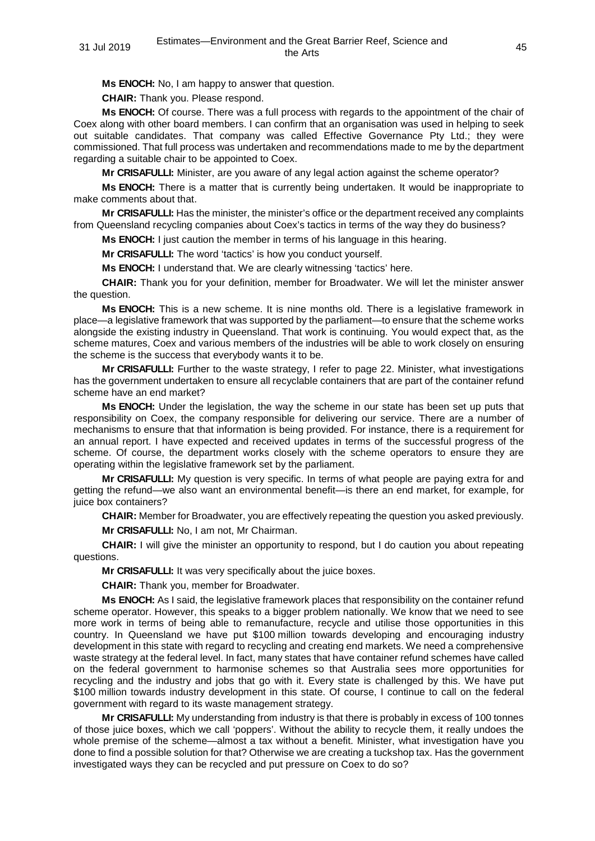**Ms ENOCH:** No, I am happy to answer that question.

**CHAIR:** Thank you. Please respond.

**Ms ENOCH:** Of course. There was a full process with regards to the appointment of the chair of Coex along with other board members. I can confirm that an organisation was used in helping to seek out suitable candidates. That company was called Effective Governance Pty Ltd.; they were commissioned. That full process was undertaken and recommendations made to me by the department regarding a suitable chair to be appointed to Coex.

**Mr CRISAFULLI:** Minister, are you aware of any legal action against the scheme operator?

**Ms ENOCH:** There is a matter that is currently being undertaken. It would be inappropriate to make comments about that.

**Mr CRISAFULLI:** Has the minister, the minister's office or the department received any complaints from Queensland recycling companies about Coex's tactics in terms of the way they do business?

**Ms ENOCH:** I just caution the member in terms of his language in this hearing.

**Mr CRISAFULLI:** The word 'tactics' is how you conduct yourself.

**Ms ENOCH:** I understand that. We are clearly witnessing 'tactics' here.

**CHAIR:** Thank you for your definition, member for Broadwater. We will let the minister answer the question.

**Ms ENOCH:** This is a new scheme. It is nine months old. There is a legislative framework in place—a legislative framework that was supported by the parliament—to ensure that the scheme works alongside the existing industry in Queensland. That work is continuing. You would expect that, as the scheme matures, Coex and various members of the industries will be able to work closely on ensuring the scheme is the success that everybody wants it to be.

**Mr CRISAFULLI:** Further to the waste strategy, I refer to page 22. Minister, what investigations has the government undertaken to ensure all recyclable containers that are part of the container refund scheme have an end market?

**Ms ENOCH:** Under the legislation, the way the scheme in our state has been set up puts that responsibility on Coex, the company responsible for delivering our service. There are a number of mechanisms to ensure that that information is being provided. For instance, there is a requirement for an annual report. I have expected and received updates in terms of the successful progress of the scheme. Of course, the department works closely with the scheme operators to ensure they are operating within the legislative framework set by the parliament.

**Mr CRISAFULLI:** My question is very specific. In terms of what people are paying extra for and getting the refund—we also want an environmental benefit—is there an end market, for example, for juice box containers?

**CHAIR:** Member for Broadwater, you are effectively repeating the question you asked previously.

**Mr CRISAFULLI:** No, I am not, Mr Chairman.

**CHAIR:** I will give the minister an opportunity to respond, but I do caution you about repeating questions.

**Mr CRISAFULLI:** It was very specifically about the juice boxes.

**CHAIR:** Thank you, member for Broadwater.

**Ms ENOCH:** As I said, the legislative framework places that responsibility on the container refund scheme operator. However, this speaks to a bigger problem nationally. We know that we need to see more work in terms of being able to remanufacture, recycle and utilise those opportunities in this country. In Queensland we have put \$100 million towards developing and encouraging industry development in this state with regard to recycling and creating end markets. We need a comprehensive waste strategy at the federal level. In fact, many states that have container refund schemes have called on the federal government to harmonise schemes so that Australia sees more opportunities for recycling and the industry and jobs that go with it. Every state is challenged by this. We have put \$100 million towards industry development in this state. Of course, I continue to call on the federal government with regard to its waste management strategy.

**Mr CRISAFULLI:** My understanding from industry is that there is probably in excess of 100 tonnes of those juice boxes, which we call 'poppers'. Without the ability to recycle them, it really undoes the whole premise of the scheme—almost a tax without a benefit. Minister, what investigation have you done to find a possible solution for that? Otherwise we are creating a tuckshop tax. Has the government investigated ways they can be recycled and put pressure on Coex to do so?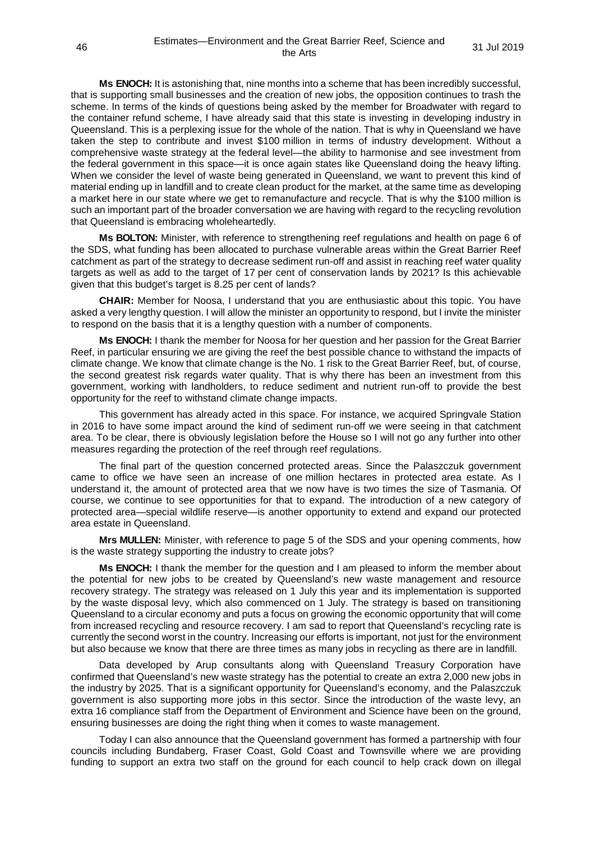**Ms ENOCH:** It is astonishing that, nine months into a scheme that has been incredibly successful, that is supporting small businesses and the creation of new jobs, the opposition continues to trash the scheme. In terms of the kinds of questions being asked by the member for Broadwater with regard to the container refund scheme, I have already said that this state is investing in developing industry in Queensland. This is a perplexing issue for the whole of the nation. That is why in Queensland we have taken the step to contribute and invest \$100 million in terms of industry development. Without a comprehensive waste strategy at the federal level—the ability to harmonise and see investment from the federal government in this space—it is once again states like Queensland doing the heavy lifting. When we consider the level of waste being generated in Queensland, we want to prevent this kind of material ending up in landfill and to create clean product for the market, at the same time as developing a market here in our state where we get to remanufacture and recycle. That is why the \$100 million is such an important part of the broader conversation we are having with regard to the recycling revolution that Queensland is embracing wholeheartedly.

**Ms BOLTON:** Minister, with reference to strengthening reef regulations and health on page 6 of the SDS, what funding has been allocated to purchase vulnerable areas within the Great Barrier Reef catchment as part of the strategy to decrease sediment run-off and assist in reaching reef water quality targets as well as add to the target of 17 per cent of conservation lands by 2021? Is this achievable given that this budget's target is 8.25 per cent of lands?

**CHAIR:** Member for Noosa, I understand that you are enthusiastic about this topic. You have asked a very lengthy question. I will allow the minister an opportunity to respond, but I invite the minister to respond on the basis that it is a lengthy question with a number of components.

**Ms ENOCH:** I thank the member for Noosa for her question and her passion for the Great Barrier Reef, in particular ensuring we are giving the reef the best possible chance to withstand the impacts of climate change. We know that climate change is the No. 1 risk to the Great Barrier Reef, but, of course, the second greatest risk regards water quality. That is why there has been an investment from this government, working with landholders, to reduce sediment and nutrient run-off to provide the best opportunity for the reef to withstand climate change impacts.

This government has already acted in this space. For instance, we acquired Springvale Station in 2016 to have some impact around the kind of sediment run-off we were seeing in that catchment area. To be clear, there is obviously legislation before the House so I will not go any further into other measures regarding the protection of the reef through reef regulations.

The final part of the question concerned protected areas. Since the Palaszczuk government came to office we have seen an increase of one million hectares in protected area estate. As I understand it, the amount of protected area that we now have is two times the size of Tasmania. Of course, we continue to see opportunities for that to expand. The introduction of a new category of protected area—special wildlife reserve—is another opportunity to extend and expand our protected area estate in Queensland.

**Mrs MULLEN:** Minister, with reference to page 5 of the SDS and your opening comments, how is the waste strategy supporting the industry to create jobs?

**Ms ENOCH:** I thank the member for the question and I am pleased to inform the member about the potential for new jobs to be created by Queensland's new waste management and resource recovery strategy. The strategy was released on 1 July this year and its implementation is supported by the waste disposal levy, which also commenced on 1 July. The strategy is based on transitioning Queensland to a circular economy and puts a focus on growing the economic opportunity that will come from increased recycling and resource recovery. I am sad to report that Queensland's recycling rate is currently the second worst in the country. Increasing our efforts is important, not just for the environment but also because we know that there are three times as many jobs in recycling as there are in landfill.

Data developed by Arup consultants along with Queensland Treasury Corporation have confirmed that Queensland's new waste strategy has the potential to create an extra 2,000 new jobs in the industry by 2025. That is a significant opportunity for Queensland's economy, and the Palaszczuk government is also supporting more jobs in this sector. Since the introduction of the waste levy, an extra 16 compliance staff from the Department of Environment and Science have been on the ground, ensuring businesses are doing the right thing when it comes to waste management.

Today I can also announce that the Queensland government has formed a partnership with four councils including Bundaberg, Fraser Coast, Gold Coast and Townsville where we are providing funding to support an extra two staff on the ground for each council to help crack down on illegal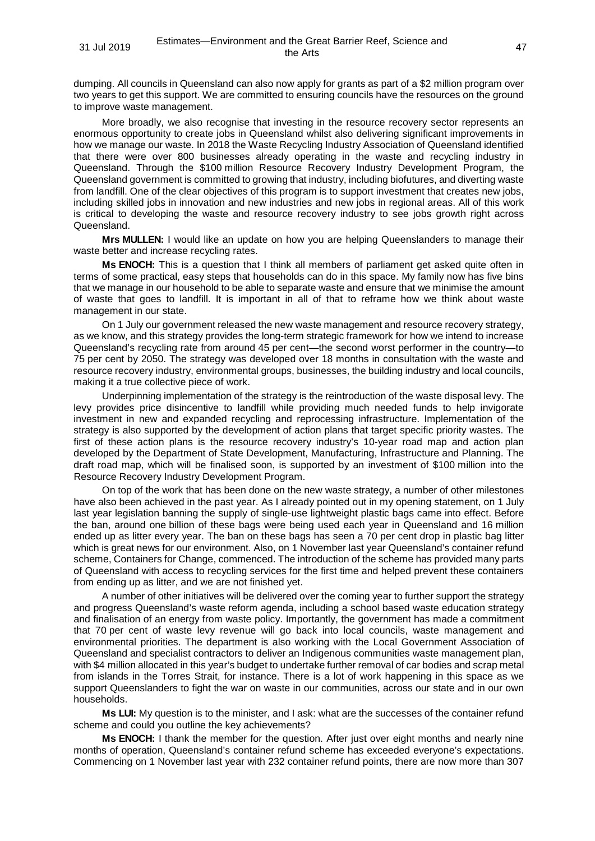dumping. All councils in Queensland can also now apply for grants as part of a \$2 million program over two years to get this support. We are committed to ensuring councils have the resources on the ground to improve waste management.

More broadly, we also recognise that investing in the resource recovery sector represents an enormous opportunity to create jobs in Queensland whilst also delivering significant improvements in how we manage our waste. In 2018 the Waste Recycling Industry Association of Queensland identified that there were over 800 businesses already operating in the waste and recycling industry in Queensland. Through the \$100 million Resource Recovery Industry Development Program, the Queensland government is committed to growing that industry, including biofutures, and diverting waste from landfill. One of the clear objectives of this program is to support investment that creates new jobs, including skilled jobs in innovation and new industries and new jobs in regional areas. All of this work is critical to developing the waste and resource recovery industry to see jobs growth right across Queensland.

**Mrs MULLEN:** I would like an update on how you are helping Queenslanders to manage their waste better and increase recycling rates.

**Ms ENOCH:** This is a question that I think all members of parliament get asked quite often in terms of some practical, easy steps that households can do in this space. My family now has five bins that we manage in our household to be able to separate waste and ensure that we minimise the amount of waste that goes to landfill. It is important in all of that to reframe how we think about waste management in our state.

On 1 July our government released the new waste management and resource recovery strategy, as we know, and this strategy provides the long-term strategic framework for how we intend to increase Queensland's recycling rate from around 45 per cent—the second worst performer in the country—to 75 per cent by 2050. The strategy was developed over 18 months in consultation with the waste and resource recovery industry, environmental groups, businesses, the building industry and local councils, making it a true collective piece of work.

Underpinning implementation of the strategy is the reintroduction of the waste disposal levy. The levy provides price disincentive to landfill while providing much needed funds to help invigorate investment in new and expanded recycling and reprocessing infrastructure. Implementation of the strategy is also supported by the development of action plans that target specific priority wastes. The first of these action plans is the resource recovery industry's 10-year road map and action plan developed by the Department of State Development, Manufacturing, Infrastructure and Planning. The draft road map, which will be finalised soon, is supported by an investment of \$100 million into the Resource Recovery Industry Development Program.

On top of the work that has been done on the new waste strategy, a number of other milestones have also been achieved in the past year. As I already pointed out in my opening statement, on 1 July last year legislation banning the supply of single-use lightweight plastic bags came into effect. Before the ban, around one billion of these bags were being used each year in Queensland and 16 million ended up as litter every year. The ban on these bags has seen a 70 per cent drop in plastic bag litter which is great news for our environment. Also, on 1 November last year Queensland's container refund scheme, Containers for Change, commenced. The introduction of the scheme has provided many parts of Queensland with access to recycling services for the first time and helped prevent these containers from ending up as litter, and we are not finished yet.

A number of other initiatives will be delivered over the coming year to further support the strategy and progress Queensland's waste reform agenda, including a school based waste education strategy and finalisation of an energy from waste policy. Importantly, the government has made a commitment that 70 per cent of waste levy revenue will go back into local councils, waste management and environmental priorities. The department is also working with the Local Government Association of Queensland and specialist contractors to deliver an Indigenous communities waste management plan, with \$4 million allocated in this year's budget to undertake further removal of car bodies and scrap metal from islands in the Torres Strait, for instance. There is a lot of work happening in this space as we support Queenslanders to fight the war on waste in our communities, across our state and in our own households.

**Ms LUI:** My question is to the minister, and I ask: what are the successes of the container refund scheme and could you outline the key achievements?

**Ms ENOCH:** I thank the member for the question. After just over eight months and nearly nine months of operation, Queensland's container refund scheme has exceeded everyone's expectations. Commencing on 1 November last year with 232 container refund points, there are now more than 307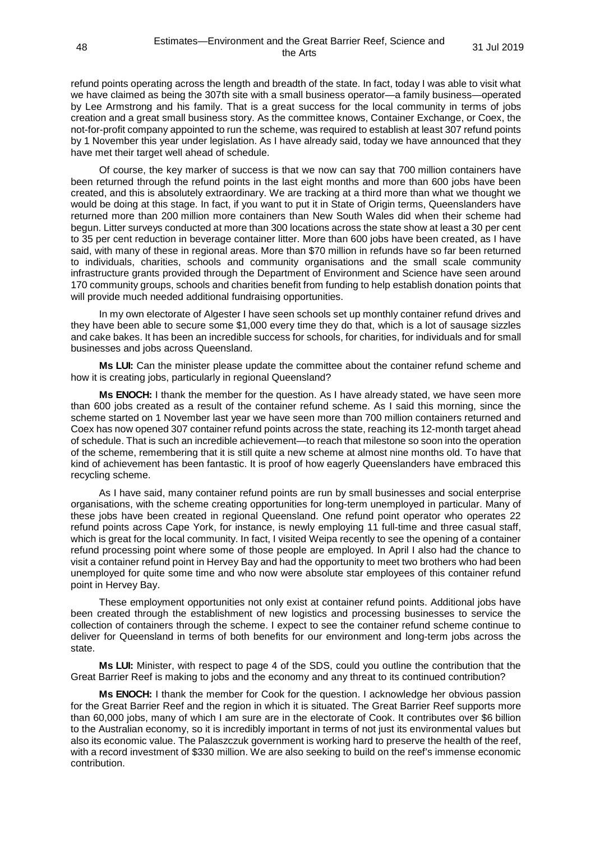refund points operating across the length and breadth of the state. In fact, today I was able to visit what we have claimed as being the 307th site with a small business operator—a family business—operated by Lee Armstrong and his family. That is a great success for the local community in terms of jobs creation and a great small business story. As the committee knows, Container Exchange, or Coex, the not-for-profit company appointed to run the scheme, was required to establish at least 307 refund points by 1 November this year under legislation. As I have already said, today we have announced that they have met their target well ahead of schedule.

Of course, the key marker of success is that we now can say that 700 million containers have been returned through the refund points in the last eight months and more than 600 jobs have been created, and this is absolutely extraordinary. We are tracking at a third more than what we thought we would be doing at this stage. In fact, if you want to put it in State of Origin terms, Queenslanders have returned more than 200 million more containers than New South Wales did when their scheme had begun. Litter surveys conducted at more than 300 locations across the state show at least a 30 per cent to 35 per cent reduction in beverage container litter. More than 600 jobs have been created, as I have said, with many of these in regional areas. More than \$70 million in refunds have so far been returned to individuals, charities, schools and community organisations and the small scale community infrastructure grants provided through the Department of Environment and Science have seen around 170 community groups, schools and charities benefit from funding to help establish donation points that will provide much needed additional fundraising opportunities.

In my own electorate of Algester I have seen schools set up monthly container refund drives and they have been able to secure some \$1,000 every time they do that, which is a lot of sausage sizzles and cake bakes. It has been an incredible success for schools, for charities, for individuals and for small businesses and jobs across Queensland.

**Ms LUI:** Can the minister please update the committee about the container refund scheme and how it is creating jobs, particularly in regional Queensland?

**Ms ENOCH:** I thank the member for the question. As I have already stated, we have seen more than 600 jobs created as a result of the container refund scheme. As I said this morning, since the scheme started on 1 November last year we have seen more than 700 million containers returned and Coex has now opened 307 container refund points across the state, reaching its 12-month target ahead of schedule. That is such an incredible achievement—to reach that milestone so soon into the operation of the scheme, remembering that it is still quite a new scheme at almost nine months old. To have that kind of achievement has been fantastic. It is proof of how eagerly Queenslanders have embraced this recycling scheme.

As I have said, many container refund points are run by small businesses and social enterprise organisations, with the scheme creating opportunities for long-term unemployed in particular. Many of these jobs have been created in regional Queensland. One refund point operator who operates 22 refund points across Cape York, for instance, is newly employing 11 full-time and three casual staff, which is great for the local community. In fact, I visited Weipa recently to see the opening of a container refund processing point where some of those people are employed. In April I also had the chance to visit a container refund point in Hervey Bay and had the opportunity to meet two brothers who had been unemployed for quite some time and who now were absolute star employees of this container refund point in Hervey Bay.

These employment opportunities not only exist at container refund points. Additional jobs have been created through the establishment of new logistics and processing businesses to service the collection of containers through the scheme. I expect to see the container refund scheme continue to deliver for Queensland in terms of both benefits for our environment and long-term jobs across the state.

**Ms LUI:** Minister, with respect to page 4 of the SDS, could you outline the contribution that the Great Barrier Reef is making to jobs and the economy and any threat to its continued contribution?

**Ms ENOCH:** I thank the member for Cook for the question. I acknowledge her obvious passion for the Great Barrier Reef and the region in which it is situated. The Great Barrier Reef supports more than 60,000 jobs, many of which I am sure are in the electorate of Cook. It contributes over \$6 billion to the Australian economy, so it is incredibly important in terms of not just its environmental values but also its economic value. The Palaszczuk government is working hard to preserve the health of the reef, with a record investment of \$330 million. We are also seeking to build on the reef's immense economic contribution.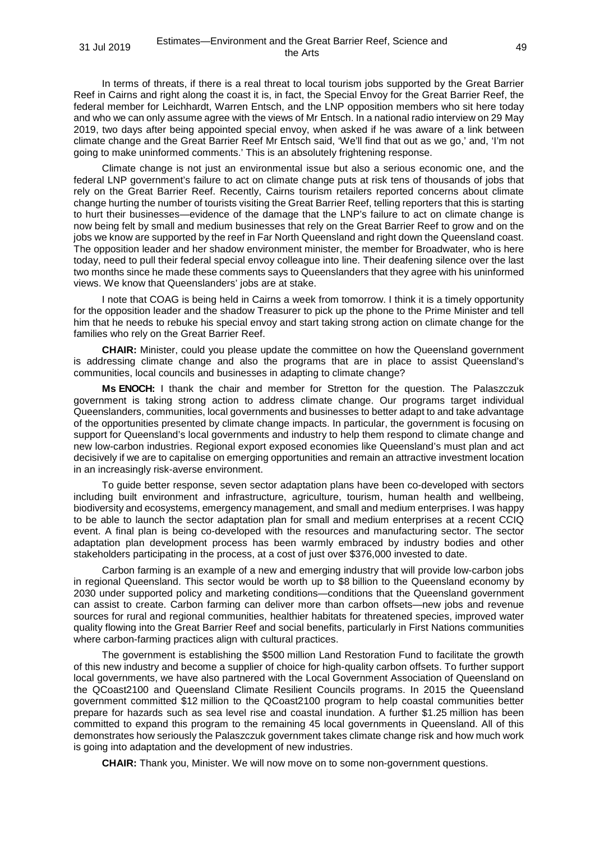In terms of threats, if there is a real threat to local tourism jobs supported by the Great Barrier Reef in Cairns and right along the coast it is, in fact, the Special Envoy for the Great Barrier Reef, the federal member for Leichhardt, Warren Entsch, and the LNP opposition members who sit here today and who we can only assume agree with the views of Mr Entsch. In a national radio interview on 29 May 2019, two days after being appointed special envoy, when asked if he was aware of a link between climate change and the Great Barrier Reef Mr Entsch said, 'We'll find that out as we go,' and, 'I'm not going to make uninformed comments.' This is an absolutely frightening response.

Climate change is not just an environmental issue but also a serious economic one, and the federal LNP government's failure to act on climate change puts at risk tens of thousands of jobs that rely on the Great Barrier Reef. Recently, Cairns tourism retailers reported concerns about climate change hurting the number of tourists visiting the Great Barrier Reef, telling reporters that this is starting to hurt their businesses—evidence of the damage that the LNP's failure to act on climate change is now being felt by small and medium businesses that rely on the Great Barrier Reef to grow and on the jobs we know are supported by the reef in Far North Queensland and right down the Queensland coast. The opposition leader and her shadow environment minister, the member for Broadwater, who is here today, need to pull their federal special envoy colleague into line. Their deafening silence over the last two months since he made these comments says to Queenslanders that they agree with his uninformed views. We know that Queenslanders' jobs are at stake.

I note that COAG is being held in Cairns a week from tomorrow. I think it is a timely opportunity for the opposition leader and the shadow Treasurer to pick up the phone to the Prime Minister and tell him that he needs to rebuke his special envoy and start taking strong action on climate change for the families who rely on the Great Barrier Reef.

**CHAIR:** Minister, could you please update the committee on how the Queensland government is addressing climate change and also the programs that are in place to assist Queensland's communities, local councils and businesses in adapting to climate change?

**Ms ENOCH:** I thank the chair and member for Stretton for the question. The Palaszczuk government is taking strong action to address climate change. Our programs target individual Queenslanders, communities, local governments and businesses to better adapt to and take advantage of the opportunities presented by climate change impacts. In particular, the government is focusing on support for Queensland's local governments and industry to help them respond to climate change and new low-carbon industries. Regional export exposed economies like Queensland's must plan and act decisively if we are to capitalise on emerging opportunities and remain an attractive investment location in an increasingly risk-averse environment.

To guide better response, seven sector adaptation plans have been co-developed with sectors including built environment and infrastructure, agriculture, tourism, human health and wellbeing, biodiversity and ecosystems, emergency management, and small and medium enterprises. I was happy to be able to launch the sector adaptation plan for small and medium enterprises at a recent CCIQ event. A final plan is being co-developed with the resources and manufacturing sector. The sector adaptation plan development process has been warmly embraced by industry bodies and other stakeholders participating in the process, at a cost of just over \$376,000 invested to date.

Carbon farming is an example of a new and emerging industry that will provide low-carbon jobs in regional Queensland. This sector would be worth up to \$8 billion to the Queensland economy by 2030 under supported policy and marketing conditions—conditions that the Queensland government can assist to create. Carbon farming can deliver more than carbon offsets—new jobs and revenue sources for rural and regional communities, healthier habitats for threatened species, improved water quality flowing into the Great Barrier Reef and social benefits, particularly in First Nations communities where carbon-farming practices align with cultural practices.

The government is establishing the \$500 million Land Restoration Fund to facilitate the growth of this new industry and become a supplier of choice for high-quality carbon offsets. To further support local governments, we have also partnered with the Local Government Association of Queensland on the QCoast2100 and Queensland Climate Resilient Councils programs. In 2015 the Queensland government committed \$12 million to the QCoast2100 program to help coastal communities better prepare for hazards such as sea level rise and coastal inundation. A further \$1.25 million has been committed to expand this program to the remaining 45 local governments in Queensland. All of this demonstrates how seriously the Palaszczuk government takes climate change risk and how much work is going into adaptation and the development of new industries.

**CHAIR:** Thank you, Minister. We will now move on to some non-government questions.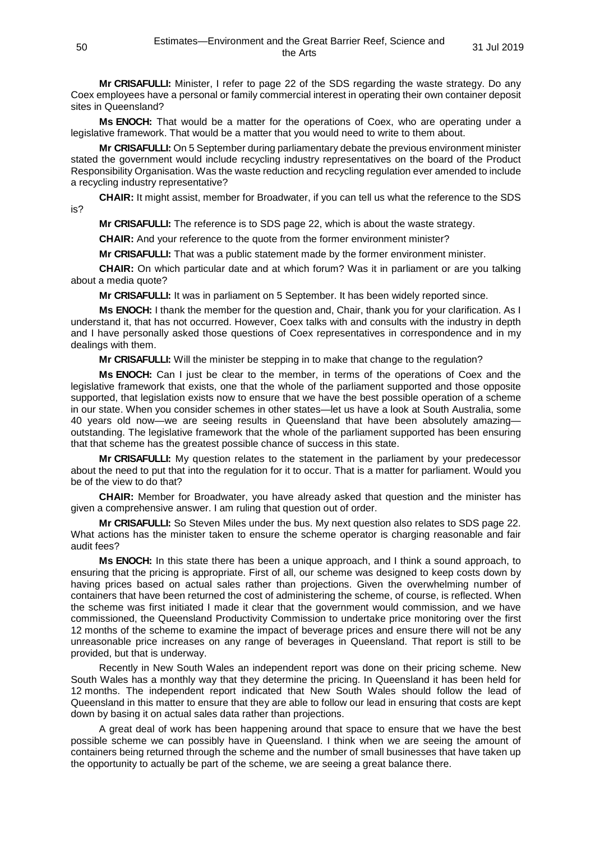**Mr CRISAFULLI:** Minister, I refer to page 22 of the SDS regarding the waste strategy. Do any Coex employees have a personal or family commercial interest in operating their own container deposit sites in Queensland?

**Ms ENOCH:** That would be a matter for the operations of Coex, who are operating under a legislative framework. That would be a matter that you would need to write to them about.

**Mr CRISAFULLI:** On 5 September during parliamentary debate the previous environment minister stated the government would include recycling industry representatives on the board of the Product Responsibility Organisation. Was the waste reduction and recycling regulation ever amended to include a recycling industry representative?

**CHAIR:** It might assist, member for Broadwater, if you can tell us what the reference to the SDS is?

**Mr CRISAFULLI:** The reference is to SDS page 22, which is about the waste strategy.

**CHAIR:** And your reference to the quote from the former environment minister?

**Mr CRISAFULLI:** That was a public statement made by the former environment minister.

**CHAIR:** On which particular date and at which forum? Was it in parliament or are you talking about a media quote?

**Mr CRISAFULLI:** It was in parliament on 5 September. It has been widely reported since.

**Ms ENOCH:** I thank the member for the question and, Chair, thank you for your clarification. As I understand it, that has not occurred. However, Coex talks with and consults with the industry in depth and I have personally asked those questions of Coex representatives in correspondence and in my dealings with them.

**Mr CRISAFULLI:** Will the minister be stepping in to make that change to the regulation?

**Ms ENOCH:** Can I just be clear to the member, in terms of the operations of Coex and the legislative framework that exists, one that the whole of the parliament supported and those opposite supported, that legislation exists now to ensure that we have the best possible operation of a scheme in our state. When you consider schemes in other states—let us have a look at South Australia, some 40 years old now—we are seeing results in Queensland that have been absolutely amazing outstanding. The legislative framework that the whole of the parliament supported has been ensuring that that scheme has the greatest possible chance of success in this state.

**Mr CRISAFULLI:** My question relates to the statement in the parliament by your predecessor about the need to put that into the regulation for it to occur. That is a matter for parliament. Would you be of the view to do that?

**CHAIR:** Member for Broadwater, you have already asked that question and the minister has given a comprehensive answer. I am ruling that question out of order.

**Mr CRISAFULLI:** So Steven Miles under the bus. My next question also relates to SDS page 22. What actions has the minister taken to ensure the scheme operator is charging reasonable and fair audit fees?

**Ms ENOCH:** In this state there has been a unique approach, and I think a sound approach, to ensuring that the pricing is appropriate. First of all, our scheme was designed to keep costs down by having prices based on actual sales rather than projections. Given the overwhelming number of containers that have been returned the cost of administering the scheme, of course, is reflected. When the scheme was first initiated I made it clear that the government would commission, and we have commissioned, the Queensland Productivity Commission to undertake price monitoring over the first 12 months of the scheme to examine the impact of beverage prices and ensure there will not be any unreasonable price increases on any range of beverages in Queensland. That report is still to be provided, but that is underway.

Recently in New South Wales an independent report was done on their pricing scheme. New South Wales has a monthly way that they determine the pricing. In Queensland it has been held for 12 months. The independent report indicated that New South Wales should follow the lead of Queensland in this matter to ensure that they are able to follow our lead in ensuring that costs are kept down by basing it on actual sales data rather than projections.

A great deal of work has been happening around that space to ensure that we have the best possible scheme we can possibly have in Queensland. I think when we are seeing the amount of containers being returned through the scheme and the number of small businesses that have taken up the opportunity to actually be part of the scheme, we are seeing a great balance there.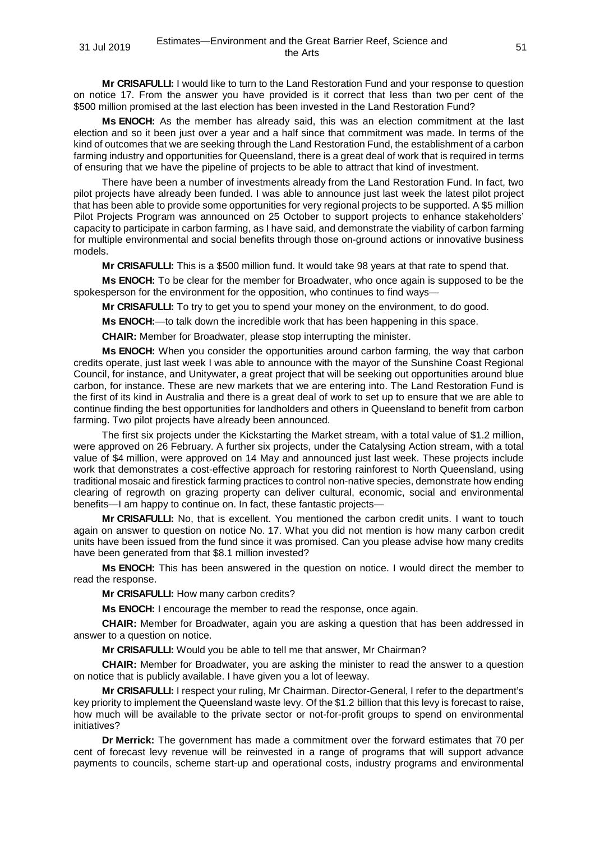**Mr CRISAFULLI:** I would like to turn to the Land Restoration Fund and your response to question on notice 17. From the answer you have provided is it correct that less than two per cent of the \$500 million promised at the last election has been invested in the Land Restoration Fund?

**Ms ENOCH:** As the member has already said, this was an election commitment at the last election and so it been just over a year and a half since that commitment was made. In terms of the kind of outcomes that we are seeking through the Land Restoration Fund, the establishment of a carbon farming industry and opportunities for Queensland, there is a great deal of work that is required in terms of ensuring that we have the pipeline of projects to be able to attract that kind of investment.

There have been a number of investments already from the Land Restoration Fund. In fact, two pilot projects have already been funded. I was able to announce just last week the latest pilot project that has been able to provide some opportunities for very regional projects to be supported. A \$5 million Pilot Projects Program was announced on 25 October to support projects to enhance stakeholders' capacity to participate in carbon farming, as I have said, and demonstrate the viability of carbon farming for multiple environmental and social benefits through those on-ground actions or innovative business models.

**Mr CRISAFULLI:** This is a \$500 million fund. It would take 98 years at that rate to spend that.

**Ms ENOCH:** To be clear for the member for Broadwater, who once again is supposed to be the spokesperson for the environment for the opposition, who continues to find ways—

**Mr CRISAFULLI:** To try to get you to spend your money on the environment, to do good.

**Ms ENOCH:**—to talk down the incredible work that has been happening in this space.

**CHAIR:** Member for Broadwater, please stop interrupting the minister.

**Ms ENOCH:** When you consider the opportunities around carbon farming, the way that carbon credits operate, just last week I was able to announce with the mayor of the Sunshine Coast Regional Council, for instance, and Unitywater, a great project that will be seeking out opportunities around blue carbon, for instance. These are new markets that we are entering into. The Land Restoration Fund is the first of its kind in Australia and there is a great deal of work to set up to ensure that we are able to continue finding the best opportunities for landholders and others in Queensland to benefit from carbon farming. Two pilot projects have already been announced.

The first six projects under the Kickstarting the Market stream, with a total value of \$1.2 million, were approved on 26 February. A further six projects, under the Catalysing Action stream, with a total value of \$4 million, were approved on 14 May and announced just last week. These projects include work that demonstrates a cost-effective approach for restoring rainforest to North Queensland, using traditional mosaic and firestick farming practices to control non-native species, demonstrate how ending clearing of regrowth on grazing property can deliver cultural, economic, social and environmental benefits—I am happy to continue on. In fact, these fantastic projects—

**Mr CRISAFULLI:** No, that is excellent. You mentioned the carbon credit units. I want to touch again on answer to question on notice No. 17. What you did not mention is how many carbon credit units have been issued from the fund since it was promised. Can you please advise how many credits have been generated from that \$8.1 million invested?

**Ms ENOCH:** This has been answered in the question on notice. I would direct the member to read the response.

**Mr CRISAFULLI:** How many carbon credits?

**Ms ENOCH:** I encourage the member to read the response, once again.

**CHAIR:** Member for Broadwater, again you are asking a question that has been addressed in answer to a question on notice.

**Mr CRISAFULLI:** Would you be able to tell me that answer, Mr Chairman?

**CHAIR:** Member for Broadwater, you are asking the minister to read the answer to a question on notice that is publicly available. I have given you a lot of leeway.

**Mr CRISAFULLI:** I respect your ruling, Mr Chairman. Director-General, I refer to the department's key priority to implement the Queensland waste levy. Of the \$1.2 billion that this levy is forecast to raise, how much will be available to the private sector or not-for-profit groups to spend on environmental initiatives?

**Dr Merrick:** The government has made a commitment over the forward estimates that 70 per cent of forecast levy revenue will be reinvested in a range of programs that will support advance payments to councils, scheme start-up and operational costs, industry programs and environmental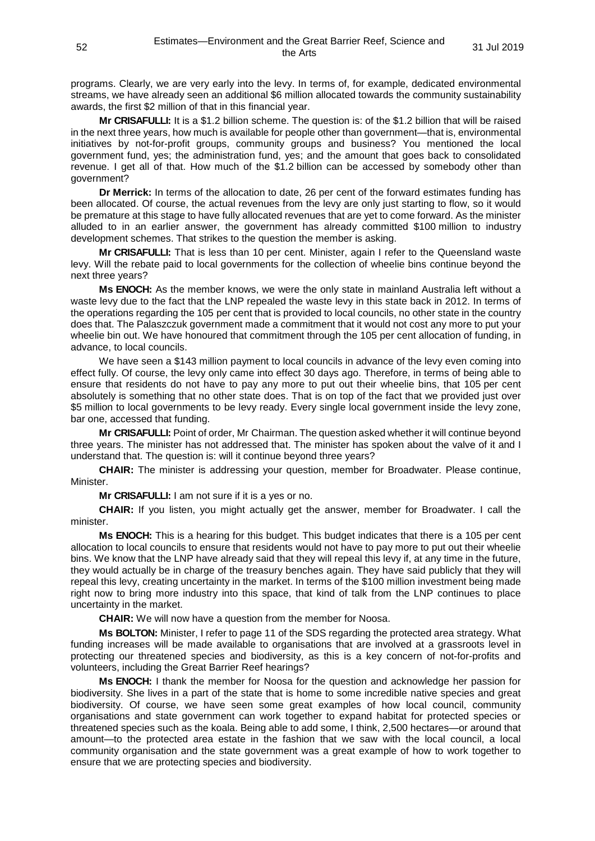programs. Clearly, we are very early into the levy. In terms of, for example, dedicated environmental streams, we have already seen an additional \$6 million allocated towards the community sustainability awards, the first \$2 million of that in this financial year.

**Mr CRISAFULLI:** It is a \$1.2 billion scheme. The question is: of the \$1.2 billion that will be raised in the next three years, how much is available for people other than government—that is, environmental initiatives by not-for-profit groups, community groups and business? You mentioned the local government fund, yes; the administration fund, yes; and the amount that goes back to consolidated revenue. I get all of that. How much of the \$1.2 billion can be accessed by somebody other than government?

**Dr Merrick:** In terms of the allocation to date, 26 per cent of the forward estimates funding has been allocated. Of course, the actual revenues from the levy are only just starting to flow, so it would be premature at this stage to have fully allocated revenues that are yet to come forward. As the minister alluded to in an earlier answer, the government has already committed \$100 million to industry development schemes. That strikes to the question the member is asking.

**Mr CRISAFULLI:** That is less than 10 per cent. Minister, again I refer to the Queensland waste levy. Will the rebate paid to local governments for the collection of wheelie bins continue beyond the next three years?

**Ms ENOCH:** As the member knows, we were the only state in mainland Australia left without a waste levy due to the fact that the LNP repealed the waste levy in this state back in 2012. In terms of the operations regarding the 105 per cent that is provided to local councils, no other state in the country does that. The Palaszczuk government made a commitment that it would not cost any more to put your wheelie bin out. We have honoured that commitment through the 105 per cent allocation of funding, in advance, to local councils.

We have seen a \$143 million payment to local councils in advance of the levy even coming into effect fully. Of course, the levy only came into effect 30 days ago. Therefore, in terms of being able to ensure that residents do not have to pay any more to put out their wheelie bins, that 105 per cent absolutely is something that no other state does. That is on top of the fact that we provided just over \$5 million to local governments to be levy ready. Every single local government inside the levy zone, bar one, accessed that funding.

**Mr CRISAFULLI:** Point of order, Mr Chairman. The question asked whether it will continue beyond three years. The minister has not addressed that. The minister has spoken about the valve of it and I understand that. The question is: will it continue beyond three years?

**CHAIR:** The minister is addressing your question, member for Broadwater. Please continue, Minister.

**Mr CRISAFULLI:** I am not sure if it is a yes or no.

**CHAIR:** If you listen, you might actually get the answer, member for Broadwater. I call the minister.

**Ms ENOCH:** This is a hearing for this budget. This budget indicates that there is a 105 per cent allocation to local councils to ensure that residents would not have to pay more to put out their wheelie bins. We know that the LNP have already said that they will repeal this levy if, at any time in the future, they would actually be in charge of the treasury benches again. They have said publicly that they will repeal this levy, creating uncertainty in the market. In terms of the \$100 million investment being made right now to bring more industry into this space, that kind of talk from the LNP continues to place uncertainty in the market.

**CHAIR:** We will now have a question from the member for Noosa.

**Ms BOLTON:** Minister, I refer to page 11 of the SDS regarding the protected area strategy. What funding increases will be made available to organisations that are involved at a grassroots level in protecting our threatened species and biodiversity, as this is a key concern of not-for-profits and volunteers, including the Great Barrier Reef hearings?

**Ms ENOCH:** I thank the member for Noosa for the question and acknowledge her passion for biodiversity. She lives in a part of the state that is home to some incredible native species and great biodiversity. Of course, we have seen some great examples of how local council, community organisations and state government can work together to expand habitat for protected species or threatened species such as the koala. Being able to add some, I think, 2,500 hectares—or around that amount—to the protected area estate in the fashion that we saw with the local council, a local community organisation and the state government was a great example of how to work together to ensure that we are protecting species and biodiversity.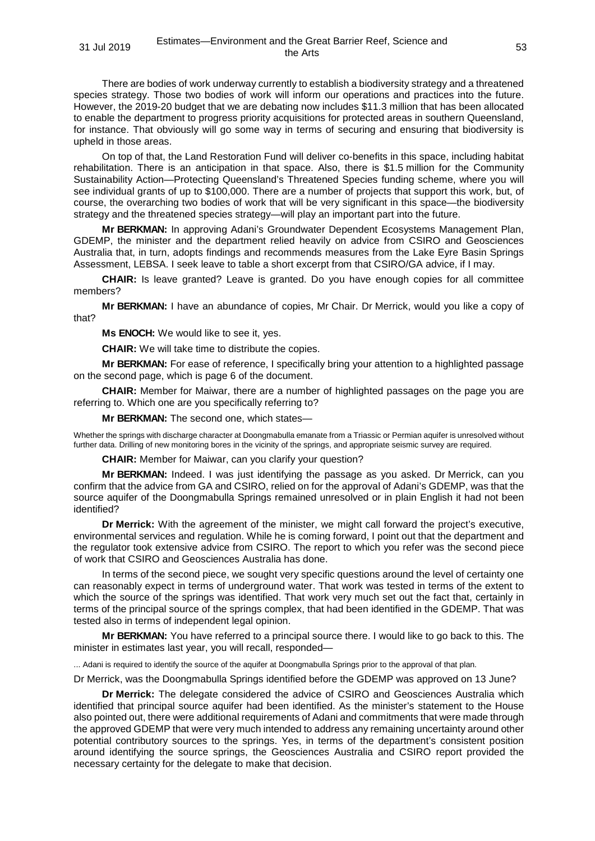There are bodies of work underway currently to establish a biodiversity strategy and a threatened species strategy. Those two bodies of work will inform our operations and practices into the future. However, the 2019-20 budget that we are debating now includes \$11.3 million that has been allocated to enable the department to progress priority acquisitions for protected areas in southern Queensland, for instance. That obviously will go some way in terms of securing and ensuring that biodiversity is upheld in those areas.

On top of that, the Land Restoration Fund will deliver co-benefits in this space, including habitat rehabilitation. There is an anticipation in that space. Also, there is \$1.5 million for the Community Sustainability Action—Protecting Queensland's Threatened Species funding scheme, where you will see individual grants of up to \$100,000. There are a number of projects that support this work, but, of course, the overarching two bodies of work that will be very significant in this space—the biodiversity strategy and the threatened species strategy—will play an important part into the future.

**Mr BERKMAN:** In approving Adani's Groundwater Dependent Ecosystems Management Plan, GDEMP, the minister and the department relied heavily on advice from CSIRO and Geosciences Australia that, in turn, adopts findings and recommends measures from the Lake Eyre Basin Springs Assessment, LEBSA. I seek leave to table a short excerpt from that CSIRO/GA advice, if I may.

**CHAIR:** Is leave granted? Leave is granted. Do you have enough copies for all committee members?

**Mr BERKMAN:** I have an abundance of copies, Mr Chair. Dr Merrick, would you like a copy of that?

**Ms ENOCH:** We would like to see it, yes.

**CHAIR:** We will take time to distribute the copies.

**Mr BERKMAN:** For ease of reference, I specifically bring your attention to a highlighted passage on the second page, which is page 6 of the document.

**CHAIR:** Member for Maiwar, there are a number of highlighted passages on the page you are referring to. Which one are you specifically referring to?

**Mr BERKMAN:** The second one, which states—

Whether the springs with discharge character at Doongmabulla emanate from a Triassic or Permian aquifer is unresolved without further data. Drilling of new monitoring bores in the vicinity of the springs, and appropriate seismic survey are required.

**CHAIR:** Member for Maiwar, can you clarify your question?

**Mr BERKMAN:** Indeed. I was just identifying the passage as you asked. Dr Merrick, can you confirm that the advice from GA and CSIRO, relied on for the approval of Adani's GDEMP, was that the source aquifer of the Doongmabulla Springs remained unresolved or in plain English it had not been identified?

**Dr Merrick:** With the agreement of the minister, we might call forward the project's executive, environmental services and regulation. While he is coming forward, I point out that the department and the regulator took extensive advice from CSIRO. The report to which you refer was the second piece of work that CSIRO and Geosciences Australia has done.

In terms of the second piece, we sought very specific questions around the level of certainty one can reasonably expect in terms of underground water. That work was tested in terms of the extent to which the source of the springs was identified. That work very much set out the fact that, certainly in terms of the principal source of the springs complex, that had been identified in the GDEMP. That was tested also in terms of independent legal opinion.

**Mr BERKMAN:** You have referred to a principal source there. I would like to go back to this. The minister in estimates last year, you will recall, responded—

... Adani is required to identify the source of the aquifer at Doongmabulla Springs prior to the approval of that plan.

Dr Merrick, was the Doongmabulla Springs identified before the GDEMP was approved on 13 June?

**Dr Merrick:** The delegate considered the advice of CSIRO and Geosciences Australia which identified that principal source aquifer had been identified. As the minister's statement to the House also pointed out, there were additional requirements of Adani and commitments that were made through the approved GDEMP that were very much intended to address any remaining uncertainty around other potential contributory sources to the springs. Yes, in terms of the department's consistent position around identifying the source springs, the Geosciences Australia and CSIRO report provided the necessary certainty for the delegate to make that decision.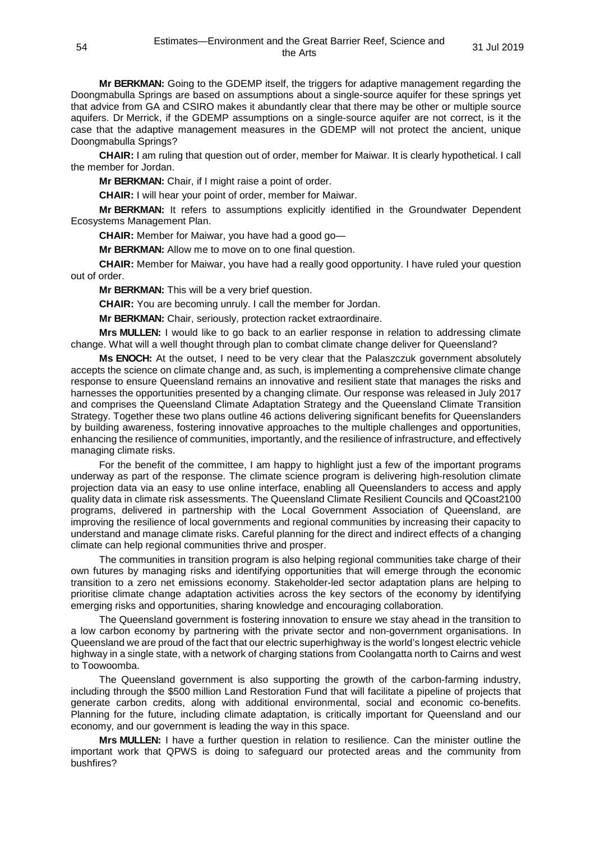**Mr BERKMAN:** Going to the GDEMP itself, the triggers for adaptive management regarding the Doongmabulla Springs are based on assumptions about a single-source aquifer for these springs yet that advice from GA and CSIRO makes it abundantly clear that there may be other or multiple source aquifers. Dr Merrick, if the GDEMP assumptions on a single-source aquifer are not correct, is it the case that the adaptive management measures in the GDEMP will not protect the ancient, unique Doongmabulla Springs?

**CHAIR:** I am ruling that question out of order, member for Maiwar. It is clearly hypothetical. I call the member for Jordan.

**Mr BERKMAN:** Chair, if I might raise a point of order.

**CHAIR:** I will hear your point of order, member for Maiwar.

**Mr BERKMAN:** It refers to assumptions explicitly identified in the Groundwater Dependent Ecosystems Management Plan.

**CHAIR:** Member for Maiwar, you have had a good go—

**Mr BERKMAN:** Allow me to move on to one final question.

**CHAIR:** Member for Maiwar, you have had a really good opportunity. I have ruled your question out of order.

**Mr BERKMAN:** This will be a very brief question.

**CHAIR:** You are becoming unruly. I call the member for Jordan.

**Mr BERKMAN:** Chair, seriously, protection racket extraordinaire.

**Mrs MULLEN:** I would like to go back to an earlier response in relation to addressing climate change. What will a well thought through plan to combat climate change deliver for Queensland?

**Ms ENOCH:** At the outset, I need to be very clear that the Palaszczuk government absolutely accepts the science on climate change and, as such, is implementing a comprehensive climate change response to ensure Queensland remains an innovative and resilient state that manages the risks and harnesses the opportunities presented by a changing climate. Our response was released in July 2017 and comprises the Queensland Climate Adaptation Strategy and the Queensland Climate Transition Strategy. Together these two plans outline 46 actions delivering significant benefits for Queenslanders by building awareness, fostering innovative approaches to the multiple challenges and opportunities, enhancing the resilience of communities, importantly, and the resilience of infrastructure, and effectively managing climate risks.

For the benefit of the committee, I am happy to highlight just a few of the important programs underway as part of the response. The climate science program is delivering high-resolution climate projection data via an easy to use online interface, enabling all Queenslanders to access and apply quality data in climate risk assessments. The Queensland Climate Resilient Councils and QCoast2100 programs, delivered in partnership with the Local Government Association of Queensland, are improving the resilience of local governments and regional communities by increasing their capacity to understand and manage climate risks. Careful planning for the direct and indirect effects of a changing climate can help regional communities thrive and prosper.

The communities in transition program is also helping regional communities take charge of their own futures by managing risks and identifying opportunities that will emerge through the economic transition to a zero net emissions economy. Stakeholder-led sector adaptation plans are helping to prioritise climate change adaptation activities across the key sectors of the economy by identifying emerging risks and opportunities, sharing knowledge and encouraging collaboration.

The Queensland government is fostering innovation to ensure we stay ahead in the transition to a low carbon economy by partnering with the private sector and non-government organisations. In Queensland we are proud of the fact that our electric superhighway is the world's longest electric vehicle highway in a single state, with a network of charging stations from Coolangatta north to Cairns and west to Toowoomba.

The Queensland government is also supporting the growth of the carbon-farming industry, including through the \$500 million Land Restoration Fund that will facilitate a pipeline of projects that generate carbon credits, along with additional environmental, social and economic co-benefits. Planning for the future, including climate adaptation, is critically important for Queensland and our economy, and our government is leading the way in this space.

**Mrs MULLEN:** I have a further question in relation to resilience. Can the minister outline the important work that QPWS is doing to safeguard our protected areas and the community from bushfires?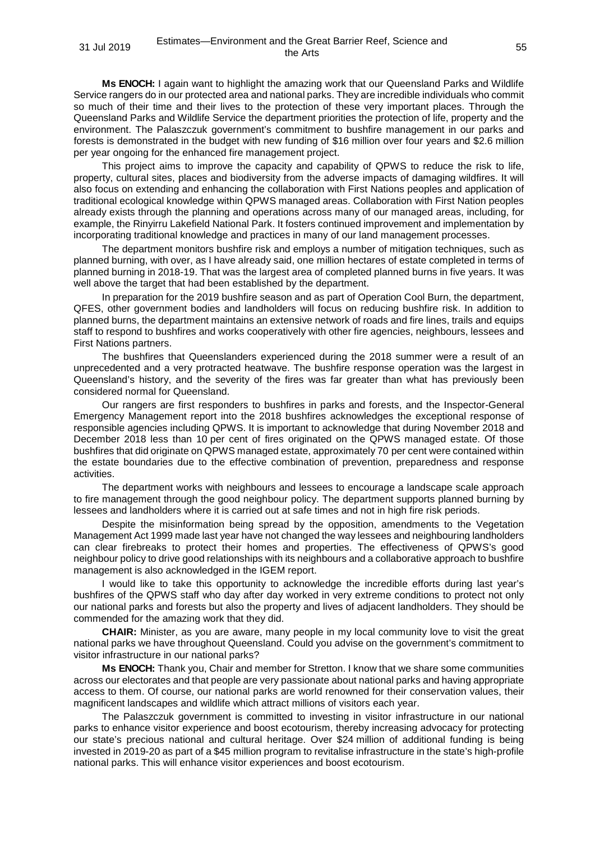**Ms ENOCH:** I again want to highlight the amazing work that our Queensland Parks and Wildlife Service rangers do in our protected area and national parks. They are incredible individuals who commit so much of their time and their lives to the protection of these very important places. Through the Queensland Parks and Wildlife Service the department priorities the protection of life, property and the environment. The Palaszczuk government's commitment to bushfire management in our parks and forests is demonstrated in the budget with new funding of \$16 million over four years and \$2.6 million per year ongoing for the enhanced fire management project.

This project aims to improve the capacity and capability of QPWS to reduce the risk to life, property, cultural sites, places and biodiversity from the adverse impacts of damaging wildfires. It will also focus on extending and enhancing the collaboration with First Nations peoples and application of traditional ecological knowledge within QPWS managed areas. Collaboration with First Nation peoples already exists through the planning and operations across many of our managed areas, including, for example, the Rinyirru Lakefield National Park. It fosters continued improvement and implementation by incorporating traditional knowledge and practices in many of our land management processes.

The department monitors bushfire risk and employs a number of mitigation techniques, such as planned burning, with over, as I have already said, one million hectares of estate completed in terms of planned burning in 2018-19. That was the largest area of completed planned burns in five years. It was well above the target that had been established by the department.

In preparation for the 2019 bushfire season and as part of Operation Cool Burn, the department, QFES, other government bodies and landholders will focus on reducing bushfire risk. In addition to planned burns, the department maintains an extensive network of roads and fire lines, trails and equips staff to respond to bushfires and works cooperatively with other fire agencies, neighbours, lessees and First Nations partners.

The bushfires that Queenslanders experienced during the 2018 summer were a result of an unprecedented and a very protracted heatwave. The bushfire response operation was the largest in Queensland's history, and the severity of the fires was far greater than what has previously been considered normal for Queensland.

Our rangers are first responders to bushfires in parks and forests, and the Inspector-General Emergency Management report into the 2018 bushfires acknowledges the exceptional response of responsible agencies including QPWS. It is important to acknowledge that during November 2018 and December 2018 less than 10 per cent of fires originated on the QPWS managed estate. Of those bushfires that did originate on QPWS managed estate, approximately 70 per cent were contained within the estate boundaries due to the effective combination of prevention, preparedness and response activities.

The department works with neighbours and lessees to encourage a landscape scale approach to fire management through the good neighbour policy. The department supports planned burning by lessees and landholders where it is carried out at safe times and not in high fire risk periods.

Despite the misinformation being spread by the opposition, amendments to the Vegetation Management Act 1999 made last year have not changed the way lessees and neighbouring landholders can clear firebreaks to protect their homes and properties. The effectiveness of QPWS's good neighbour policy to drive good relationships with its neighbours and a collaborative approach to bushfire management is also acknowledged in the IGEM report.

I would like to take this opportunity to acknowledge the incredible efforts during last year's bushfires of the QPWS staff who day after day worked in very extreme conditions to protect not only our national parks and forests but also the property and lives of adjacent landholders. They should be commended for the amazing work that they did.

**CHAIR:** Minister, as you are aware, many people in my local community love to visit the great national parks we have throughout Queensland. Could you advise on the government's commitment to visitor infrastructure in our national parks?

**Ms ENOCH:** Thank you, Chair and member for Stretton. I know that we share some communities across our electorates and that people are very passionate about national parks and having appropriate access to them. Of course, our national parks are world renowned for their conservation values, their magnificent landscapes and wildlife which attract millions of visitors each year.

The Palaszczuk government is committed to investing in visitor infrastructure in our national parks to enhance visitor experience and boost ecotourism, thereby increasing advocacy for protecting our state's precious national and cultural heritage. Over \$24 million of additional funding is being invested in 2019-20 as part of a \$45 million program to revitalise infrastructure in the state's high-profile national parks. This will enhance visitor experiences and boost ecotourism.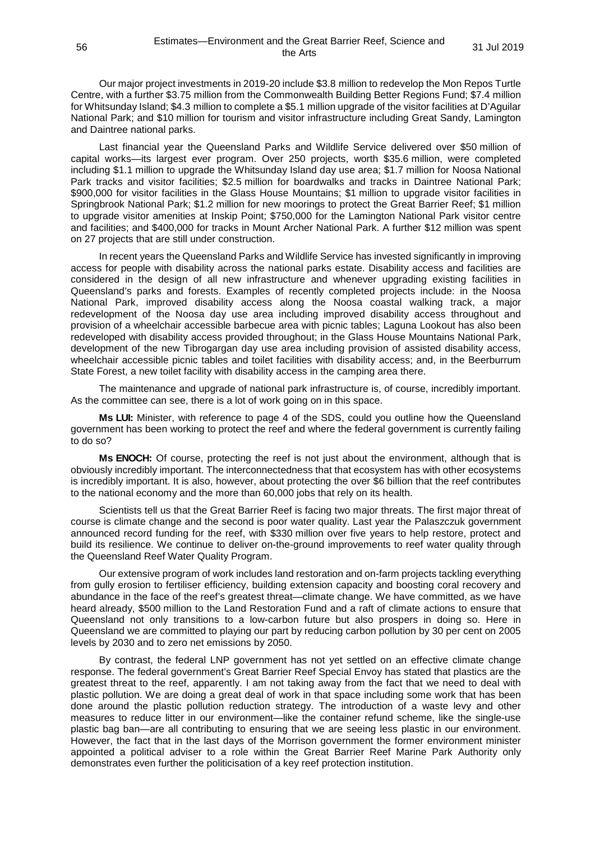Our major project investments in 2019-20 include \$3.8 million to redevelop the Mon Repos Turtle Centre, with a further \$3.75 million from the Commonwealth Building Better Regions Fund; \$7.4 million for Whitsunday Island; \$4.3 million to complete a \$5.1 million upgrade of the visitor facilities at D'Aguilar National Park; and \$10 million for tourism and visitor infrastructure including Great Sandy, Lamington and Daintree national parks.

Last financial year the Queensland Parks and Wildlife Service delivered over \$50 million of capital works—its largest ever program. Over 250 projects, worth \$35.6 million, were completed including \$1.1 million to upgrade the Whitsunday Island day use area; \$1.7 million for Noosa National Park tracks and visitor facilities; \$2.5 million for boardwalks and tracks in Daintree National Park; \$900,000 for visitor facilities in the Glass House Mountains; \$1 million to upgrade visitor facilities in Springbrook National Park; \$1.2 million for new moorings to protect the Great Barrier Reef; \$1 million to upgrade visitor amenities at Inskip Point; \$750,000 for the Lamington National Park visitor centre and facilities; and \$400,000 for tracks in Mount Archer National Park. A further \$12 million was spent on 27 projects that are still under construction.

In recent years the Queensland Parks and Wildlife Service has invested significantly in improving access for people with disability across the national parks estate. Disability access and facilities are considered in the design of all new infrastructure and whenever upgrading existing facilities in Queensland's parks and forests. Examples of recently completed projects include: in the Noosa National Park, improved disability access along the Noosa coastal walking track, a major redevelopment of the Noosa day use area including improved disability access throughout and provision of a wheelchair accessible barbecue area with picnic tables; Laguna Lookout has also been redeveloped with disability access provided throughout; in the Glass House Mountains National Park, development of the new Tibrogargan day use area including provision of assisted disability access, wheelchair accessible picnic tables and toilet facilities with disability access; and, in the Beerburrum State Forest, a new toilet facility with disability access in the camping area there.

The maintenance and upgrade of national park infrastructure is, of course, incredibly important. As the committee can see, there is a lot of work going on in this space.

**Ms LUI:** Minister, with reference to page 4 of the SDS, could you outline how the Queensland government has been working to protect the reef and where the federal government is currently failing to do so?

**Ms ENOCH:** Of course, protecting the reef is not just about the environment, although that is obviously incredibly important. The interconnectedness that that ecosystem has with other ecosystems is incredibly important. It is also, however, about protecting the over \$6 billion that the reef contributes to the national economy and the more than 60,000 jobs that rely on its health.

Scientists tell us that the Great Barrier Reef is facing two major threats. The first major threat of course is climate change and the second is poor water quality. Last year the Palaszczuk government announced record funding for the reef, with \$330 million over five years to help restore, protect and build its resilience. We continue to deliver on-the-ground improvements to reef water quality through the Queensland Reef Water Quality Program.

Our extensive program of work includes land restoration and on-farm projects tackling everything from gully erosion to fertiliser efficiency, building extension capacity and boosting coral recovery and abundance in the face of the reef's greatest threat—climate change. We have committed, as we have heard already, \$500 million to the Land Restoration Fund and a raft of climate actions to ensure that Queensland not only transitions to a low-carbon future but also prospers in doing so. Here in Queensland we are committed to playing our part by reducing carbon pollution by 30 per cent on 2005 levels by 2030 and to zero net emissions by 2050.

By contrast, the federal LNP government has not yet settled on an effective climate change response. The federal government's Great Barrier Reef Special Envoy has stated that plastics are the greatest threat to the reef, apparently. I am not taking away from the fact that we need to deal with plastic pollution. We are doing a great deal of work in that space including some work that has been done around the plastic pollution reduction strategy. The introduction of a waste levy and other measures to reduce litter in our environment—like the container refund scheme, like the single-use plastic bag ban—are all contributing to ensuring that we are seeing less plastic in our environment. However, the fact that in the last days of the Morrison government the former environment minister appointed a political adviser to a role within the Great Barrier Reef Marine Park Authority only demonstrates even further the politicisation of a key reef protection institution.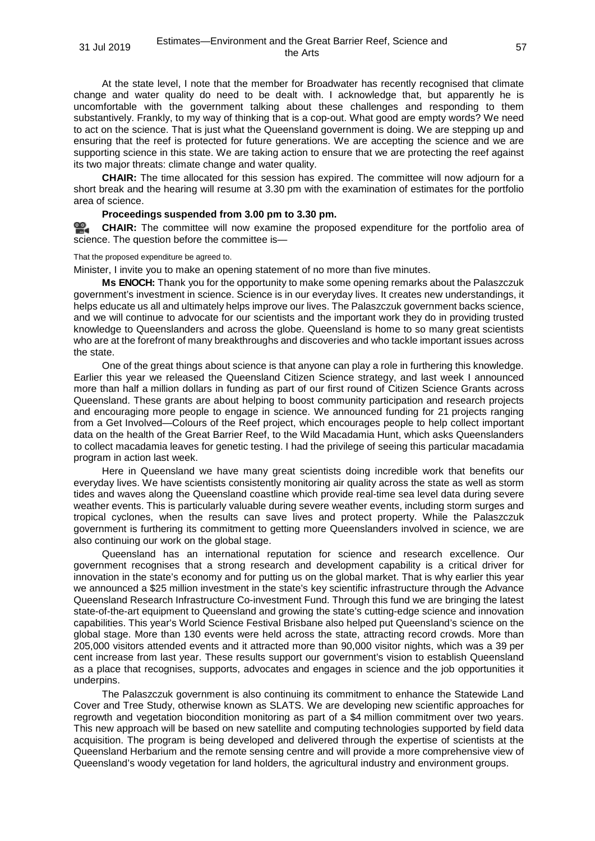At the state level, I note that the member for Broadwater has recently recognised that climate change and water quality do need to be dealt with. I acknowledge that, but apparently he is uncomfortable with the government talking about these challenges and responding to them substantively. Frankly, to my way of thinking that is a cop-out. What good are empty words? We need to act on the science. That is just what the Queensland government is doing. We are stepping up and ensuring that the reef is protected for future generations. We are accepting the science and we are supporting science in this state. We are taking action to ensure that we are protecting the reef against its two major threats: climate change and water quality.

**CHAIR:** The time allocated for this session has expired. The committee will now adjourn for a short break and the hearing will resume at 3.30 pm with the examination of estimates for the portfolio area of science.

## **Proceedings suspended from 3.00 pm to 3.30 pm.**

옆. **[CHAIR:](http://www.parliament.qld.gov.au/docs/find.aspx?id=0Mba20190731_153010)** The committee will now examine the proposed expenditure for the portfolio area of science. The question before the committee is—

#### That the proposed expenditure be agreed to.

Minister, I invite you to make an opening statement of no more than five minutes.

**Ms ENOCH:** Thank you for the opportunity to make some opening remarks about the Palaszczuk government's investment in science. Science is in our everyday lives. It creates new understandings, it helps educate us all and ultimately helps improve our lives. The Palaszczuk government backs science, and we will continue to advocate for our scientists and the important work they do in providing trusted knowledge to Queenslanders and across the globe. Queensland is home to so many great scientists who are at the forefront of many breakthroughs and discoveries and who tackle important issues across the state.

One of the great things about science is that anyone can play a role in furthering this knowledge. Earlier this year we released the Queensland Citizen Science strategy, and last week I announced more than half a million dollars in funding as part of our first round of Citizen Science Grants across Queensland. These grants are about helping to boost community participation and research projects and encouraging more people to engage in science. We announced funding for 21 projects ranging from a Get Involved—Colours of the Reef project, which encourages people to help collect important data on the health of the Great Barrier Reef, to the Wild Macadamia Hunt, which asks Queenslanders to collect macadamia leaves for genetic testing. I had the privilege of seeing this particular macadamia program in action last week.

Here in Queensland we have many great scientists doing incredible work that benefits our everyday lives. We have scientists consistently monitoring air quality across the state as well as storm tides and waves along the Queensland coastline which provide real-time sea level data during severe weather events. This is particularly valuable during severe weather events, including storm surges and tropical cyclones, when the results can save lives and protect property. While the Palaszczuk government is furthering its commitment to getting more Queenslanders involved in science, we are also continuing our work on the global stage.

Queensland has an international reputation for science and research excellence. Our government recognises that a strong research and development capability is a critical driver for innovation in the state's economy and for putting us on the global market. That is why earlier this year we announced a \$25 million investment in the state's key scientific infrastructure through the Advance Queensland Research Infrastructure Co-investment Fund. Through this fund we are bringing the latest state-of-the-art equipment to Queensland and growing the state's cutting-edge science and innovation capabilities. This year's World Science Festival Brisbane also helped put Queensland's science on the global stage. More than 130 events were held across the state, attracting record crowds. More than 205,000 visitors attended events and it attracted more than 90,000 visitor nights, which was a 39 per cent increase from last year. These results support our government's vision to establish Queensland as a place that recognises, supports, advocates and engages in science and the job opportunities it underpins.

The Palaszczuk government is also continuing its commitment to enhance the Statewide Land Cover and Tree Study, otherwise known as SLATS. We are developing new scientific approaches for regrowth and vegetation biocondition monitoring as part of a \$4 million commitment over two years. This new approach will be based on new satellite and computing technologies supported by field data acquisition. The program is being developed and delivered through the expertise of scientists at the Queensland Herbarium and the remote sensing centre and will provide a more comprehensive view of Queensland's woody vegetation for land holders, the agricultural industry and environment groups.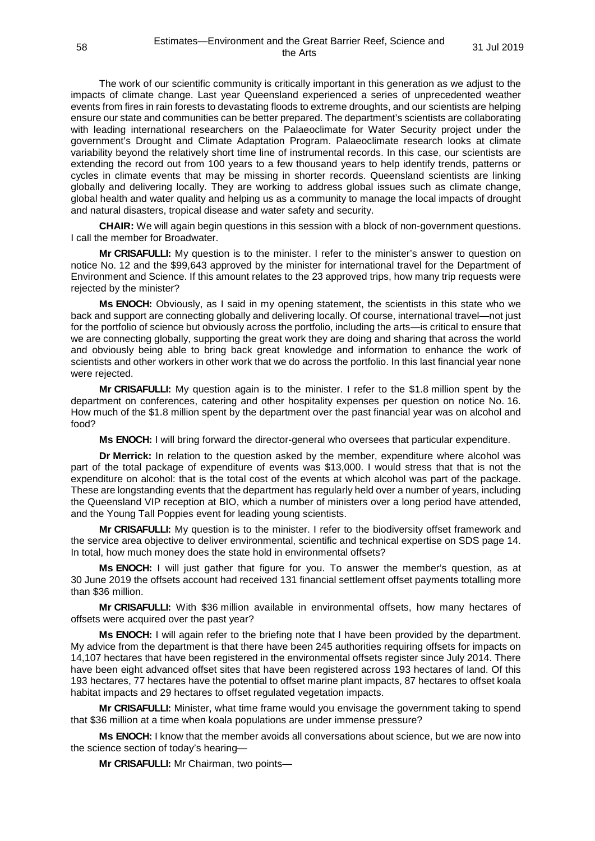The work of our scientific community is critically important in this generation as we adjust to the impacts of climate change. Last year Queensland experienced a series of unprecedented weather events from fires in rain forests to devastating floods to extreme droughts, and our scientists are helping ensure our state and communities can be better prepared. The department's scientists are collaborating with leading international researchers on the Palaeoclimate for Water Security project under the government's Drought and Climate Adaptation Program. Palaeoclimate research looks at climate variability beyond the relatively short time line of instrumental records. In this case, our scientists are extending the record out from 100 years to a few thousand years to help identify trends, patterns or cycles in climate events that may be missing in shorter records. Queensland scientists are linking globally and delivering locally. They are working to address global issues such as climate change, global health and water quality and helping us as a community to manage the local impacts of drought and natural disasters, tropical disease and water safety and security.

**CHAIR:** We will again begin questions in this session with a block of non-government questions. I call the member for Broadwater.

**Mr CRISAFULLI:** My question is to the minister. I refer to the minister's answer to question on notice No. 12 and the \$99,643 approved by the minister for international travel for the Department of Environment and Science. If this amount relates to the 23 approved trips, how many trip requests were rejected by the minister?

**Ms ENOCH:** Obviously, as I said in my opening statement, the scientists in this state who we back and support are connecting globally and delivering locally. Of course, international travel—not just for the portfolio of science but obviously across the portfolio, including the arts—is critical to ensure that we are connecting globally, supporting the great work they are doing and sharing that across the world and obviously being able to bring back great knowledge and information to enhance the work of scientists and other workers in other work that we do across the portfolio. In this last financial year none were rejected.

**Mr CRISAFULLI:** My question again is to the minister. I refer to the \$1.8 million spent by the department on conferences, catering and other hospitality expenses per question on notice No. 16. How much of the \$1.8 million spent by the department over the past financial year was on alcohol and food?

**Ms ENOCH:** I will bring forward the director-general who oversees that particular expenditure.

**Dr Merrick:** In relation to the question asked by the member, expenditure where alcohol was part of the total package of expenditure of events was \$13,000. I would stress that that is not the expenditure on alcohol: that is the total cost of the events at which alcohol was part of the package. These are longstanding events that the department has regularly held over a number of years, including the Queensland VIP reception at BIO, which a number of ministers over a long period have attended, and the Young Tall Poppies event for leading young scientists.

**Mr CRISAFULLI:** My question is to the minister. I refer to the biodiversity offset framework and the service area objective to deliver environmental, scientific and technical expertise on SDS page 14. In total, how much money does the state hold in environmental offsets?

**Ms ENOCH:** I will just gather that figure for you. To answer the member's question, as at 30 June 2019 the offsets account had received 131 financial settlement offset payments totalling more than \$36 million.

**Mr CRISAFULLI:** With \$36 million available in environmental offsets, how many hectares of offsets were acquired over the past year?

**Ms ENOCH:** I will again refer to the briefing note that I have been provided by the department. My advice from the department is that there have been 245 authorities requiring offsets for impacts on 14,107 hectares that have been registered in the environmental offsets register since July 2014. There have been eight advanced offset sites that have been registered across 193 hectares of land. Of this 193 hectares, 77 hectares have the potential to offset marine plant impacts, 87 hectares to offset koala habitat impacts and 29 hectares to offset regulated vegetation impacts.

**Mr CRISAFULLI:** Minister, what time frame would you envisage the government taking to spend that \$36 million at a time when koala populations are under immense pressure?

**Ms ENOCH:** I know that the member avoids all conversations about science, but we are now into the science section of today's hearing—

**Mr CRISAFULLI:** Mr Chairman, two points—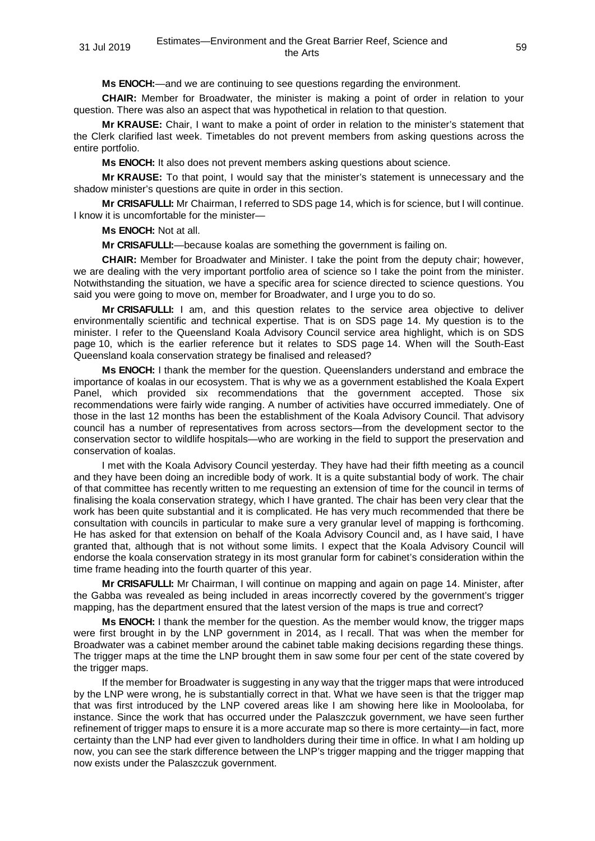**Ms ENOCH:**—and we are continuing to see questions regarding the environment.

**CHAIR:** Member for Broadwater, the minister is making a point of order in relation to your question. There was also an aspect that was hypothetical in relation to that question.

**Mr KRAUSE:** Chair, I want to make a point of order in relation to the minister's statement that the Clerk clarified last week. Timetables do not prevent members from asking questions across the entire portfolio.

**Ms ENOCH:** It also does not prevent members asking questions about science.

**Mr KRAUSE:** To that point, I would say that the minister's statement is unnecessary and the shadow minister's questions are quite in order in this section.

**Mr CRISAFULLI:** Mr Chairman, I referred to SDS page 14, which is for science, but I will continue. I know it is uncomfortable for the minister—

**Ms ENOCH:** Not at all.

**Mr CRISAFULLI:**—because koalas are something the government is failing on.

**CHAIR:** Member for Broadwater and Minister. I take the point from the deputy chair; however, we are dealing with the very important portfolio area of science so I take the point from the minister. Notwithstanding the situation, we have a specific area for science directed to science questions. You said you were going to move on, member for Broadwater, and I urge you to do so.

**Mr CRISAFULLI:** I am, and this question relates to the service area objective to deliver environmentally scientific and technical expertise. That is on SDS page 14. My question is to the minister. I refer to the Queensland Koala Advisory Council service area highlight, which is on SDS page 10, which is the earlier reference but it relates to SDS page 14. When will the South-East Queensland koala conservation strategy be finalised and released?

**Ms ENOCH:** I thank the member for the question. Queenslanders understand and embrace the importance of koalas in our ecosystem. That is why we as a government established the Koala Expert Panel, which provided six recommendations that the government accepted. Those six recommendations were fairly wide ranging. A number of activities have occurred immediately. One of those in the last 12 months has been the establishment of the Koala Advisory Council. That advisory council has a number of representatives from across sectors—from the development sector to the conservation sector to wildlife hospitals—who are working in the field to support the preservation and conservation of koalas.

I met with the Koala Advisory Council yesterday. They have had their fifth meeting as a council and they have been doing an incredible body of work. It is a quite substantial body of work. The chair of that committee has recently written to me requesting an extension of time for the council in terms of finalising the koala conservation strategy, which I have granted. The chair has been very clear that the work has been quite substantial and it is complicated. He has very much recommended that there be consultation with councils in particular to make sure a very granular level of mapping is forthcoming. He has asked for that extension on behalf of the Koala Advisory Council and, as I have said, I have granted that, although that is not without some limits. I expect that the Koala Advisory Council will endorse the koala conservation strategy in its most granular form for cabinet's consideration within the time frame heading into the fourth quarter of this year.

**Mr CRISAFULLI:** Mr Chairman, I will continue on mapping and again on page 14. Minister, after the Gabba was revealed as being included in areas incorrectly covered by the government's trigger mapping, has the department ensured that the latest version of the maps is true and correct?

**Ms ENOCH:** I thank the member for the question. As the member would know, the trigger maps were first brought in by the LNP government in 2014, as I recall. That was when the member for Broadwater was a cabinet member around the cabinet table making decisions regarding these things. The trigger maps at the time the LNP brought them in saw some four per cent of the state covered by the trigger maps.

If the member for Broadwater is suggesting in any way that the trigger maps that were introduced by the LNP were wrong, he is substantially correct in that. What we have seen is that the trigger map that was first introduced by the LNP covered areas like I am showing here like in Mooloolaba, for instance. Since the work that has occurred under the Palaszczuk government, we have seen further refinement of trigger maps to ensure it is a more accurate map so there is more certainty—in fact, more certainty than the LNP had ever given to landholders during their time in office. In what I am holding up now, you can see the stark difference between the LNP's trigger mapping and the trigger mapping that now exists under the Palaszczuk government.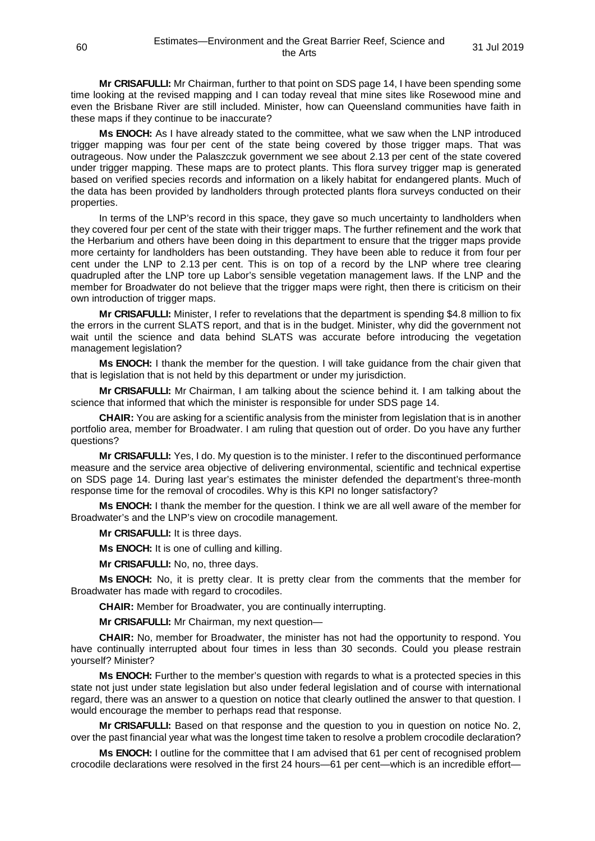**Mr CRISAFULLI:** Mr Chairman, further to that point on SDS page 14, I have been spending some time looking at the revised mapping and I can today reveal that mine sites like Rosewood mine and even the Brisbane River are still included. Minister, how can Queensland communities have faith in these maps if they continue to be inaccurate?

**Ms ENOCH:** As I have already stated to the committee, what we saw when the LNP introduced trigger mapping was four per cent of the state being covered by those trigger maps. That was outrageous. Now under the Palaszczuk government we see about 2.13 per cent of the state covered under trigger mapping. These maps are to protect plants. This flora survey trigger map is generated based on verified species records and information on a likely habitat for endangered plants. Much of the data has been provided by landholders through protected plants flora surveys conducted on their properties.

In terms of the LNP's record in this space, they gave so much uncertainty to landholders when they covered four per cent of the state with their trigger maps. The further refinement and the work that the Herbarium and others have been doing in this department to ensure that the trigger maps provide more certainty for landholders has been outstanding. They have been able to reduce it from four per cent under the LNP to 2.13 per cent. This is on top of a record by the LNP where tree clearing quadrupled after the LNP tore up Labor's sensible vegetation management laws. If the LNP and the member for Broadwater do not believe that the trigger maps were right, then there is criticism on their own introduction of trigger maps.

**Mr CRISAFULLI:** Minister, I refer to revelations that the department is spending \$4.8 million to fix the errors in the current SLATS report, and that is in the budget. Minister, why did the government not wait until the science and data behind SLATS was accurate before introducing the vegetation management legislation?

**Ms ENOCH:** I thank the member for the question. I will take guidance from the chair given that that is legislation that is not held by this department or under my jurisdiction.

**Mr CRISAFULLI:** Mr Chairman, I am talking about the science behind it. I am talking about the science that informed that which the minister is responsible for under SDS page 14.

**CHAIR:** You are asking for a scientific analysis from the minister from legislation that is in another portfolio area, member for Broadwater. I am ruling that question out of order. Do you have any further questions?

**Mr CRISAFULLI:** Yes, I do. My question is to the minister. I refer to the discontinued performance measure and the service area objective of delivering environmental, scientific and technical expertise on SDS page 14. During last year's estimates the minister defended the department's three-month response time for the removal of crocodiles. Why is this KPI no longer satisfactory?

**Ms ENOCH:** I thank the member for the question. I think we are all well aware of the member for Broadwater's and the LNP's view on crocodile management.

**Mr CRISAFULLI:** It is three days.

**Ms ENOCH:** It is one of culling and killing.

**Mr CRISAFULLI:** No, no, three days.

**Ms ENOCH:** No, it is pretty clear. It is pretty clear from the comments that the member for Broadwater has made with regard to crocodiles.

**CHAIR:** Member for Broadwater, you are continually interrupting.

**Mr CRISAFULLI:** Mr Chairman, my next question—

**CHAIR:** No, member for Broadwater, the minister has not had the opportunity to respond. You have continually interrupted about four times in less than 30 seconds. Could you please restrain yourself? Minister?

**Ms ENOCH:** Further to the member's question with regards to what is a protected species in this state not just under state legislation but also under federal legislation and of course with international regard, there was an answer to a question on notice that clearly outlined the answer to that question. I would encourage the member to perhaps read that response.

**Mr CRISAFULLI:** Based on that response and the question to you in question on notice No. 2, over the past financial year what was the longest time taken to resolve a problem crocodile declaration?

**Ms ENOCH:** I outline for the committee that I am advised that 61 per cent of recognised problem crocodile declarations were resolved in the first 24 hours—61 per cent—which is an incredible effort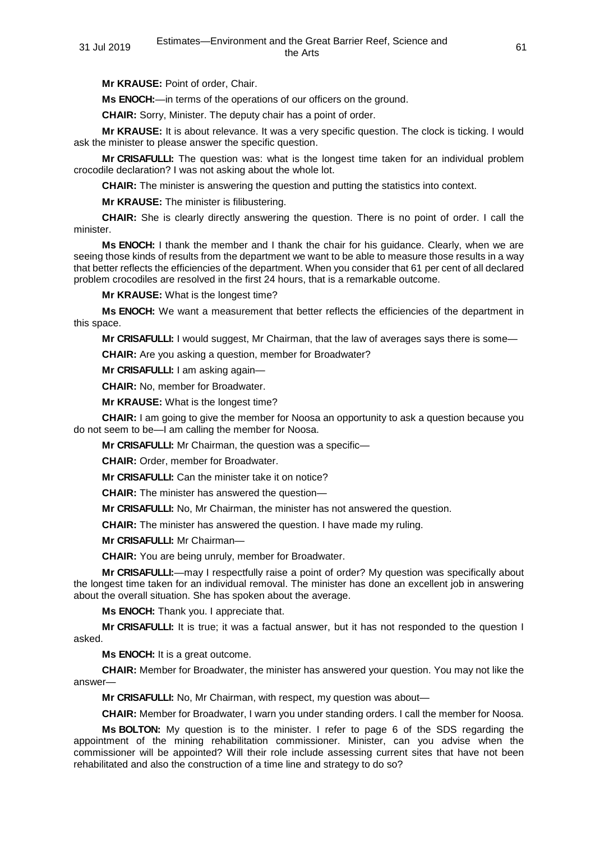**Mr KRAUSE:** Point of order, Chair.

**Ms ENOCH:**—in terms of the operations of our officers on the ground.

**CHAIR:** Sorry, Minister. The deputy chair has a point of order.

**Mr KRAUSE:** It is about relevance. It was a very specific question. The clock is ticking. I would ask the minister to please answer the specific question.

**Mr CRISAFULLI:** The question was: what is the longest time taken for an individual problem crocodile declaration? I was not asking about the whole lot.

**CHAIR:** The minister is answering the question and putting the statistics into context.

**Mr KRAUSE:** The minister is filibustering.

**CHAIR:** She is clearly directly answering the question. There is no point of order. I call the minister.

**Ms ENOCH:** I thank the member and I thank the chair for his guidance. Clearly, when we are seeing those kinds of results from the department we want to be able to measure those results in a way that better reflects the efficiencies of the department. When you consider that 61 per cent of all declared problem crocodiles are resolved in the first 24 hours, that is a remarkable outcome.

**Mr KRAUSE:** What is the longest time?

**Ms ENOCH:** We want a measurement that better reflects the efficiencies of the department in this space.

**Mr CRISAFULLI:** I would suggest, Mr Chairman, that the law of averages says there is some—

**CHAIR:** Are you asking a question, member for Broadwater?

**Mr CRISAFULLI:** I am asking again—

**CHAIR:** No, member for Broadwater.

**Mr KRAUSE:** What is the longest time?

**CHAIR:** I am going to give the member for Noosa an opportunity to ask a question because you do not seem to be—I am calling the member for Noosa.

**Mr CRISAFULLI:** Mr Chairman, the question was a specific—

**CHAIR:** Order, member for Broadwater.

**Mr CRISAFULLI:** Can the minister take it on notice?

**CHAIR:** The minister has answered the question—

**Mr CRISAFULLI:** No, Mr Chairman, the minister has not answered the question.

**CHAIR:** The minister has answered the question. I have made my ruling.

**Mr CRISAFULLI:** Mr Chairman—

**CHAIR:** You are being unruly, member for Broadwater.

**Mr CRISAFULLI:**—may I respectfully raise a point of order? My question was specifically about the longest time taken for an individual removal. The minister has done an excellent job in answering about the overall situation. She has spoken about the average.

**Ms ENOCH:** Thank you. I appreciate that.

**Mr CRISAFULLI:** It is true; it was a factual answer, but it has not responded to the question I asked.

**Ms ENOCH:** It is a great outcome.

**CHAIR:** Member for Broadwater, the minister has answered your question. You may not like the answer—

**Mr CRISAFULLI:** No, Mr Chairman, with respect, my question was about—

**CHAIR:** Member for Broadwater, I warn you under standing orders. I call the member for Noosa.

**Ms BOLTON:** My question is to the minister. I refer to page 6 of the SDS regarding the appointment of the mining rehabilitation commissioner. Minister, can you advise when the commissioner will be appointed? Will their role include assessing current sites that have not been rehabilitated and also the construction of a time line and strategy to do so?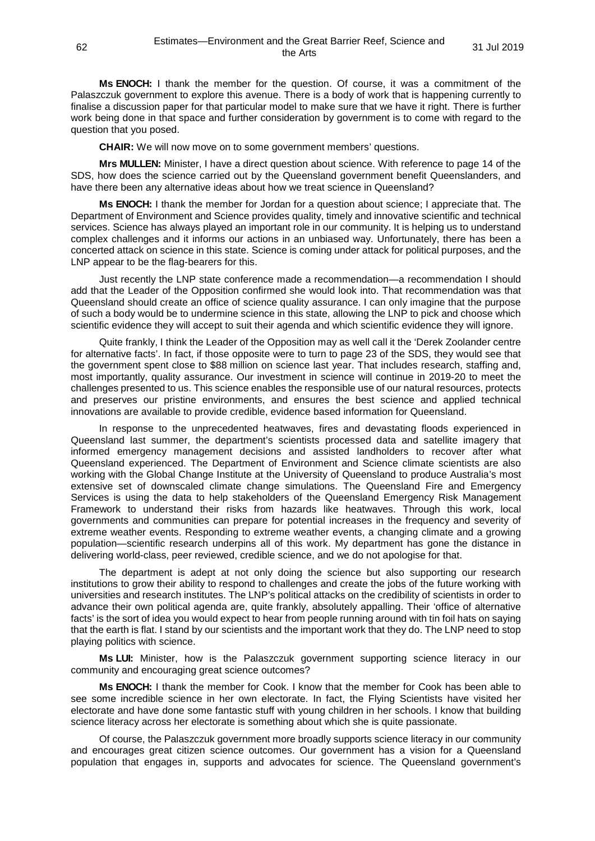**Ms ENOCH:** I thank the member for the question. Of course, it was a commitment of the Palaszczuk government to explore this avenue. There is a body of work that is happening currently to finalise a discussion paper for that particular model to make sure that we have it right. There is further work being done in that space and further consideration by government is to come with regard to the question that you posed.

**CHAIR:** We will now move on to some government members' questions.

**Mrs MULLEN:** Minister, I have a direct question about science. With reference to page 14 of the SDS, how does the science carried out by the Queensland government benefit Queenslanders, and have there been any alternative ideas about how we treat science in Queensland?

**Ms ENOCH:** I thank the member for Jordan for a question about science; I appreciate that. The Department of Environment and Science provides quality, timely and innovative scientific and technical services. Science has always played an important role in our community. It is helping us to understand complex challenges and it informs our actions in an unbiased way. Unfortunately, there has been a concerted attack on science in this state. Science is coming under attack for political purposes, and the LNP appear to be the flag-bearers for this.

Just recently the LNP state conference made a recommendation—a recommendation I should add that the Leader of the Opposition confirmed she would look into. That recommendation was that Queensland should create an office of science quality assurance. I can only imagine that the purpose of such a body would be to undermine science in this state, allowing the LNP to pick and choose which scientific evidence they will accept to suit their agenda and which scientific evidence they will ignore.

Quite frankly, I think the Leader of the Opposition may as well call it the 'Derek Zoolander centre for alternative facts'. In fact, if those opposite were to turn to page 23 of the SDS, they would see that the government spent close to \$88 million on science last year. That includes research, staffing and, most importantly, quality assurance. Our investment in science will continue in 2019-20 to meet the challenges presented to us. This science enables the responsible use of our natural resources, protects and preserves our pristine environments, and ensures the best science and applied technical innovations are available to provide credible, evidence based information for Queensland.

In response to the unprecedented heatwaves, fires and devastating floods experienced in Queensland last summer, the department's scientists processed data and satellite imagery that informed emergency management decisions and assisted landholders to recover after what Queensland experienced. The Department of Environment and Science climate scientists are also working with the Global Change Institute at the University of Queensland to produce Australia's most extensive set of downscaled climate change simulations. The Queensland Fire and Emergency Services is using the data to help stakeholders of the Queensland Emergency Risk Management Framework to understand their risks from hazards like heatwaves. Through this work, local governments and communities can prepare for potential increases in the frequency and severity of extreme weather events. Responding to extreme weather events, a changing climate and a growing population—scientific research underpins all of this work. My department has gone the distance in delivering world-class, peer reviewed, credible science, and we do not apologise for that.

The department is adept at not only doing the science but also supporting our research institutions to grow their ability to respond to challenges and create the jobs of the future working with universities and research institutes. The LNP's political attacks on the credibility of scientists in order to advance their own political agenda are, quite frankly, absolutely appalling. Their 'office of alternative facts' is the sort of idea you would expect to hear from people running around with tin foil hats on saying that the earth is flat. I stand by our scientists and the important work that they do. The LNP need to stop playing politics with science.

**Ms LUI:** Minister, how is the Palaszczuk government supporting science literacy in our community and encouraging great science outcomes?

**Ms ENOCH:** I thank the member for Cook. I know that the member for Cook has been able to see some incredible science in her own electorate. In fact, the Flying Scientists have visited her electorate and have done some fantastic stuff with young children in her schools. I know that building science literacy across her electorate is something about which she is quite passionate.

Of course, the Palaszczuk government more broadly supports science literacy in our community and encourages great citizen science outcomes. Our government has a vision for a Queensland population that engages in, supports and advocates for science. The Queensland government's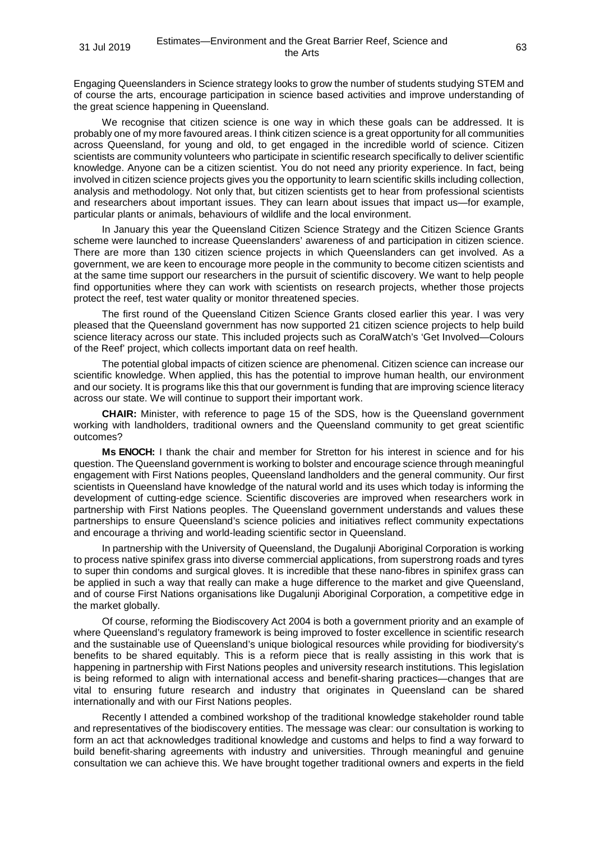Engaging Queenslanders in Science strategy looks to grow the number of students studying STEM and of course the arts, encourage participation in science based activities and improve understanding of the great science happening in Queensland.

We recognise that citizen science is one way in which these goals can be addressed. It is probably one of my more favoured areas. I think citizen science is a great opportunity for all communities across Queensland, for young and old, to get engaged in the incredible world of science. Citizen scientists are community volunteers who participate in scientific research specifically to deliver scientific knowledge. Anyone can be a citizen scientist. You do not need any priority experience. In fact, being involved in citizen science projects gives you the opportunity to learn scientific skills including collection, analysis and methodology. Not only that, but citizen scientists get to hear from professional scientists and researchers about important issues. They can learn about issues that impact us—for example, particular plants or animals, behaviours of wildlife and the local environment.

In January this year the Queensland Citizen Science Strategy and the Citizen Science Grants scheme were launched to increase Queenslanders' awareness of and participation in citizen science. There are more than 130 citizen science projects in which Queenslanders can get involved. As a government, we are keen to encourage more people in the community to become citizen scientists and at the same time support our researchers in the pursuit of scientific discovery. We want to help people find opportunities where they can work with scientists on research projects, whether those projects protect the reef, test water quality or monitor threatened species.

The first round of the Queensland Citizen Science Grants closed earlier this year. I was very pleased that the Queensland government has now supported 21 citizen science projects to help build science literacy across our state. This included projects such as CoralWatch's 'Get Involved—Colours of the Reef' project, which collects important data on reef health.

The potential global impacts of citizen science are phenomenal. Citizen science can increase our scientific knowledge. When applied, this has the potential to improve human health, our environment and our society. It is programs like this that our government is funding that are improving science literacy across our state. We will continue to support their important work.

**CHAIR:** Minister, with reference to page 15 of the SDS, how is the Queensland government working with landholders, traditional owners and the Queensland community to get great scientific outcomes?

**Ms ENOCH:** I thank the chair and member for Stretton for his interest in science and for his question. The Queensland government is working to bolster and encourage science through meaningful engagement with First Nations peoples, Queensland landholders and the general community. Our first scientists in Queensland have knowledge of the natural world and its uses which today is informing the development of cutting-edge science. Scientific discoveries are improved when researchers work in partnership with First Nations peoples. The Queensland government understands and values these partnerships to ensure Queensland's science policies and initiatives reflect community expectations and encourage a thriving and world-leading scientific sector in Queensland.

In partnership with the University of Queensland, the Dugalunji Aboriginal Corporation is working to process native spinifex grass into diverse commercial applications, from superstrong roads and tyres to super thin condoms and surgical gloves. It is incredible that these nano-fibres in spinifex grass can be applied in such a way that really can make a huge difference to the market and give Queensland, and of course First Nations organisations like Dugalunji Aboriginal Corporation, a competitive edge in the market globally.

Of course, reforming the Biodiscovery Act 2004 is both a government priority and an example of where Queensland's regulatory framework is being improved to foster excellence in scientific research and the sustainable use of Queensland's unique biological resources while providing for biodiversity's benefits to be shared equitably. This is a reform piece that is really assisting in this work that is happening in partnership with First Nations peoples and university research institutions. This legislation is being reformed to align with international access and benefit-sharing practices—changes that are vital to ensuring future research and industry that originates in Queensland can be shared internationally and with our First Nations peoples.

Recently I attended a combined workshop of the traditional knowledge stakeholder round table and representatives of the biodiscovery entities. The message was clear: our consultation is working to form an act that acknowledges traditional knowledge and customs and helps to find a way forward to build benefit-sharing agreements with industry and universities. Through meaningful and genuine consultation we can achieve this. We have brought together traditional owners and experts in the field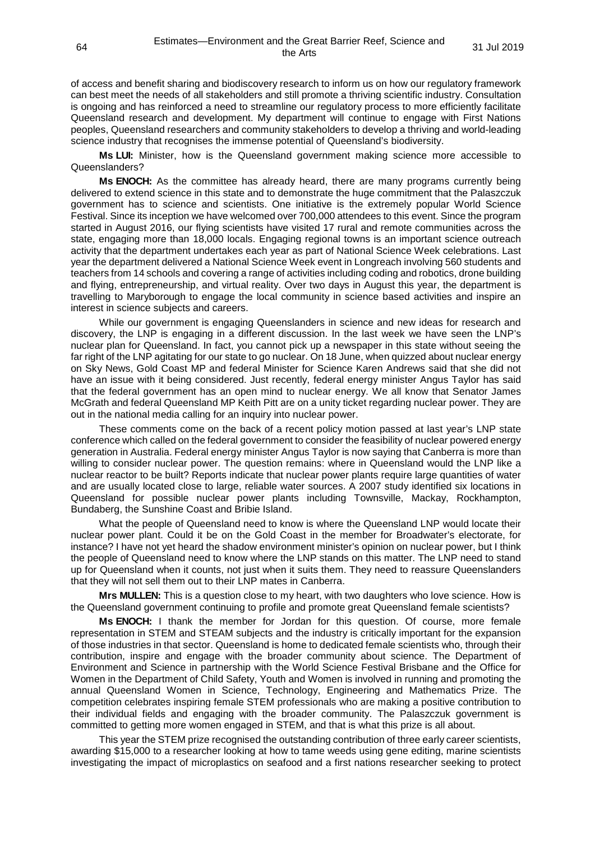of access and benefit sharing and biodiscovery research to inform us on how our regulatory framework can best meet the needs of all stakeholders and still promote a thriving scientific industry. Consultation is ongoing and has reinforced a need to streamline our regulatory process to more efficiently facilitate Queensland research and development. My department will continue to engage with First Nations peoples, Queensland researchers and community stakeholders to develop a thriving and world-leading science industry that recognises the immense potential of Queensland's biodiversity.

**Ms LUI:** Minister, how is the Queensland government making science more accessible to Queenslanders?

**Ms ENOCH:** As the committee has already heard, there are many programs currently being delivered to extend science in this state and to demonstrate the huge commitment that the Palaszczuk government has to science and scientists. One initiative is the extremely popular World Science Festival. Since its inception we have welcomed over 700,000 attendees to this event. Since the program started in August 2016, our flying scientists have visited 17 rural and remote communities across the state, engaging more than 18,000 locals. Engaging regional towns is an important science outreach activity that the department undertakes each year as part of National Science Week celebrations. Last year the department delivered a National Science Week event in Longreach involving 560 students and teachers from 14 schools and covering a range of activities including coding and robotics, drone building and flying, entrepreneurship, and virtual reality. Over two days in August this year, the department is travelling to Maryborough to engage the local community in science based activities and inspire an interest in science subjects and careers.

While our government is engaging Queenslanders in science and new ideas for research and discovery, the LNP is engaging in a different discussion. In the last week we have seen the LNP's nuclear plan for Queensland. In fact, you cannot pick up a newspaper in this state without seeing the far right of the LNP agitating for our state to go nuclear. On 18 June, when quizzed about nuclear energy on Sky News, Gold Coast MP and federal Minister for Science Karen Andrews said that she did not have an issue with it being considered. Just recently, federal energy minister Angus Taylor has said that the federal government has an open mind to nuclear energy. We all know that Senator James McGrath and federal Queensland MP Keith Pitt are on a unity ticket regarding nuclear power. They are out in the national media calling for an inquiry into nuclear power.

These comments come on the back of a recent policy motion passed at last year's LNP state conference which called on the federal government to consider the feasibility of nuclear powered energy generation in Australia. Federal energy minister Angus Taylor is now saying that Canberra is more than willing to consider nuclear power. The question remains: where in Queensland would the LNP like a nuclear reactor to be built? Reports indicate that nuclear power plants require large quantities of water and are usually located close to large, reliable water sources. A 2007 study identified six locations in Queensland for possible nuclear power plants including Townsville, Mackay, Rockhampton, Bundaberg, the Sunshine Coast and Bribie Island.

What the people of Queensland need to know is where the Queensland LNP would locate their nuclear power plant. Could it be on the Gold Coast in the member for Broadwater's electorate, for instance? I have not yet heard the shadow environment minister's opinion on nuclear power, but I think the people of Queensland need to know where the LNP stands on this matter. The LNP need to stand up for Queensland when it counts, not just when it suits them. They need to reassure Queenslanders that they will not sell them out to their LNP mates in Canberra.

**Mrs MULLEN:** This is a question close to my heart, with two daughters who love science. How is the Queensland government continuing to profile and promote great Queensland female scientists?

**Ms ENOCH:** I thank the member for Jordan for this question. Of course, more female representation in STEM and STEAM subjects and the industry is critically important for the expansion of those industries in that sector. Queensland is home to dedicated female scientists who, through their contribution, inspire and engage with the broader community about science. The Department of Environment and Science in partnership with the World Science Festival Brisbane and the Office for Women in the Department of Child Safety, Youth and Women is involved in running and promoting the annual Queensland Women in Science, Technology, Engineering and Mathematics Prize. The competition celebrates inspiring female STEM professionals who are making a positive contribution to their individual fields and engaging with the broader community. The Palaszczuk government is committed to getting more women engaged in STEM, and that is what this prize is all about.

This year the STEM prize recognised the outstanding contribution of three early career scientists, awarding \$15,000 to a researcher looking at how to tame weeds using gene editing, marine scientists investigating the impact of microplastics on seafood and a first nations researcher seeking to protect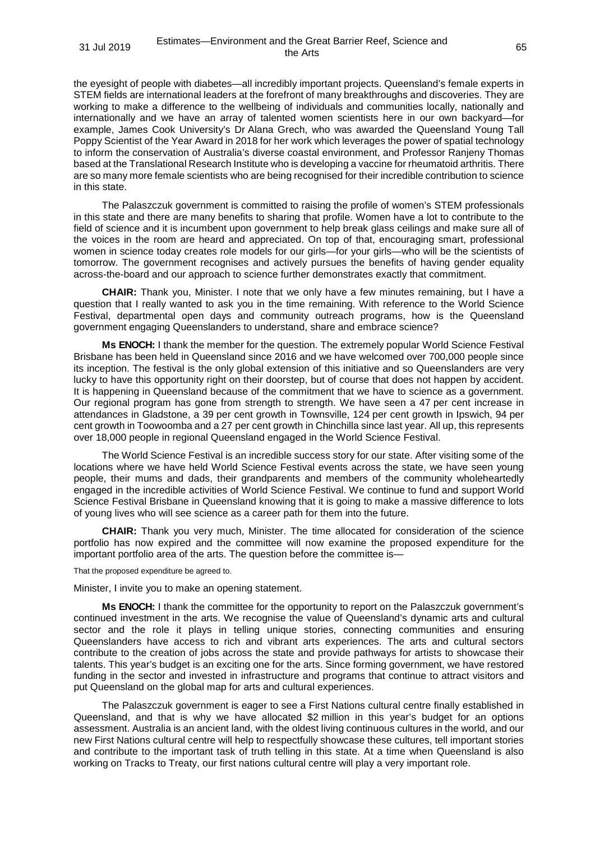the eyesight of people with diabetes—all incredibly important projects. Queensland's female experts in STEM fields are international leaders at the forefront of many breakthroughs and discoveries. They are working to make a difference to the wellbeing of individuals and communities locally, nationally and internationally and we have an array of talented women scientists here in our own backyard—for example, James Cook University's Dr Alana Grech, who was awarded the Queensland Young Tall Poppy Scientist of the Year Award in 2018 for her work which leverages the power of spatial technology to inform the conservation of Australia's diverse coastal environment, and Professor Ranjeny Thomas based at the Translational Research Institute who is developing a vaccine for rheumatoid arthritis. There are so many more female scientists who are being recognised for their incredible contribution to science in this state.

The Palaszczuk government is committed to raising the profile of women's STEM professionals in this state and there are many benefits to sharing that profile. Women have a lot to contribute to the field of science and it is incumbent upon government to help break glass ceilings and make sure all of the voices in the room are heard and appreciated. On top of that, encouraging smart, professional women in science today creates role models for our girls—for your girls—who will be the scientists of tomorrow. The government recognises and actively pursues the benefits of having gender equality across-the-board and our approach to science further demonstrates exactly that commitment.

**CHAIR:** Thank you, Minister. I note that we only have a few minutes remaining, but I have a question that I really wanted to ask you in the time remaining. With reference to the World Science Festival, departmental open days and community outreach programs, how is the Queensland government engaging Queenslanders to understand, share and embrace science?

**Ms ENOCH:** I thank the member for the question. The extremely popular World Science Festival Brisbane has been held in Queensland since 2016 and we have welcomed over 700,000 people since its inception. The festival is the only global extension of this initiative and so Queenslanders are very lucky to have this opportunity right on their doorstep, but of course that does not happen by accident. It is happening in Queensland because of the commitment that we have to science as a government. Our regional program has gone from strength to strength. We have seen a 47 per cent increase in attendances in Gladstone, a 39 per cent growth in Townsville, 124 per cent growth in Ipswich, 94 per cent growth in Toowoomba and a 27 per cent growth in Chinchilla since last year. All up, this represents over 18,000 people in regional Queensland engaged in the World Science Festival.

The World Science Festival is an incredible success story for our state. After visiting some of the locations where we have held World Science Festival events across the state, we have seen young people, their mums and dads, their grandparents and members of the community wholeheartedly engaged in the incredible activities of World Science Festival. We continue to fund and support World Science Festival Brisbane in Queensland knowing that it is going to make a massive difference to lots of young lives who will see science as a career path for them into the future.

**CHAIR:** Thank you very much, Minister. The time allocated for consideration of the science portfolio has now expired and the committee will now examine the proposed expenditure for the important portfolio area of the arts. The question before the committee is—

That the proposed expenditure be agreed to.

Minister, I invite you to make an opening statement.

**Ms ENOCH:** I thank the committee for the opportunity to report on the Palaszczuk government's continued investment in the arts. We recognise the value of Queensland's dynamic arts and cultural sector and the role it plays in telling unique stories, connecting communities and ensuring Queenslanders have access to rich and vibrant arts experiences. The arts and cultural sectors contribute to the creation of jobs across the state and provide pathways for artists to showcase their talents. This year's budget is an exciting one for the arts. Since forming government, we have restored funding in the sector and invested in infrastructure and programs that continue to attract visitors and put Queensland on the global map for arts and cultural experiences.

The Palaszczuk government is eager to see a First Nations cultural centre finally established in Queensland, and that is why we have allocated \$2 million in this year's budget for an options assessment. Australia is an ancient land, with the oldest living continuous cultures in the world, and our new First Nations cultural centre will help to respectfully showcase these cultures, tell important stories and contribute to the important task of truth telling in this state. At a time when Queensland is also working on Tracks to Treaty, our first nations cultural centre will play a very important role.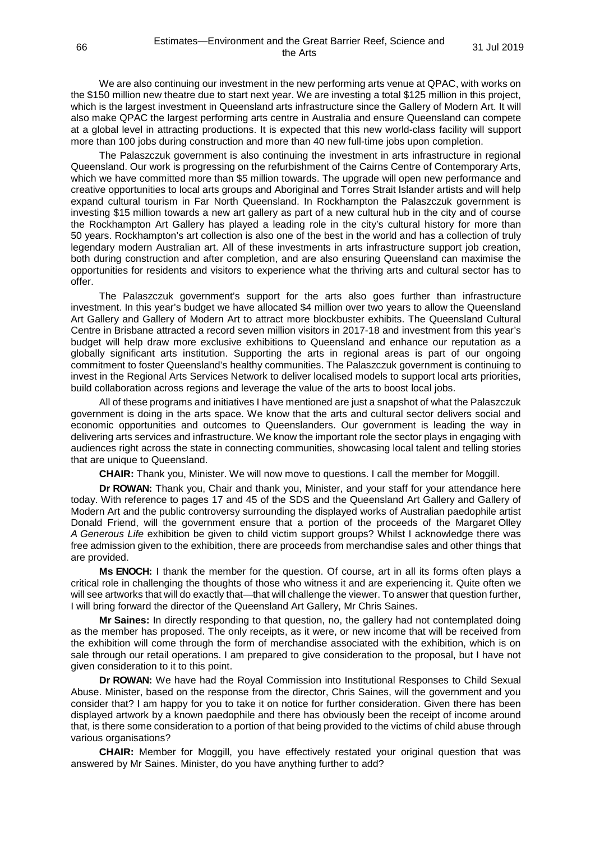We are also continuing our investment in the new performing arts venue at QPAC, with works on the \$150 million new theatre due to start next year. We are investing a total \$125 million in this project, which is the largest investment in Queensland arts infrastructure since the Gallery of Modern Art. It will also make QPAC the largest performing arts centre in Australia and ensure Queensland can compete at a global level in attracting productions. It is expected that this new world-class facility will support more than 100 jobs during construction and more than 40 new full-time jobs upon completion.

The Palaszczuk government is also continuing the investment in arts infrastructure in regional Queensland. Our work is progressing on the refurbishment of the Cairns Centre of Contemporary Arts, which we have committed more than \$5 million towards. The upgrade will open new performance and creative opportunities to local arts groups and Aboriginal and Torres Strait Islander artists and will help expand cultural tourism in Far North Queensland. In Rockhampton the Palaszczuk government is investing \$15 million towards a new art gallery as part of a new cultural hub in the city and of course the Rockhampton Art Gallery has played a leading role in the city's cultural history for more than 50 years. Rockhampton's art collection is also one of the best in the world and has a collection of truly legendary modern Australian art. All of these investments in arts infrastructure support job creation, both during construction and after completion, and are also ensuring Queensland can maximise the opportunities for residents and visitors to experience what the thriving arts and cultural sector has to offer.

The Palaszczuk government's support for the arts also goes further than infrastructure investment. In this year's budget we have allocated \$4 million over two years to allow the Queensland Art Gallery and Gallery of Modern Art to attract more blockbuster exhibits. The Queensland Cultural Centre in Brisbane attracted a record seven million visitors in 2017-18 and investment from this year's budget will help draw more exclusive exhibitions to Queensland and enhance our reputation as a globally significant arts institution. Supporting the arts in regional areas is part of our ongoing commitment to foster Queensland's healthy communities. The Palaszczuk government is continuing to invest in the Regional Arts Services Network to deliver localised models to support local arts priorities, build collaboration across regions and leverage the value of the arts to boost local jobs.

All of these programs and initiatives I have mentioned are just a snapshot of what the Palaszczuk government is doing in the arts space. We know that the arts and cultural sector delivers social and economic opportunities and outcomes to Queenslanders. Our government is leading the way in delivering arts services and infrastructure. We know the important role the sector plays in engaging with audiences right across the state in connecting communities, showcasing local talent and telling stories that are unique to Queensland.

**CHAIR:** Thank you, Minister. We will now move to questions. I call the member for Moggill.

**Dr ROWAN:** Thank you, Chair and thank you, Minister, and your staff for your attendance here today. With reference to pages 17 and 45 of the SDS and the Queensland Art Gallery and Gallery of Modern Art and the public controversy surrounding the displayed works of Australian paedophile artist Donald Friend, will the government ensure that a portion of the proceeds of the Margaret Olley *A Generous Life* exhibition be given to child victim support groups? Whilst I acknowledge there was free admission given to the exhibition, there are proceeds from merchandise sales and other things that are provided.

**Ms ENOCH:** I thank the member for the question. Of course, art in all its forms often plays a critical role in challenging the thoughts of those who witness it and are experiencing it. Quite often we will see artworks that will do exactly that—that will challenge the viewer. To answer that question further, I will bring forward the director of the Queensland Art Gallery, Mr Chris Saines.

**Mr Saines:** In directly responding to that question, no, the gallery had not contemplated doing as the member has proposed. The only receipts, as it were, or new income that will be received from the exhibition will come through the form of merchandise associated with the exhibition, which is on sale through our retail operations. I am prepared to give consideration to the proposal, but I have not given consideration to it to this point.

**Dr ROWAN:** We have had the Royal Commission into Institutional Responses to Child Sexual Abuse. Minister, based on the response from the director, Chris Saines, will the government and you consider that? I am happy for you to take it on notice for further consideration. Given there has been displayed artwork by a known paedophile and there has obviously been the receipt of income around that, is there some consideration to a portion of that being provided to the victims of child abuse through various organisations?

**CHAIR:** Member for Moggill, you have effectively restated your original question that was answered by Mr Saines. Minister, do you have anything further to add?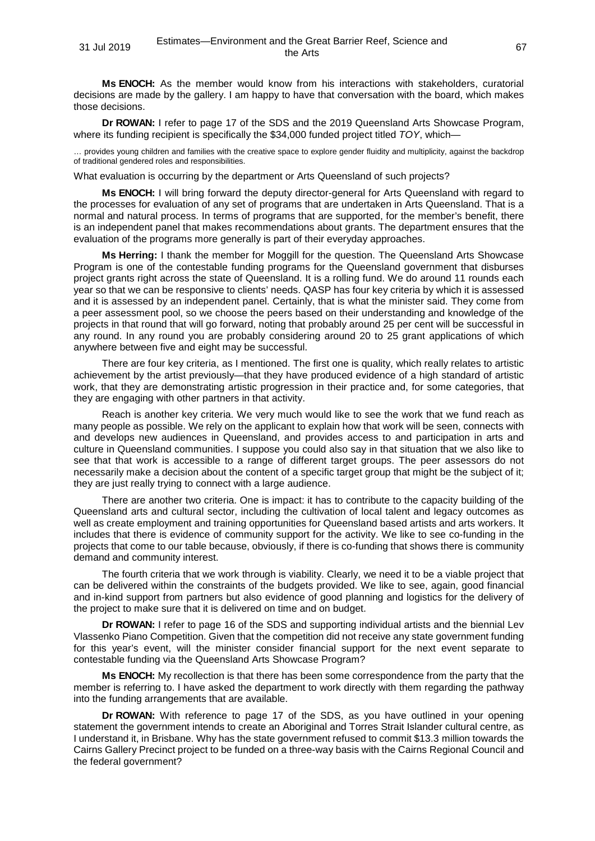**Ms ENOCH:** As the member would know from his interactions with stakeholders, curatorial decisions are made by the gallery. I am happy to have that conversation with the board, which makes those decisions.

**Dr ROWAN:** I refer to page 17 of the SDS and the 2019 Queensland Arts Showcase Program, where its funding recipient is specifically the \$34,000 funded project titled *TOY*, which—

… provides young children and families with the creative space to explore gender fluidity and multiplicity, against the backdrop of traditional gendered roles and responsibilities.

What evaluation is occurring by the department or Arts Queensland of such projects?

**Ms ENOCH:** I will bring forward the deputy director-general for Arts Queensland with regard to the processes for evaluation of any set of programs that are undertaken in Arts Queensland. That is a normal and natural process. In terms of programs that are supported, for the member's benefit, there is an independent panel that makes recommendations about grants. The department ensures that the evaluation of the programs more generally is part of their everyday approaches.

**Ms Herring:** I thank the member for Moggill for the question. The Queensland Arts Showcase Program is one of the contestable funding programs for the Queensland government that disburses project grants right across the state of Queensland. It is a rolling fund. We do around 11 rounds each year so that we can be responsive to clients' needs. QASP has four key criteria by which it is assessed and it is assessed by an independent panel. Certainly, that is what the minister said. They come from a peer assessment pool, so we choose the peers based on their understanding and knowledge of the projects in that round that will go forward, noting that probably around 25 per cent will be successful in any round. In any round you are probably considering around 20 to 25 grant applications of which anywhere between five and eight may be successful.

There are four key criteria, as I mentioned. The first one is quality, which really relates to artistic achievement by the artist previously—that they have produced evidence of a high standard of artistic work, that they are demonstrating artistic progression in their practice and, for some categories, that they are engaging with other partners in that activity.

Reach is another key criteria. We very much would like to see the work that we fund reach as many people as possible. We rely on the applicant to explain how that work will be seen, connects with and develops new audiences in Queensland, and provides access to and participation in arts and culture in Queensland communities. I suppose you could also say in that situation that we also like to see that that work is accessible to a range of different target groups. The peer assessors do not necessarily make a decision about the content of a specific target group that might be the subject of it; they are just really trying to connect with a large audience.

There are another two criteria. One is impact: it has to contribute to the capacity building of the Queensland arts and cultural sector, including the cultivation of local talent and legacy outcomes as well as create employment and training opportunities for Queensland based artists and arts workers. It includes that there is evidence of community support for the activity. We like to see co-funding in the projects that come to our table because, obviously, if there is co-funding that shows there is community demand and community interest.

The fourth criteria that we work through is viability. Clearly, we need it to be a viable project that can be delivered within the constraints of the budgets provided. We like to see, again, good financial and in-kind support from partners but also evidence of good planning and logistics for the delivery of the project to make sure that it is delivered on time and on budget.

**Dr ROWAN:** I refer to page 16 of the SDS and supporting individual artists and the biennial Lev Vlassenko Piano Competition. Given that the competition did not receive any state government funding for this year's event, will the minister consider financial support for the next event separate to contestable funding via the Queensland Arts Showcase Program?

**Ms ENOCH:** My recollection is that there has been some correspondence from the party that the member is referring to. I have asked the department to work directly with them regarding the pathway into the funding arrangements that are available.

**Dr ROWAN:** With reference to page 17 of the SDS, as you have outlined in your opening statement the government intends to create an Aboriginal and Torres Strait Islander cultural centre, as I understand it, in Brisbane. Why has the state government refused to commit \$13.3 million towards the Cairns Gallery Precinct project to be funded on a three-way basis with the Cairns Regional Council and the federal government?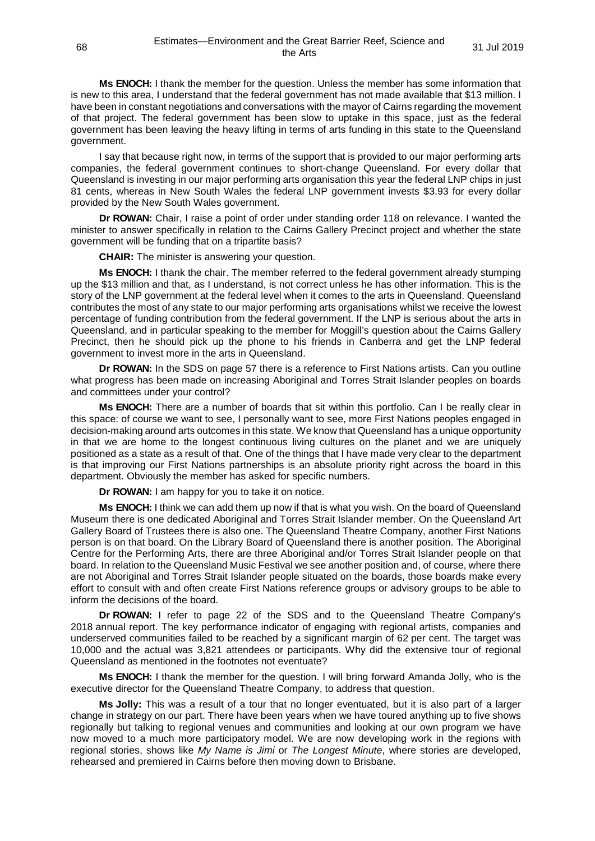**Ms ENOCH:** I thank the member for the question. Unless the member has some information that is new to this area, I understand that the federal government has not made available that \$13 million. I have been in constant negotiations and conversations with the mayor of Cairns regarding the movement of that project. The federal government has been slow to uptake in this space, just as the federal government has been leaving the heavy lifting in terms of arts funding in this state to the Queensland government.

I say that because right now, in terms of the support that is provided to our major performing arts companies, the federal government continues to short-change Queensland. For every dollar that Queensland is investing in our major performing arts organisation this year the federal LNP chips in just 81 cents, whereas in New South Wales the federal LNP government invests \$3.93 for every dollar provided by the New South Wales government.

**Dr ROWAN:** Chair, I raise a point of order under standing order 118 on relevance. I wanted the minister to answer specifically in relation to the Cairns Gallery Precinct project and whether the state government will be funding that on a tripartite basis?

**CHAIR:** The minister is answering your question.

**Ms ENOCH:** I thank the chair. The member referred to the federal government already stumping up the \$13 million and that, as I understand, is not correct unless he has other information. This is the story of the LNP government at the federal level when it comes to the arts in Queensland. Queensland contributes the most of any state to our major performing arts organisations whilst we receive the lowest percentage of funding contribution from the federal government. If the LNP is serious about the arts in Queensland, and in particular speaking to the member for Moggill's question about the Cairns Gallery Precinct, then he should pick up the phone to his friends in Canberra and get the LNP federal government to invest more in the arts in Queensland.

**Dr ROWAN:** In the SDS on page 57 there is a reference to First Nations artists. Can you outline what progress has been made on increasing Aboriginal and Torres Strait Islander peoples on boards and committees under your control?

**Ms ENOCH:** There are a number of boards that sit within this portfolio. Can I be really clear in this space: of course we want to see, I personally want to see, more First Nations peoples engaged in decision-making around arts outcomes in this state. We know that Queensland has a unique opportunity in that we are home to the longest continuous living cultures on the planet and we are uniquely positioned as a state as a result of that. One of the things that I have made very clear to the department is that improving our First Nations partnerships is an absolute priority right across the board in this department. Obviously the member has asked for specific numbers.

**Dr ROWAN:** I am happy for you to take it on notice.

**Ms ENOCH:** I think we can add them up now if that is what you wish. On the board of Queensland Museum there is one dedicated Aboriginal and Torres Strait Islander member. On the Queensland Art Gallery Board of Trustees there is also one. The Queensland Theatre Company, another First Nations person is on that board. On the Library Board of Queensland there is another position. The Aboriginal Centre for the Performing Arts, there are three Aboriginal and/or Torres Strait Islander people on that board. In relation to the Queensland Music Festival we see another position and, of course, where there are not Aboriginal and Torres Strait Islander people situated on the boards, those boards make every effort to consult with and often create First Nations reference groups or advisory groups to be able to inform the decisions of the board.

**Dr ROWAN:** I refer to page 22 of the SDS and to the Queensland Theatre Company's 2018 annual report. The key performance indicator of engaging with regional artists, companies and underserved communities failed to be reached by a significant margin of 62 per cent. The target was 10,000 and the actual was 3,821 attendees or participants. Why did the extensive tour of regional Queensland as mentioned in the footnotes not eventuate?

**Ms ENOCH:** I thank the member for the question. I will bring forward Amanda Jolly, who is the executive director for the Queensland Theatre Company, to address that question.

**Ms Jolly:** This was a result of a tour that no longer eventuated, but it is also part of a larger change in strategy on our part. There have been years when we have toured anything up to five shows regionally but talking to regional venues and communities and looking at our own program we have now moved to a much more participatory model. We are now developing work in the regions with regional stories, shows like *My Name is Jimi* or *The Longest Minute*, where stories are developed, rehearsed and premiered in Cairns before then moving down to Brisbane.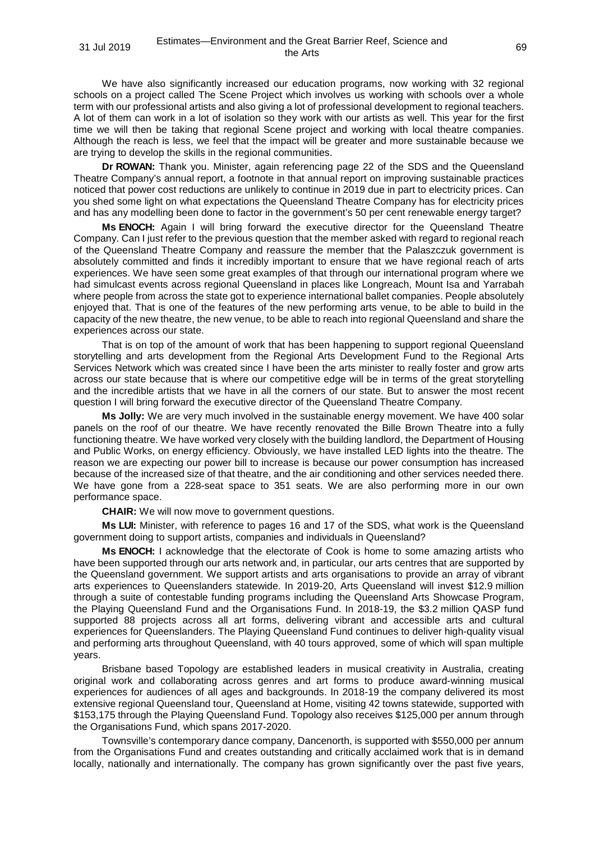We have also significantly increased our education programs, now working with 32 regional schools on a project called The Scene Project which involves us working with schools over a whole term with our professional artists and also giving a lot of professional development to regional teachers. A lot of them can work in a lot of isolation so they work with our artists as well. This year for the first time we will then be taking that regional Scene project and working with local theatre companies. Although the reach is less, we feel that the impact will be greater and more sustainable because we are trying to develop the skills in the regional communities.

**Dr ROWAN:** Thank you. Minister, again referencing page 22 of the SDS and the Queensland Theatre Company's annual report, a footnote in that annual report on improving sustainable practices noticed that power cost reductions are unlikely to continue in 2019 due in part to electricity prices. Can you shed some light on what expectations the Queensland Theatre Company has for electricity prices and has any modelling been done to factor in the government's 50 per cent renewable energy target?

**Ms ENOCH:** Again I will bring forward the executive director for the Queensland Theatre Company. Can I just refer to the previous question that the member asked with regard to regional reach of the Queensland Theatre Company and reassure the member that the Palaszczuk government is absolutely committed and finds it incredibly important to ensure that we have regional reach of arts experiences. We have seen some great examples of that through our international program where we had simulcast events across regional Queensland in places like Longreach, Mount Isa and Yarrabah where people from across the state got to experience international ballet companies. People absolutely enjoyed that. That is one of the features of the new performing arts venue, to be able to build in the capacity of the new theatre, the new venue, to be able to reach into regional Queensland and share the experiences across our state.

That is on top of the amount of work that has been happening to support regional Queensland storytelling and arts development from the Regional Arts Development Fund to the Regional Arts Services Network which was created since I have been the arts minister to really foster and grow arts across our state because that is where our competitive edge will be in terms of the great storytelling and the incredible artists that we have in all the corners of our state. But to answer the most recent question I will bring forward the executive director of the Queensland Theatre Company.

**Ms Jolly:** We are very much involved in the sustainable energy movement. We have 400 solar panels on the roof of our theatre. We have recently renovated the Bille Brown Theatre into a fully functioning theatre. We have worked very closely with the building landlord, the Department of Housing and Public Works, on energy efficiency. Obviously, we have installed LED lights into the theatre. The reason we are expecting our power bill to increase is because our power consumption has increased because of the increased size of that theatre, and the air conditioning and other services needed there. We have gone from a 228-seat space to 351 seats. We are also performing more in our own performance space.

**CHAIR:** We will now move to government questions.

**Ms LUI:** Minister, with reference to pages 16 and 17 of the SDS, what work is the Queensland government doing to support artists, companies and individuals in Queensland?

**Ms ENOCH:** I acknowledge that the electorate of Cook is home to some amazing artists who have been supported through our arts network and, in particular, our arts centres that are supported by the Queensland government. We support artists and arts organisations to provide an array of vibrant arts experiences to Queenslanders statewide. In 2019-20, Arts Queensland will invest \$12.9 million through a suite of contestable funding programs including the Queensland Arts Showcase Program, the Playing Queensland Fund and the Organisations Fund. In 2018-19, the \$3.2 million QASP fund supported 88 projects across all art forms, delivering vibrant and accessible arts and cultural experiences for Queenslanders. The Playing Queensland Fund continues to deliver high-quality visual and performing arts throughout Queensland, with 40 tours approved, some of which will span multiple years.

Brisbane based Topology are established leaders in musical creativity in Australia, creating original work and collaborating across genres and art forms to produce award-winning musical experiences for audiences of all ages and backgrounds. In 2018-19 the company delivered its most extensive regional Queensland tour, Queensland at Home, visiting 42 towns statewide, supported with \$153,175 through the Playing Queensland Fund. Topology also receives \$125,000 per annum through the Organisations Fund, which spans 2017-2020.

Townsville's contemporary dance company, Dancenorth, is supported with \$550,000 per annum from the Organisations Fund and creates outstanding and critically acclaimed work that is in demand locally, nationally and internationally. The company has grown significantly over the past five years,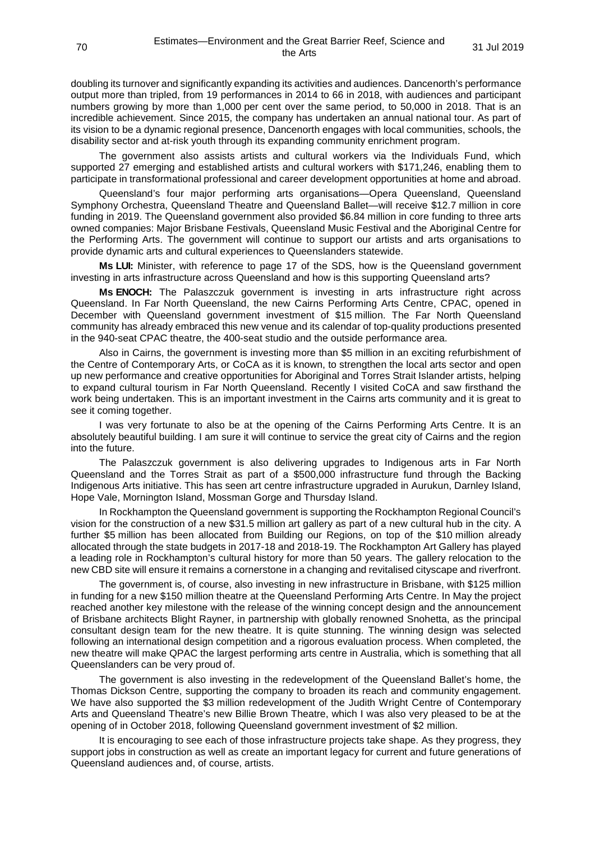doubling its turnover and significantly expanding its activities and audiences. Dancenorth's performance output more than tripled, from 19 performances in 2014 to 66 in 2018, with audiences and participant numbers growing by more than 1,000 per cent over the same period, to 50,000 in 2018. That is an incredible achievement. Since 2015, the company has undertaken an annual national tour. As part of its vision to be a dynamic regional presence, Dancenorth engages with local communities, schools, the disability sector and at-risk youth through its expanding community enrichment program.

The government also assists artists and cultural workers via the Individuals Fund, which supported 27 emerging and established artists and cultural workers with \$171,246, enabling them to participate in transformational professional and career development opportunities at home and abroad.

Queensland's four major performing arts organisations—Opera Queensland, Queensland Symphony Orchestra, Queensland Theatre and Queensland Ballet—will receive \$12.7 million in core funding in 2019. The Queensland government also provided \$6.84 million in core funding to three arts owned companies: Major Brisbane Festivals, Queensland Music Festival and the Aboriginal Centre for the Performing Arts. The government will continue to support our artists and arts organisations to provide dynamic arts and cultural experiences to Queenslanders statewide.

**Ms LUI:** Minister, with reference to page 17 of the SDS, how is the Queensland government investing in arts infrastructure across Queensland and how is this supporting Queensland arts?

**Ms ENOCH:** The Palaszczuk government is investing in arts infrastructure right across Queensland. In Far North Queensland, the new Cairns Performing Arts Centre, CPAC, opened in December with Queensland government investment of \$15 million. The Far North Queensland community has already embraced this new venue and its calendar of top-quality productions presented in the 940-seat CPAC theatre, the 400-seat studio and the outside performance area.

Also in Cairns, the government is investing more than \$5 million in an exciting refurbishment of the Centre of Contemporary Arts, or CoCA as it is known, to strengthen the local arts sector and open up new performance and creative opportunities for Aboriginal and Torres Strait Islander artists, helping to expand cultural tourism in Far North Queensland. Recently I visited CoCA and saw firsthand the work being undertaken. This is an important investment in the Cairns arts community and it is great to see it coming together.

I was very fortunate to also be at the opening of the Cairns Performing Arts Centre. It is an absolutely beautiful building. I am sure it will continue to service the great city of Cairns and the region into the future.

The Palaszczuk government is also delivering upgrades to Indigenous arts in Far North Queensland and the Torres Strait as part of a \$500,000 infrastructure fund through the Backing Indigenous Arts initiative. This has seen art centre infrastructure upgraded in Aurukun, Darnley Island, Hope Vale, Mornington Island, Mossman Gorge and Thursday Island.

In Rockhampton the Queensland government is supporting the Rockhampton Regional Council's vision for the construction of a new \$31.5 million art gallery as part of a new cultural hub in the city. A further \$5 million has been allocated from Building our Regions, on top of the \$10 million already allocated through the state budgets in 2017-18 and 2018-19. The Rockhampton Art Gallery has played a leading role in Rockhampton's cultural history for more than 50 years. The gallery relocation to the new CBD site will ensure it remains a cornerstone in a changing and revitalised cityscape and riverfront.

The government is, of course, also investing in new infrastructure in Brisbane, with \$125 million in funding for a new \$150 million theatre at the Queensland Performing Arts Centre. In May the project reached another key milestone with the release of the winning concept design and the announcement of Brisbane architects Blight Rayner, in partnership with globally renowned Snohetta, as the principal consultant design team for the new theatre. It is quite stunning. The winning design was selected following an international design competition and a rigorous evaluation process. When completed, the new theatre will make QPAC the largest performing arts centre in Australia, which is something that all Queenslanders can be very proud of.

The government is also investing in the redevelopment of the Queensland Ballet's home, the Thomas Dickson Centre, supporting the company to broaden its reach and community engagement. We have also supported the \$3 million redevelopment of the Judith Wright Centre of Contemporary Arts and Queensland Theatre's new Billie Brown Theatre, which I was also very pleased to be at the opening of in October 2018, following Queensland government investment of \$2 million.

It is encouraging to see each of those infrastructure projects take shape. As they progress, they support jobs in construction as well as create an important legacy for current and future generations of Queensland audiences and, of course, artists.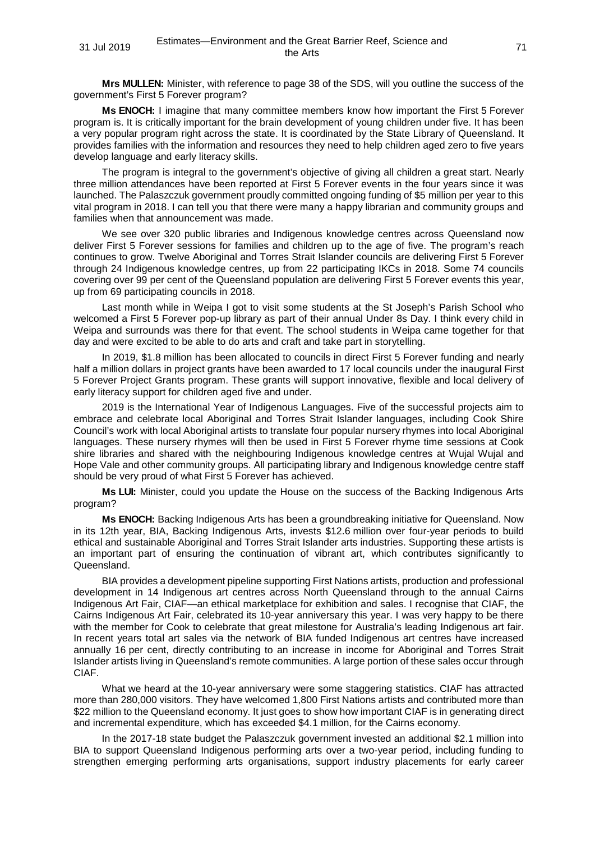**Mrs MULLEN:** Minister, with reference to page 38 of the SDS, will you outline the success of the government's First 5 Forever program?

**Ms ENOCH:** I imagine that many committee members know how important the First 5 Forever program is. It is critically important for the brain development of young children under five. It has been a very popular program right across the state. It is coordinated by the State Library of Queensland. It provides families with the information and resources they need to help children aged zero to five years develop language and early literacy skills.

The program is integral to the government's objective of giving all children a great start. Nearly three million attendances have been reported at First 5 Forever events in the four years since it was launched. The Palaszczuk government proudly committed ongoing funding of \$5 million per year to this vital program in 2018. I can tell you that there were many a happy librarian and community groups and families when that announcement was made.

We see over 320 public libraries and Indigenous knowledge centres across Queensland now deliver First 5 Forever sessions for families and children up to the age of five. The program's reach continues to grow. Twelve Aboriginal and Torres Strait Islander councils are delivering First 5 Forever through 24 Indigenous knowledge centres, up from 22 participating IKCs in 2018. Some 74 councils covering over 99 per cent of the Queensland population are delivering First 5 Forever events this year, up from 69 participating councils in 2018.

Last month while in Weipa I got to visit some students at the St Joseph's Parish School who welcomed a First 5 Forever pop-up library as part of their annual Under 8s Day. I think every child in Weipa and surrounds was there for that event. The school students in Weipa came together for that day and were excited to be able to do arts and craft and take part in storytelling.

In 2019, \$1.8 million has been allocated to councils in direct First 5 Forever funding and nearly half a million dollars in project grants have been awarded to 17 local councils under the inaugural First 5 Forever Project Grants program. These grants will support innovative, flexible and local delivery of early literacy support for children aged five and under.

2019 is the International Year of Indigenous Languages. Five of the successful projects aim to embrace and celebrate local Aboriginal and Torres Strait Islander languages, including Cook Shire Council's work with local Aboriginal artists to translate four popular nursery rhymes into local Aboriginal languages. These nursery rhymes will then be used in First 5 Forever rhyme time sessions at Cook shire libraries and shared with the neighbouring Indigenous knowledge centres at Wujal Wujal and Hope Vale and other community groups. All participating library and Indigenous knowledge centre staff should be very proud of what First 5 Forever has achieved.

**Ms LUI:** Minister, could you update the House on the success of the Backing Indigenous Arts program?

**Ms ENOCH:** Backing Indigenous Arts has been a groundbreaking initiative for Queensland. Now in its 12th year, BIA, Backing Indigenous Arts, invests \$12.6 million over four-year periods to build ethical and sustainable Aboriginal and Torres Strait Islander arts industries. Supporting these artists is an important part of ensuring the continuation of vibrant art, which contributes significantly to Queensland.

BIA provides a development pipeline supporting First Nations artists, production and professional development in 14 Indigenous art centres across North Queensland through to the annual Cairns Indigenous Art Fair, CIAF—an ethical marketplace for exhibition and sales. I recognise that CIAF, the Cairns Indigenous Art Fair, celebrated its 10-year anniversary this year. I was very happy to be there with the member for Cook to celebrate that great milestone for Australia's leading Indigenous art fair. In recent years total art sales via the network of BIA funded Indigenous art centres have increased annually 16 per cent, directly contributing to an increase in income for Aboriginal and Torres Strait Islander artists living in Queensland's remote communities. A large portion of these sales occur through CIAF.

What we heard at the 10-year anniversary were some staggering statistics. CIAF has attracted more than 280,000 visitors. They have welcomed 1,800 First Nations artists and contributed more than \$22 million to the Queensland economy. It just goes to show how important CIAF is in generating direct and incremental expenditure, which has exceeded \$4.1 million, for the Cairns economy.

In the 2017-18 state budget the Palaszczuk government invested an additional \$2.1 million into BIA to support Queensland Indigenous performing arts over a two-year period, including funding to strengthen emerging performing arts organisations, support industry placements for early career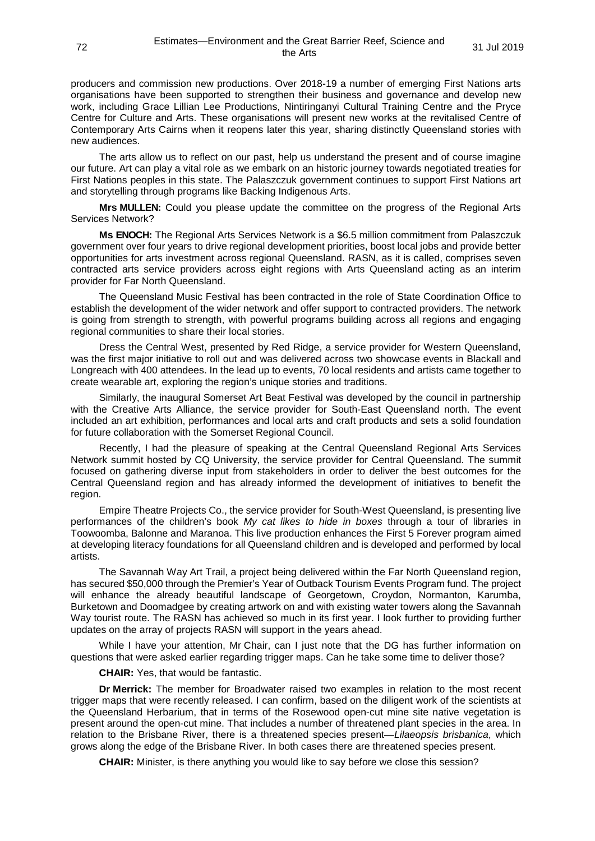producers and commission new productions. Over 2018-19 a number of emerging First Nations arts organisations have been supported to strengthen their business and governance and develop new work, including Grace Lillian Lee Productions, Nintiringanyi Cultural Training Centre and the Pryce Centre for Culture and Arts. These organisations will present new works at the revitalised Centre of Contemporary Arts Cairns when it reopens later this year, sharing distinctly Queensland stories with new audiences.

The arts allow us to reflect on our past, help us understand the present and of course imagine our future. Art can play a vital role as we embark on an historic journey towards negotiated treaties for First Nations peoples in this state. The Palaszczuk government continues to support First Nations art and storytelling through programs like Backing Indigenous Arts.

**Mrs MULLEN:** Could you please update the committee on the progress of the Regional Arts Services Network?

**Ms ENOCH:** The Regional Arts Services Network is a \$6.5 million commitment from Palaszczuk government over four years to drive regional development priorities, boost local jobs and provide better opportunities for arts investment across regional Queensland. RASN, as it is called, comprises seven contracted arts service providers across eight regions with Arts Queensland acting as an interim provider for Far North Queensland.

The Queensland Music Festival has been contracted in the role of State Coordination Office to establish the development of the wider network and offer support to contracted providers. The network is going from strength to strength, with powerful programs building across all regions and engaging regional communities to share their local stories.

Dress the Central West, presented by Red Ridge, a service provider for Western Queensland, was the first major initiative to roll out and was delivered across two showcase events in Blackall and Longreach with 400 attendees. In the lead up to events, 70 local residents and artists came together to create wearable art, exploring the region's unique stories and traditions.

Similarly, the inaugural Somerset Art Beat Festival was developed by the council in partnership with the Creative Arts Alliance, the service provider for South-East Queensland north. The event included an art exhibition, performances and local arts and craft products and sets a solid foundation for future collaboration with the Somerset Regional Council.

Recently, I had the pleasure of speaking at the Central Queensland Regional Arts Services Network summit hosted by CQ University, the service provider for Central Queensland. The summit focused on gathering diverse input from stakeholders in order to deliver the best outcomes for the Central Queensland region and has already informed the development of initiatives to benefit the region.

Empire Theatre Projects Co., the service provider for South-West Queensland, is presenting live performances of the children's book *My cat likes to hide in boxes* through a tour of libraries in Toowoomba, Balonne and Maranoa. This live production enhances the First 5 Forever program aimed at developing literacy foundations for all Queensland children and is developed and performed by local artists.

The Savannah Way Art Trail, a project being delivered within the Far North Queensland region, has secured \$50,000 through the Premier's Year of Outback Tourism Events Program fund. The project will enhance the already beautiful landscape of Georgetown, Croydon, Normanton, Karumba, Burketown and Doomadgee by creating artwork on and with existing water towers along the Savannah Way tourist route. The RASN has achieved so much in its first year. I look further to providing further updates on the array of projects RASN will support in the years ahead.

While I have your attention, Mr Chair, can I just note that the DG has further information on questions that were asked earlier regarding trigger maps. Can he take some time to deliver those?

**CHAIR:** Yes, that would be fantastic.

**Dr Merrick:** The member for Broadwater raised two examples in relation to the most recent trigger maps that were recently released. I can confirm, based on the diligent work of the scientists at the Queensland Herbarium, that in terms of the Rosewood open-cut mine site native vegetation is present around the open-cut mine. That includes a number of threatened plant species in the area. In relation to the Brisbane River, there is a threatened species present—*Lilaeopsis brisbanica*, which grows along the edge of the Brisbane River. In both cases there are threatened species present.

**CHAIR:** Minister, is there anything you would like to say before we close this session?